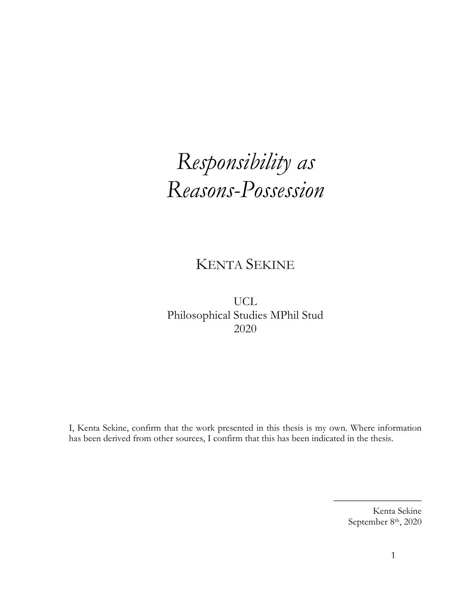# *Responsibility as Reasons-Possession*

# KENTA SEKINE

UCL Philosophical Studies MPhil Stud 2020

I, Kenta Sekine, confirm that the work presented in this thesis is my own. Where information has been derived from other sources, I confirm that this has been indicated in the thesis.

> Kenta Sekine September 8<sup>th</sup>, 2020

————————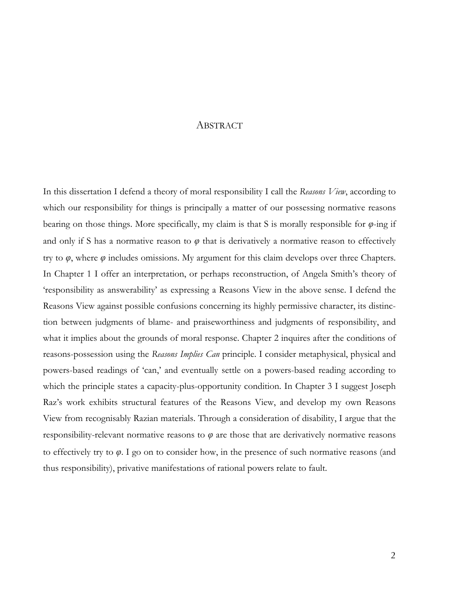# ABSTRACT

In this dissertation I defend a theory of moral responsibility I call the *Reasons View*, according to which our responsibility for things is principally a matter of our possessing normative reasons bearing on those things. More specifically, my claim is that S is morally responsible for *φ*-ing if and only if S has a normative reason to  $\varphi$  that is derivatively a normative reason to effectively try to *φ*, where *φ* includes omissions. My argument for this claim develops over three Chapters. In Chapter 1 I offer an interpretation, or perhaps reconstruction, of Angela Smith's theory of 'responsibility as answerability' as expressing a Reasons View in the above sense. I defend the Reasons View against possible confusions concerning its highly permissive character, its distinction between judgments of blame- and praiseworthiness and judgments of responsibility, and what it implies about the grounds of moral response. Chapter 2 inquires after the conditions of reasons-possession using the *Reasons Implies Can* principle. I consider metaphysical, physical and powers-based readings of 'can,' and eventually settle on a powers-based reading according to which the principle states a capacity-plus-opportunity condition. In Chapter 3 I suggest Joseph Raz's work exhibits structural features of the Reasons View, and develop my own Reasons View from recognisably Razian materials. Through a consideration of disability, I argue that the responsibility-relevant normative reasons to *φ* are those that are derivatively normative reasons to effectively try to *φ*. I go on to consider how, in the presence of such normative reasons (and thus responsibility), privative manifestations of rational powers relate to fault.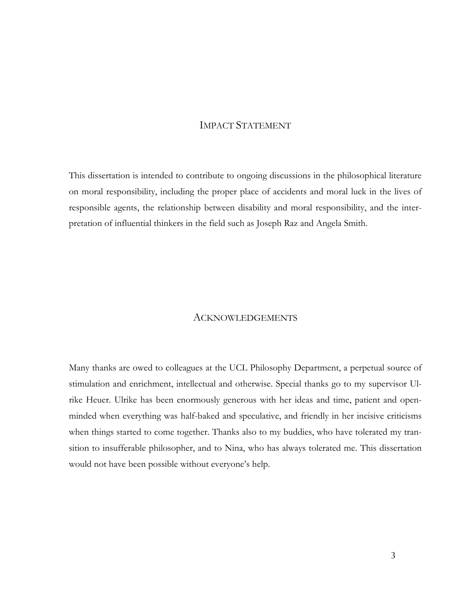# IMPACT STATEMENT

This dissertation is intended to contribute to ongoing discussions in the philosophical literature on moral responsibility, including the proper place of accidents and moral luck in the lives of responsible agents, the relationship between disability and moral responsibility, and the interpretation of influential thinkers in the field such as Joseph Raz and Angela Smith.

## ACKNOWLEDGEMENTS

Many thanks are owed to colleagues at the UCL Philosophy Department, a perpetual source of stimulation and enrichment, intellectual and otherwise. Special thanks go to my supervisor Ulrike Heuer. Ulrike has been enormously generous with her ideas and time, patient and openminded when everything was half-baked and speculative, and friendly in her incisive criticisms when things started to come together. Thanks also to my buddies, who have tolerated my transition to insufferable philosopher, and to Nina, who has always tolerated me. This dissertation would not have been possible without everyone's help.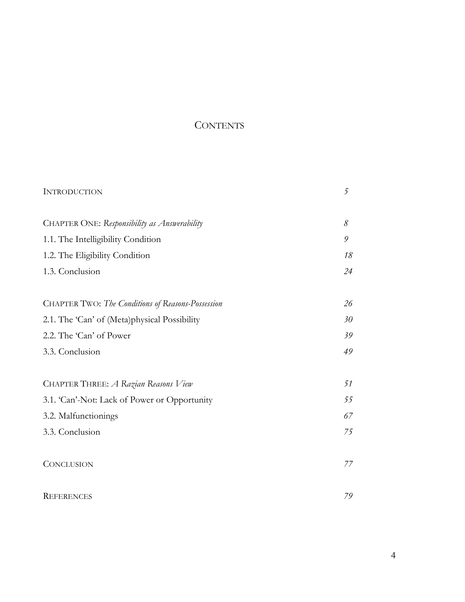# **CONTENTS**

| <b>INTRODUCTION</b>                                      | 5  |
|----------------------------------------------------------|----|
|                                                          |    |
| CHAPTER ONE: Responsibility as Answerability             | 8  |
| 1.1. The Intelligibility Condition                       | 9  |
| 1.2. The Eligibility Condition                           | 18 |
| 1.3. Conclusion                                          | 24 |
|                                                          |    |
| <b>CHAPTER TWO:</b> The Conditions of Reasons-Possession | 26 |
| 2.1. The 'Can' of (Meta)physical Possibility             | 30 |
| 2.2. The 'Can' of Power                                  | 39 |
| 3.3. Conclusion                                          | 49 |
|                                                          |    |
| CHAPTER THREE: A Razian Reasons View                     | 51 |
| 3.1. 'Can'-Not: Lack of Power or Opportunity             | 55 |
| 3.2. Malfunctionings                                     | 67 |
| 3.3. Conclusion                                          | 75 |
|                                                          |    |
| <b>CONCLUSION</b>                                        | 77 |
|                                                          |    |
| <b>REFERENCES</b>                                        | 79 |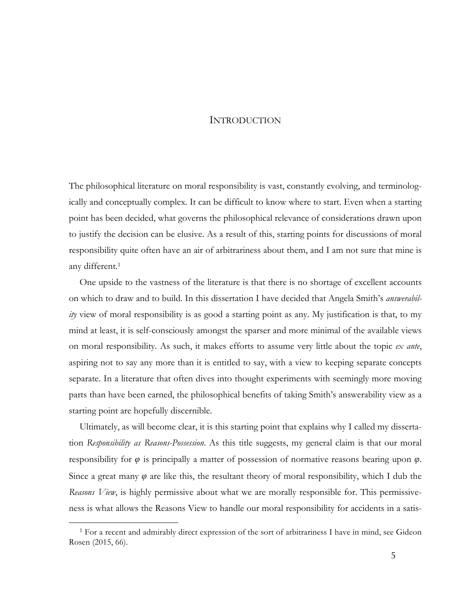## INTRODUCTION

The philosophical literature on moral responsibility is vast, constantly evolving, and terminologically and conceptually complex. It can be difficult to know where to start. Even when a starting point has been decided, what governs the philosophical relevance of considerations drawn upon to justify the decision can be elusive. As a result of this, starting points for discussions of moral responsibility quite often have an air of arbitrariness about them, and I am not sure that mine is any different.1

One upside to the vastness of the literature is that there is no shortage of excellent accounts on which to draw and to build. In this dissertation I have decided that Angela Smith's *answerability* view of moral responsibility is as good a starting point as any. My justification is that, to my mind at least, it is self-consciously amongst the sparser and more minimal of the available views on moral responsibility. As such, it makes efforts to assume very little about the topic *ex ante*, aspiring not to say any more than it is entitled to say, with a view to keeping separate concepts separate. In a literature that often dives into thought experiments with seemingly more moving parts than have been earned, the philosophical benefits of taking Smith's answerability view as a starting point are hopefully discernible.

Ultimately, as will become clear, it is this starting point that explains why I called my dissertation *Responsibility as Reasons-Possession*. As this title suggests, my general claim is that our moral responsibility for *φ* is principally a matter of possession of normative reasons bearing upon *φ*. Since a great many *φ* are like this, the resultant theory of moral responsibility, which I dub the *Reasons View*, is highly permissive about what we are morally responsible for. This permissiveness is what allows the Reasons View to handle our moral responsibility for accidents in a satis-

<sup>1</sup> For a recent and admirably direct expression of the sort of arbitrariness I have in mind, see Gideon Rosen (2015, 66).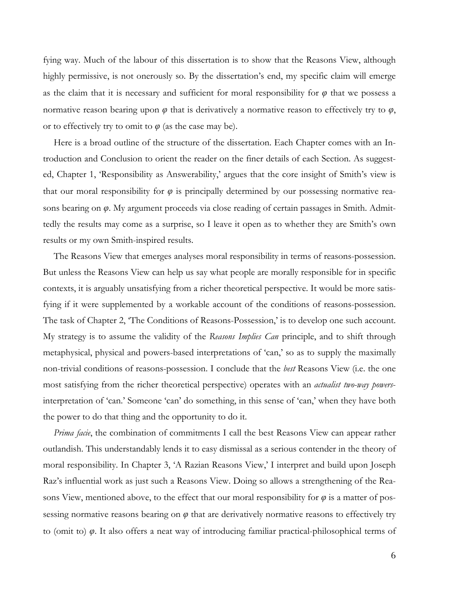fying way. Much of the labour of this dissertation is to show that the Reasons View, although highly permissive, is not onerously so. By the dissertation's end, my specific claim will emerge as the claim that it is necessary and sufficient for moral responsibility for  $\varphi$  that we possess a normative reason bearing upon  $\varphi$  that is derivatively a normative reason to effectively try to  $\varphi$ , or to effectively try to omit to  $\varphi$  (as the case may be).

Here is a broad outline of the structure of the dissertation. Each Chapter comes with an Introduction and Conclusion to orient the reader on the finer details of each Section. As suggested, Chapter 1, 'Responsibility as Answerability,' argues that the core insight of Smith's view is that our moral responsibility for *φ* is principally determined by our possessing normative reasons bearing on *φ*. My argument proceeds via close reading of certain passages in Smith. Admittedly the results may come as a surprise, so I leave it open as to whether they are Smith's own results or my own Smith-inspired results.

The Reasons View that emerges analyses moral responsibility in terms of reasons-possession. But unless the Reasons View can help us say what people are morally responsible for in specific contexts, it is arguably unsatisfying from a richer theoretical perspective. It would be more satisfying if it were supplemented by a workable account of the conditions of reasons-possession. The task of Chapter 2, 'The Conditions of Reasons-Possession,' is to develop one such account. My strategy is to assume the validity of the *Reasons Implies Can* principle, and to shift through metaphysical, physical and powers-based interpretations of 'can,' so as to supply the maximally non-trivial conditions of reasons-possession. I conclude that the *best* Reasons View (i.e. the one most satisfying from the richer theoretical perspective) operates with an *actualist two-way powers*interpretation of 'can.' Someone 'can' do something, in this sense of 'can,' when they have both the power to do that thing and the opportunity to do it.

*Prima facie*, the combination of commitments I call the best Reasons View can appear rather outlandish. This understandably lends it to easy dismissal as a serious contender in the theory of moral responsibility. In Chapter 3, 'A Razian Reasons View,' I interpret and build upon Joseph Raz's influential work as just such a Reasons View. Doing so allows a strengthening of the Reasons View, mentioned above, to the effect that our moral responsibility for  $\varphi$  is a matter of possessing normative reasons bearing on *φ* that are derivatively normative reasons to effectively try to (omit to) *φ*. It also offers a neat way of introducing familiar practical-philosophical terms of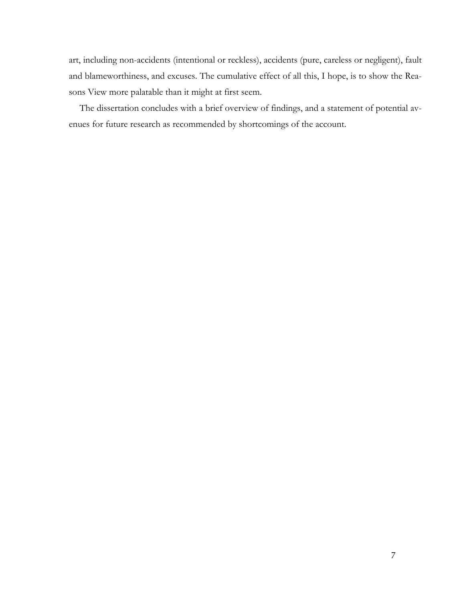art, including non-accidents (intentional or reckless), accidents (pure, careless or negligent), fault and blameworthiness, and excuses. The cumulative effect of all this, I hope, is to show the Reasons View more palatable than it might at first seem.

The dissertation concludes with a brief overview of findings, and a statement of potential avenues for future research as recommended by shortcomings of the account.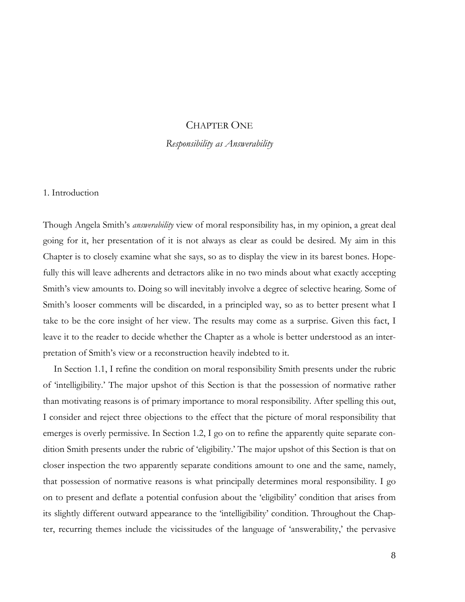# CHAPTER ONE

*Responsibility as Answerability*

#### 1. Introduction

Though Angela Smith's *answerability* view of moral responsibility has, in my opinion, a great deal going for it, her presentation of it is not always as clear as could be desired. My aim in this Chapter is to closely examine what she says, so as to display the view in its barest bones. Hopefully this will leave adherents and detractors alike in no two minds about what exactly accepting Smith's view amounts to. Doing so will inevitably involve a degree of selective hearing. Some of Smith's looser comments will be discarded, in a principled way, so as to better present what I take to be the core insight of her view. The results may come as a surprise. Given this fact, I leave it to the reader to decide whether the Chapter as a whole is better understood as an interpretation of Smith's view or a reconstruction heavily indebted to it.

In Section 1.1, I refine the condition on moral responsibility Smith presents under the rubric of 'intelligibility.' The major upshot of this Section is that the possession of normative rather than motivating reasons is of primary importance to moral responsibility. After spelling this out, I consider and reject three objections to the effect that the picture of moral responsibility that emerges is overly permissive. In Section 1.2, I go on to refine the apparently quite separate condition Smith presents under the rubric of 'eligibility.' The major upshot of this Section is that on closer inspection the two apparently separate conditions amount to one and the same, namely, that possession of normative reasons is what principally determines moral responsibility. I go on to present and deflate a potential confusion about the 'eligibility' condition that arises from its slightly different outward appearance to the 'intelligibility' condition. Throughout the Chapter, recurring themes include the vicissitudes of the language of 'answerability,' the pervasive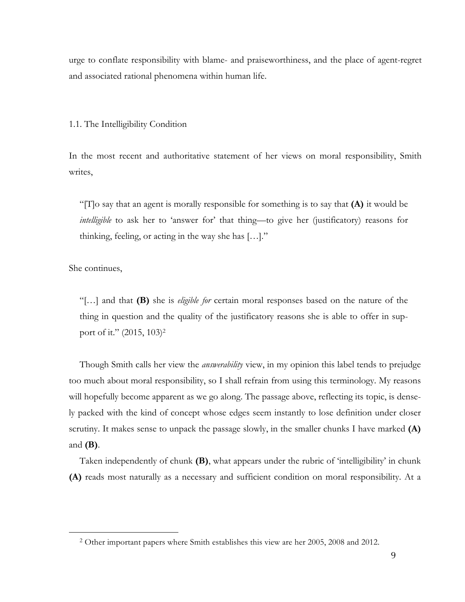urge to conflate responsibility with blame- and praiseworthiness, and the place of agent-regret and associated rational phenomena within human life.

1.1. The Intelligibility Condition

In the most recent and authoritative statement of her views on moral responsibility, Smith writes,

"[T]o say that an agent is morally responsible for something is to say that **(A)** it would be *intelligible* to ask her to 'answer for' that thing—to give her (justificatory) reasons for thinking, feeling, or acting in the way she has […]."

She continues,

 

"[…] and that **(B)** she is *eligible for* certain moral responses based on the nature of the thing in question and the quality of the justificatory reasons she is able to offer in support of it." (2015, 103)<sup>2</sup>

Though Smith calls her view the *answerability* view, in my opinion this label tends to prejudge too much about moral responsibility, so I shall refrain from using this terminology. My reasons will hopefully become apparent as we go along. The passage above, reflecting its topic, is densely packed with the kind of concept whose edges seem instantly to lose definition under closer scrutiny. It makes sense to unpack the passage slowly, in the smaller chunks I have marked **(A)** and **(B)**.

Taken independently of chunk **(B)**, what appears under the rubric of 'intelligibility' in chunk **(A)** reads most naturally as a necessary and sufficient condition on moral responsibility. At a

<sup>2</sup> Other important papers where Smith establishes this view are her 2005, 2008 and 2012.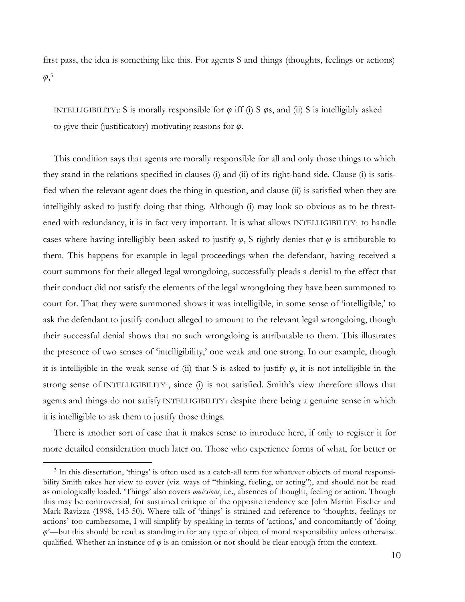first pass, the idea is something like this. For agents S and things (thoughts, feelings or actions) *φ*, 3

INTELLIGIBILITY<sub>1</sub>: S is morally responsible for  $\varphi$  iff (i) S  $\varphi$ s, and (ii) S is intelligibly asked to give their (justificatory) motivating reasons for *φ*.

This condition says that agents are morally responsible for all and only those things to which they stand in the relations specified in clauses (i) and (ii) of its right-hand side. Clause (i) is satisfied when the relevant agent does the thing in question, and clause (ii) is satisfied when they are intelligibly asked to justify doing that thing. Although (i) may look so obvious as to be threatened with redundancy, it is in fact very important. It is what allows INTELLIGIBILITY1 to handle cases where having intelligibly been asked to justify  $\varphi$ , S rightly denies that  $\varphi$  is attributable to them. This happens for example in legal proceedings when the defendant, having received a court summons for their alleged legal wrongdoing, successfully pleads a denial to the effect that their conduct did not satisfy the elements of the legal wrongdoing they have been summoned to court for. That they were summoned shows it was intelligible, in some sense of 'intelligible,' to ask the defendant to justify conduct alleged to amount to the relevant legal wrongdoing, though their successful denial shows that no such wrongdoing is attributable to them. This illustrates the presence of two senses of 'intelligibility,' one weak and one strong. In our example, though it is intelligible in the weak sense of (ii) that S is asked to justify  $\varphi$ , it is not intelligible in the strong sense of INTELLIGIBILITY<sub>1</sub>, since (i) is not satisfied. Smith's view therefore allows that agents and things do not satisfy INTELLIGIBILITY1 despite there being a genuine sense in which it is intelligible to ask them to justify those things.

There is another sort of case that it makes sense to introduce here, if only to register it for more detailed consideration much later on. Those who experience forms of what, for better or

<sup>&</sup>lt;sup>3</sup> In this dissertation, 'things' is often used as a catch-all term for whatever objects of moral responsibility Smith takes her view to cover (viz. ways of "thinking, feeling, or acting"), and should not be read as ontologically loaded. 'Things' also covers *omissions*, i.e., absences of thought, feeling or action. Though this may be controversial, for sustained critique of the opposite tendency see John Martin Fischer and Mark Ravizza (1998, 145-50). Where talk of 'things' is strained and reference to 'thoughts, feelings or actions' too cumbersome, I will simplify by speaking in terms of 'actions,' and concomitantly of 'doing *φ*'—but this should be read as standing in for any type of object of moral responsibility unless otherwise qualified. Whether an instance of  $\varphi$  is an omission or not should be clear enough from the context.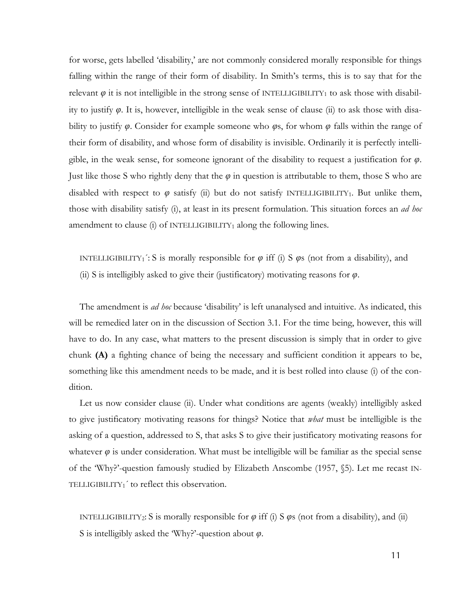for worse, gets labelled 'disability,' are not commonly considered morally responsible for things falling within the range of their form of disability. In Smith's terms, this is to say that for the relevant  $\varphi$  it is not intelligible in the strong sense of INTELLIGIBILITY<sub>1</sub> to ask those with disability to justify *φ*. It is, however, intelligible in the weak sense of clause (ii) to ask those with disability to justify *φ*. Consider for example someone who *φ*s, for whom *φ* falls within the range of their form of disability, and whose form of disability is invisible. Ordinarily it is perfectly intelligible, in the weak sense, for someone ignorant of the disability to request a justification for *φ*. Just like those S who rightly deny that the *φ* in question is attributable to them, those S who are disabled with respect to  $\varphi$  satisfy (ii) but do not satisfy INTELLIGIBILITY<sub>1</sub>. But unlike them, those with disability satisfy (i), at least in its present formulation. This situation forces an *ad hoc* amendment to clause (i) of INTELLIGIBILITY<sub>1</sub> along the following lines.

INTELLIGIBILITY<sub>1</sub><sup>:</sup>: S is morally responsible for  $\varphi$  iff (i) S  $\varphi$ s (not from a disability), and (ii) S is intelligibly asked to give their (justificatory) motivating reasons for *φ*.

The amendment is *ad hoc* because 'disability' is left unanalysed and intuitive. As indicated, this will be remedied later on in the discussion of Section 3.1. For the time being, however, this will have to do. In any case, what matters to the present discussion is simply that in order to give chunk **(A)** a fighting chance of being the necessary and sufficient condition it appears to be, something like this amendment needs to be made, and it is best rolled into clause (i) of the condition.

Let us now consider clause (ii). Under what conditions are agents (weakly) intelligibly asked to give justificatory motivating reasons for things? Notice that *what* must be intelligible is the asking of a question, addressed to S, that asks S to give their justificatory motivating reasons for whatever  $\varphi$  is under consideration. What must be intelligible will be familiar as the special sense of the 'Why?'-question famously studied by Elizabeth Anscombe (1957, §5). Let me recast IN-TELLIGIBILITY<sub>1</sub><sup>'</sup> to reflect this observation.

INTELLIGIBILITY<sub>2</sub>: S is morally responsible for  $\varphi$  iff (i) S  $\varphi$ s (not from a disability), and (ii) S is intelligibly asked the 'Why?'-question about *φ*.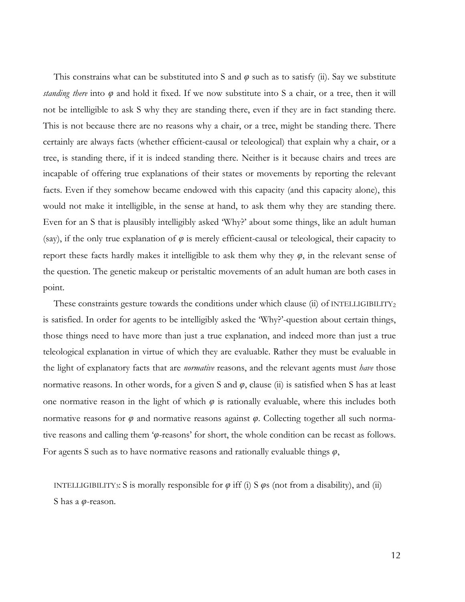This constrains what can be substituted into S and *φ* such as to satisfy (ii). Say we substitute *standing there* into *φ* and hold it fixed. If we now substitute into S a chair, or a tree, then it will not be intelligible to ask S why they are standing there, even if they are in fact standing there. This is not because there are no reasons why a chair, or a tree, might be standing there. There certainly are always facts (whether efficient-causal or teleological) that explain why a chair, or a tree, is standing there, if it is indeed standing there. Neither is it because chairs and trees are incapable of offering true explanations of their states or movements by reporting the relevant facts. Even if they somehow became endowed with this capacity (and this capacity alone), this would not make it intelligible, in the sense at hand, to ask them why they are standing there. Even for an S that is plausibly intelligibly asked 'Why?' about some things, like an adult human (say), if the only true explanation of *φ* is merely efficient-causal or teleological, their capacity to report these facts hardly makes it intelligible to ask them why they *φ*, in the relevant sense of the question. The genetic makeup or peristaltic movements of an adult human are both cases in point.

These constraints gesture towards the conditions under which clause (ii) of INTELLIGIBILITY<sub>2</sub> is satisfied. In order for agents to be intelligibly asked the 'Why?'-question about certain things, those things need to have more than just a true explanation, and indeed more than just a true teleological explanation in virtue of which they are evaluable. Rather they must be evaluable in the light of explanatory facts that are *normative* reasons, and the relevant agents must *have* those normative reasons. In other words, for a given S and *φ*, clause (ii) is satisfied when S has at least one normative reason in the light of which  $\varphi$  is rationally evaluable, where this includes both normative reasons for  $\varphi$  and normative reasons against  $\varphi$ . Collecting together all such normative reasons and calling them '*φ*-reasons' for short, the whole condition can be recast as follows. For agents S such as to have normative reasons and rationally evaluable things *φ*,

INTELLIGIBILITY3: S is morally responsible for  $\varphi$  iff (i) S  $\varphi$ s (not from a disability), and (ii) S has a *φ*-reason.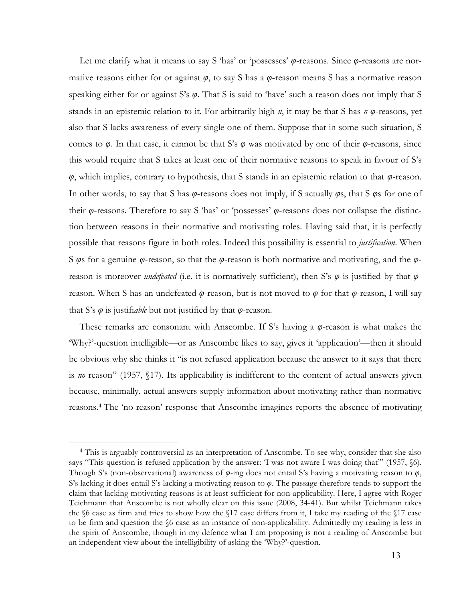Let me clarify what it means to say S 'has' or 'possesses' *φ*-reasons. Since *φ*-reasons are normative reasons either for or against *φ*, to say S has a *φ*-reason means S has a normative reason speaking either for or against S's *φ*. That S is said to 'have' such a reason does not imply that S stands in an epistemic relation to it. For arbitrarily high *n*, it may be that S has *n φ*-reasons, yet also that S lacks awareness of every single one of them. Suppose that in some such situation, S comes to  $\varphi$ . In that case, it cannot be that S's  $\varphi$  was motivated by one of their  $\varphi$ -reasons, since this would require that S takes at least one of their normative reasons to speak in favour of S's *φ*, which implies, contrary to hypothesis, that S stands in an epistemic relation to that *φ*-reason. In other words, to say that S has *φ*-reasons does not imply, if S actually *φ*s, that S *φ*s for one of their *φ*-reasons. Therefore to say S 'has' or 'possesses' *φ*-reasons does not collapse the distinction between reasons in their normative and motivating roles. Having said that, it is perfectly possible that reasons figure in both roles. Indeed this possibility is essential to *justification*. When S *φ*s for a genuine *φ*-reason, so that the *φ*-reason is both normative and motivating, and the *φ*reason is moreover *undefeated* (i.e. it is normatively sufficient), then S's *φ* is justified by that *φ*reason. When S has an undefeated *φ*-reason, but is not moved to *φ* for that *φ*-reason, I will say that S's *φ* is justifi*able* but not justified by that *φ*-reason.

These remarks are consonant with Anscombe. If S's having a *φ*-reason is what makes the 'Why?'-question intelligible—or as Anscombe likes to say, gives it 'application'—then it should be obvious why she thinks it "is not refused application because the answer to it says that there is *no* reason" (1957, §17). Its applicability is indifferent to the content of actual answers given because, minimally, actual answers supply information about motivating rather than normative reasons.4 The 'no reason' response that Anscombe imagines reports the absence of motivating

<sup>4</sup> This is arguably controversial as an interpretation of Anscombe. To see why, consider that she also says "This question is refused application by the answer: 'I was not aware I was doing that'" (1957,  $\delta$ 6). Though S's (non-observational) awareness of *φ*-ing does not entail S's having a motivating reason to *φ*, S's lacking it does entail S's lacking a motivating reason to *φ*. The passage therefore tends to support the claim that lacking motivating reasons is at least sufficient for non-applicability. Here, I agree with Roger Teichmann that Anscombe is not wholly clear on this issue (2008, 34-41). But whilst Teichmann takes the §6 case as firm and tries to show how the §17 case differs from it, I take my reading of the §17 case to be firm and question the §6 case as an instance of non-applicability. Admittedly my reading is less in the spirit of Anscombe, though in my defence what I am proposing is not a reading of Anscombe but an independent view about the intelligibility of asking the 'Why?'-question.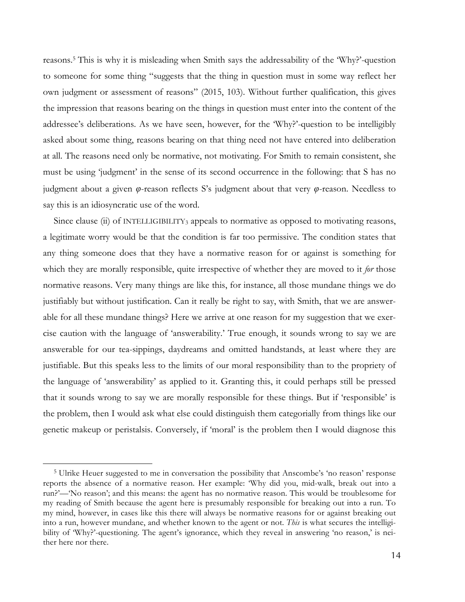reasons. <sup>5</sup> This is why it is misleading when Smith says the addressability of the 'Why?'-question to someone for some thing "suggests that the thing in question must in some way reflect her own judgment or assessment of reasons" (2015, 103). Without further qualification, this gives the impression that reasons bearing on the things in question must enter into the content of the addressee's deliberations. As we have seen, however, for the 'Why?'-question to be intelligibly asked about some thing, reasons bearing on that thing need not have entered into deliberation at all. The reasons need only be normative, not motivating. For Smith to remain consistent, she must be using 'judgment' in the sense of its second occurrence in the following: that S has no judgment about a given *φ*-reason reflects S's judgment about that very *φ*-reason. Needless to say this is an idiosyncratic use of the word.

Since clause (ii) of INTELLIGIBILITY3 appeals to normative as opposed to motivating reasons, a legitimate worry would be that the condition is far too permissive. The condition states that any thing someone does that they have a normative reason for or against is something for which they are morally responsible, quite irrespective of whether they are moved to it *for* those normative reasons. Very many things are like this, for instance, all those mundane things we do justifiably but without justification. Can it really be right to say, with Smith, that we are answerable for all these mundane things? Here we arrive at one reason for my suggestion that we exercise caution with the language of 'answerability.' True enough, it sounds wrong to say we are answerable for our tea-sippings, daydreams and omitted handstands, at least where they are justifiable. But this speaks less to the limits of our moral responsibility than to the propriety of the language of 'answerability' as applied to it. Granting this, it could perhaps still be pressed that it sounds wrong to say we are morally responsible for these things. But if 'responsible' is the problem, then I would ask what else could distinguish them categorially from things like our genetic makeup or peristalsis. Conversely, if 'moral' is the problem then I would diagnose this

<sup>5</sup> Ulrike Heuer suggested to me in conversation the possibility that Anscombe's 'no reason' response reports the absence of a normative reason. Her example: 'Why did you, mid-walk, break out into a run?'—'No reason'; and this means: the agent has no normative reason. This would be troublesome for my reading of Smith because the agent here is presumably responsible for breaking out into a run. To my mind, however, in cases like this there will always be normative reasons for or against breaking out into a run, however mundane, and whether known to the agent or not. *This* is what secures the intelligibility of 'Why?'-questioning. The agent's ignorance, which they reveal in answering 'no reason,' is neither here nor there.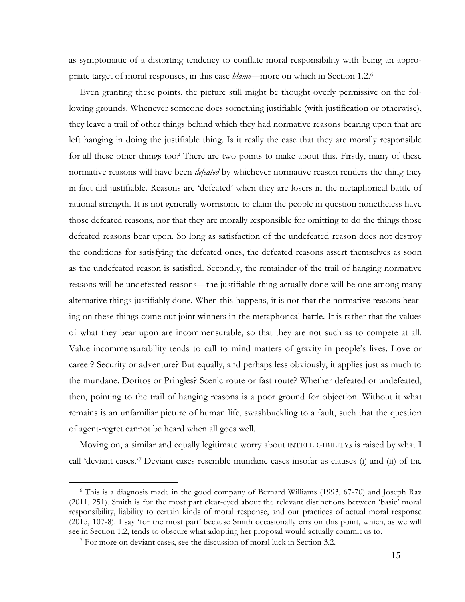as symptomatic of a distorting tendency to conflate moral responsibility with being an appropriate target of moral responses, in this case *blame*—more on which in Section 1.2. 6

Even granting these points, the picture still might be thought overly permissive on the following grounds. Whenever someone does something justifiable (with justification or otherwise), they leave a trail of other things behind which they had normative reasons bearing upon that are left hanging in doing the justifiable thing. Is it really the case that they are morally responsible for all these other things too? There are two points to make about this. Firstly, many of these normative reasons will have been *defeated* by whichever normative reason renders the thing they in fact did justifiable. Reasons are 'defeated' when they are losers in the metaphorical battle of rational strength. It is not generally worrisome to claim the people in question nonetheless have those defeated reasons, nor that they are morally responsible for omitting to do the things those defeated reasons bear upon. So long as satisfaction of the undefeated reason does not destroy the conditions for satisfying the defeated ones, the defeated reasons assert themselves as soon as the undefeated reason is satisfied. Secondly, the remainder of the trail of hanging normative reasons will be undefeated reasons—the justifiable thing actually done will be one among many alternative things justifiably done. When this happens, it is not that the normative reasons bearing on these things come out joint winners in the metaphorical battle. It is rather that the values of what they bear upon are incommensurable, so that they are not such as to compete at all. Value incommensurability tends to call to mind matters of gravity in people's lives. Love or career? Security or adventure? But equally, and perhaps less obviously, it applies just as much to the mundane. Doritos or Pringles? Scenic route or fast route? Whether defeated or undefeated, then, pointing to the trail of hanging reasons is a poor ground for objection. Without it what remains is an unfamiliar picture of human life, swashbuckling to a fault, such that the question of agent-regret cannot be heard when all goes well.

Moving on, a similar and equally legitimate worry about INTELLIGIBILITY3 is raised by what I call 'deviant cases.'7 Deviant cases resemble mundane cases insofar as clauses (i) and (ii) of the

<sup>6</sup> This is a diagnosis made in the good company of Bernard Williams (1993, 67-70) and Joseph Raz (2011, 251). Smith is for the most part clear-eyed about the relevant distinctions between 'basic' moral responsibility, liability to certain kinds of moral response, and our practices of actual moral response (2015, 107-8). I say 'for the most part' because Smith occasionally errs on this point, which, as we will see in Section 1.2, tends to obscure what adopting her proposal would actually commit us to.

<sup>7</sup> For more on deviant cases, see the discussion of moral luck in Section 3.2.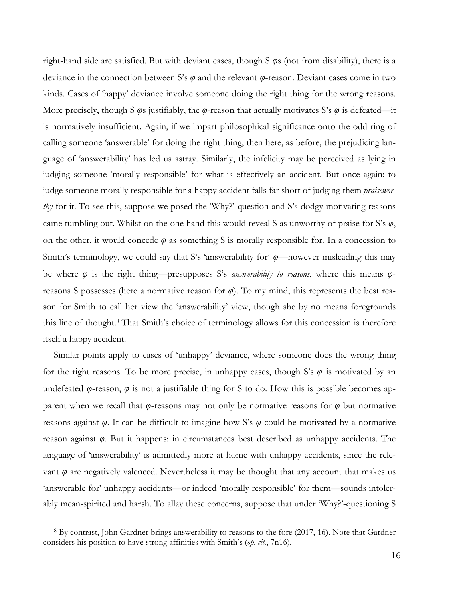right-hand side are satisfied. But with deviant cases, though S *φ*s (not from disability), there is a deviance in the connection between S's *φ* and the relevant *φ*-reason. Deviant cases come in two kinds. Cases of 'happy' deviance involve someone doing the right thing for the wrong reasons. More precisely, though S *φ*s justifiably, the *φ*-reason that actually motivates S's *φ* is defeated—it is normatively insufficient. Again, if we impart philosophical significance onto the odd ring of calling someone 'answerable' for doing the right thing, then here, as before, the prejudicing language of 'answerability' has led us astray. Similarly, the infelicity may be perceived as lying in judging someone 'morally responsible' for what is effectively an accident. But once again: to judge someone morally responsible for a happy accident falls far short of judging them *praiseworthy* for it. To see this, suppose we posed the 'Why?'-question and S's dodgy motivating reasons came tumbling out. Whilst on the one hand this would reveal S as unworthy of praise for S's *φ*, on the other, it would concede  $\varphi$  as something S is morally responsible for. In a concession to Smith's terminology, we could say that S's 'answerability for' *φ*—however misleading this may be where *φ* is the right thing—presupposes S's *answerability to reasons*, where this means *φ*reasons S possesses (here a normative reason for *φ*). To my mind, this represents the best reason for Smith to call her view the 'answerability' view, though she by no means foregrounds this line of thought.8 That Smith's choice of terminology allows for this concession is therefore itself a happy accident.

Similar points apply to cases of 'unhappy' deviance, where someone does the wrong thing for the right reasons. To be more precise, in unhappy cases, though S's  $\varphi$  is motivated by an undefeated  $\varphi$ -reason,  $\varphi$  is not a justifiable thing for S to do. How this is possible becomes apparent when we recall that *φ*-reasons may not only be normative reasons for *φ* but normative reasons against *φ*. It can be difficult to imagine how S's *φ* could be motivated by a normative reason against *φ*. But it happens: in circumstances best described as unhappy accidents. The language of 'answerability' is admittedly more at home with unhappy accidents, since the relevant  $\varphi$  are negatively valenced. Nevertheless it may be thought that any account that makes us 'answerable for' unhappy accidents—or indeed 'morally responsible' for them—sounds intolerably mean-spirited and harsh. To allay these concerns, suppose that under 'Why?'-questioning S

<sup>8</sup> By contrast, John Gardner brings answerability to reasons to the fore (2017, 16). Note that Gardner considers his position to have strong affinities with Smith's (*op. cit.*, 7n16).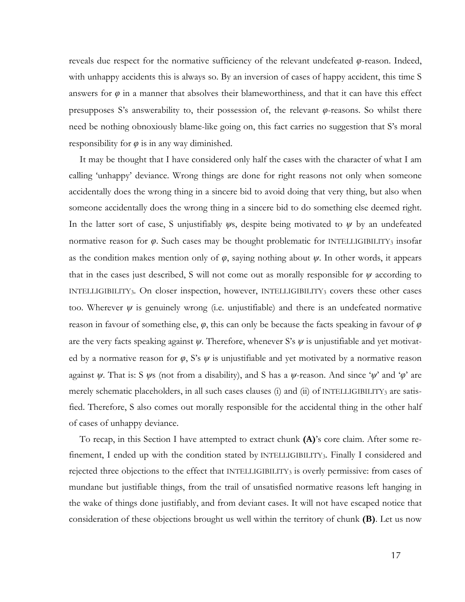reveals due respect for the normative sufficiency of the relevant undefeated *φ*-reason. Indeed, with unhappy accidents this is always so. By an inversion of cases of happy accident, this time S answers for  $\varphi$  in a manner that absolves their blameworthiness, and that it can have this effect presupposes S's answerability to, their possession of, the relevant *φ*-reasons. So whilst there need be nothing obnoxiously blame-like going on, this fact carries no suggestion that S's moral responsibility for  $\varphi$  is in any way diminished.

It may be thought that I have considered only half the cases with the character of what I am calling 'unhappy' deviance. Wrong things are done for right reasons not only when someone accidentally does the wrong thing in a sincere bid to avoid doing that very thing, but also when someone accidentally does the wrong thing in a sincere bid to do something else deemed right. In the latter sort of case, S unjustifiably *ψ*s, despite being motivated to *ψ* by an undefeated normative reason for *φ*. Such cases may be thought problematic for INTELLIGIBILITY3 insofar as the condition makes mention only of  $\varphi$ , saying nothing about  $\psi$ . In other words, it appears that in the cases just described, S will not come out as morally responsible for  $\psi$  according to INTELLIGIBILITY<sub>3</sub>. On closer inspection, however, INTELLIGIBILITY<sub>3</sub> covers these other cases too. Wherever  $\psi$  is genuinely wrong (i.e. unjustifiable) and there is an undefeated normative reason in favour of something else,  $\varphi$ , this can only be because the facts speaking in favour of  $\varphi$ are the very facts speaking against *ψ*. Therefore, whenever S's *ψ* is unjustifiable and yet motivated by a normative reason for  $\varphi$ , S's  $\psi$  is unjustifiable and yet motivated by a normative reason against *ψ*. That is: S *ψ*s (not from a disability), and S has a *ψ*-reason. And since '*ψ*' and '*φ*' are merely schematic placeholders, in all such cases clauses (i) and (ii) of INTELLIGIBILITY3 are satisfied. Therefore, S also comes out morally responsible for the accidental thing in the other half of cases of unhappy deviance.

To recap, in this Section I have attempted to extract chunk **(A)**'s core claim. After some refinement, I ended up with the condition stated by INTELLIGIBILITY3. Finally I considered and rejected three objections to the effect that INTELLIGIBILITY3 is overly permissive: from cases of mundane but justifiable things, from the trail of unsatisfied normative reasons left hanging in the wake of things done justifiably, and from deviant cases. It will not have escaped notice that consideration of these objections brought us well within the territory of chunk **(B)**. Let us now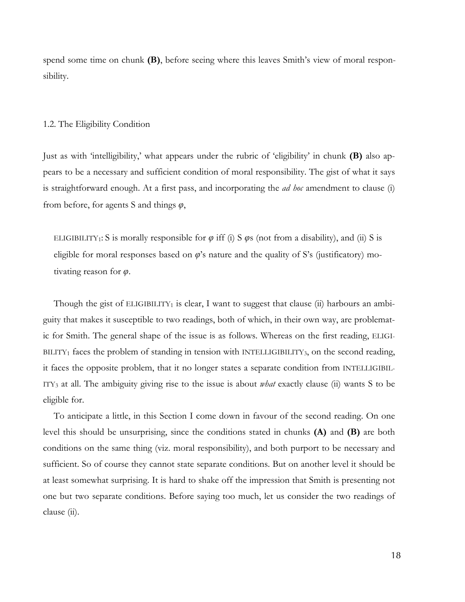spend some time on chunk **(B)**, before seeing where this leaves Smith's view of moral responsibility.

#### 1.2. The Eligibility Condition

Just as with 'intelligibility,' what appears under the rubric of 'eligibility' in chunk **(B)** also appears to be a necessary and sufficient condition of moral responsibility. The gist of what it says is straightforward enough. At a first pass, and incorporating the *ad hoc* amendment to clause (i) from before, for agents S and things *φ*,

ELIGIBILITY<sub>1</sub>: S is morally responsible for  $\varphi$  iff (i) S  $\varphi$ s (not from a disability), and (ii) S is eligible for moral responses based on *φ*'s nature and the quality of S's (justificatory) motivating reason for *φ*.

Though the gist of ELIGIBILITY<sub>1</sub> is clear, I want to suggest that clause (ii) harbours an ambiguity that makes it susceptible to two readings, both of which, in their own way, are problematic for Smith. The general shape of the issue is as follows. Whereas on the first reading, ELIGI- $BLITY<sub>1</sub>$  faces the problem of standing in tension with INTELLIGIBILITY<sub>3</sub>, on the second reading, it faces the opposite problem, that it no longer states a separate condition from INTELLIGIBIL-ITY3 at all. The ambiguity giving rise to the issue is about *what* exactly clause (ii) wants S to be eligible for.

To anticipate a little, in this Section I come down in favour of the second reading. On one level this should be unsurprising, since the conditions stated in chunks **(A)** and **(B)** are both conditions on the same thing (viz. moral responsibility), and both purport to be necessary and sufficient. So of course they cannot state separate conditions. But on another level it should be at least somewhat surprising. It is hard to shake off the impression that Smith is presenting not one but two separate conditions. Before saying too much, let us consider the two readings of clause (ii).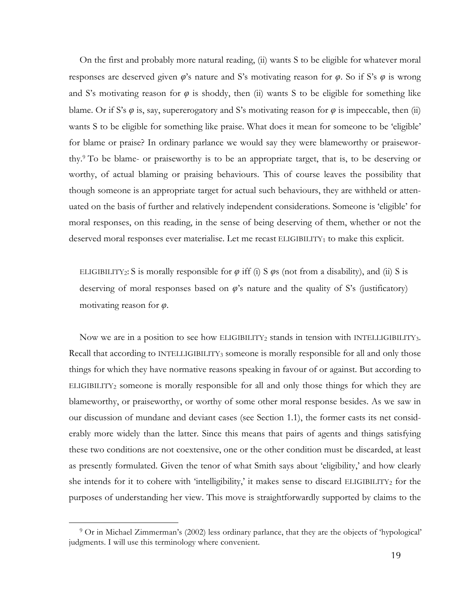On the first and probably more natural reading, (ii) wants S to be eligible for whatever moral responses are deserved given *φ*'s nature and S's motivating reason for *φ*. So if S's *φ* is wrong and S's motivating reason for  $\varphi$  is shoddy, then (ii) wants S to be eligible for something like blame. Or if S's  $\varphi$  is, say, supererogatory and S's motivating reason for  $\varphi$  is impeccable, then (ii) wants S to be eligible for something like praise. What does it mean for someone to be 'eligible' for blame or praise? In ordinary parlance we would say they were blameworthy or praiseworthy.9 To be blame- or praiseworthy is to be an appropriate target, that is, to be deserving or worthy, of actual blaming or praising behaviours. This of course leaves the possibility that though someone is an appropriate target for actual such behaviours, they are withheld or attenuated on the basis of further and relatively independent considerations. Someone is 'eligible' for moral responses, on this reading, in the sense of being deserving of them, whether or not the deserved moral responses ever materialise. Let me recast ELIGIBILITY<sub>1</sub> to make this explicit.

ELIGIBILITY<sub>2</sub>: S is morally responsible for  $\varphi$  iff (i) S  $\varphi$ s (not from a disability), and (ii) S is deserving of moral responses based on *φ*'s nature and the quality of S's (justificatory) motivating reason for *φ*.

Now we are in a position to see how ELIGIBILITY<sub>2</sub> stands in tension with INTELLIGIBILITY<sub>3</sub>. Recall that according to INTELLIGIBILITY3 someone is morally responsible for all and only those things for which they have normative reasons speaking in favour of or against. But according to ELIGIBILITY2 someone is morally responsible for all and only those things for which they are blameworthy, or praiseworthy, or worthy of some other moral response besides. As we saw in our discussion of mundane and deviant cases (see Section 1.1), the former casts its net considerably more widely than the latter. Since this means that pairs of agents and things satisfying these two conditions are not coextensive, one or the other condition must be discarded, at least as presently formulated. Given the tenor of what Smith says about 'eligibility,' and how clearly she intends for it to cohere with 'intelligibility,' it makes sense to discard ELIGIBILITY<sub>2</sub> for the purposes of understanding her view. This move is straightforwardly supported by claims to the

<sup>9</sup> Or in Michael Zimmerman's (2002) less ordinary parlance, that they are the objects of 'hypological' judgments. I will use this terminology where convenient.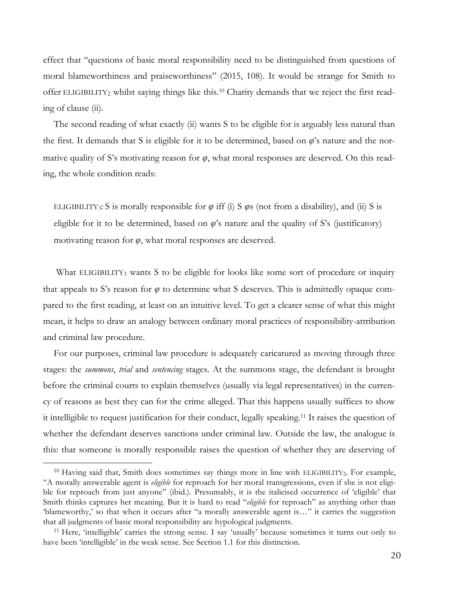effect that "questions of basic moral responsibility need to be distinguished from questions of moral blameworthiness and praiseworthiness" (2015, 108). It would be strange for Smith to offer ELIGIBILITY2 whilst saying things like this.10 Charity demands that we reject the first reading of clause (ii).

The second reading of what exactly (ii) wants S to be eligible for is arguably less natural than the first. It demands that S is eligible for it to be determined, based on *φ*'s nature and the normative quality of S's motivating reason for  $\varphi$ , what moral responses are deserved. On this reading, the whole condition reads:

ELIGIBILITY<sub>3</sub>: S is morally responsible for  $\varphi$  iff (i) S  $\varphi$ s (not from a disability), and (ii) S is eligible for it to be determined, based on  $\varphi$ 's nature and the quality of S's (justificatory) motivating reason for *φ*, what moral responses are deserved.

What ELIGIBILITY<sub>3</sub> wants S to be eligible for looks like some sort of procedure or inquiry that appeals to S's reason for  $\varphi$  to determine what S deserves. This is admittedly opaque compared to the first reading, at least on an intuitive level. To get a clearer sense of what this might mean, it helps to draw an analogy between ordinary moral practices of responsibility-attribution and criminal law procedure.

For our purposes, criminal law procedure is adequately caricatured as moving through three stages: the *summons*, *trial* and *sentencing* stages. At the summons stage, the defendant is brought before the criminal courts to explain themselves (usually via legal representatives) in the currency of reasons as best they can for the crime alleged. That this happens usually suffices to show it intelligible to request justification for their conduct, legally speaking.11 It raises the question of whether the defendant deserves sanctions under criminal law. Outside the law, the analogue is this: that someone is morally responsible raises the question of whether they are deserving of

<sup>&</sup>lt;sup>10</sup> Having said that, Smith does sometimes say things more in line with ELIGIBILITY2. For example, "A morally answerable agent is *eligible* for reproach for her moral transgressions, even if she is not eligible for reproach from just anyone" (ibid.). Presumably, it is the italicised occurrence of 'eligible' that Smith thinks captures her meaning. But it is hard to read "*eligible* for reproach" as anything other than 'blameworthy,' so that when it occurs after "a morally answerable agent is…" it carries the suggestion that all judgments of basic moral responsibility are hypological judgments.

<sup>11</sup> Here, 'intelligible' carries the strong sense. I say 'usually' because sometimes it turns out only to have been 'intelligible' in the weak sense. See Section 1.1 for this distinction.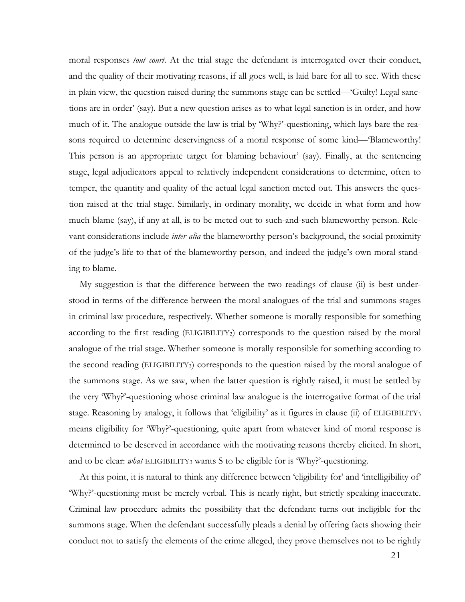moral responses *tout court*. At the trial stage the defendant is interrogated over their conduct, and the quality of their motivating reasons, if all goes well, is laid bare for all to see. With these in plain view, the question raised during the summons stage can be settled—'Guilty! Legal sanctions are in order' (say). But a new question arises as to what legal sanction is in order, and how much of it. The analogue outside the law is trial by 'Why?'-questioning, which lays bare the reasons required to determine deservingness of a moral response of some kind—'Blameworthy! This person is an appropriate target for blaming behaviour' (say). Finally, at the sentencing stage, legal adjudicators appeal to relatively independent considerations to determine, often to temper, the quantity and quality of the actual legal sanction meted out. This answers the question raised at the trial stage. Similarly, in ordinary morality, we decide in what form and how much blame (say), if any at all, is to be meted out to such-and-such blameworthy person. Relevant considerations include *inter alia* the blameworthy person's background, the social proximity of the judge's life to that of the blameworthy person, and indeed the judge's own moral standing to blame.

My suggestion is that the difference between the two readings of clause (ii) is best understood in terms of the difference between the moral analogues of the trial and summons stages in criminal law procedure, respectively. Whether someone is morally responsible for something according to the first reading  $(ELIGBILITY<sub>2</sub>)$  corresponds to the question raised by the moral analogue of the trial stage. Whether someone is morally responsible for something according to the second reading (ELIGIBILITY3) corresponds to the question raised by the moral analogue of the summons stage. As we saw, when the latter question is rightly raised, it must be settled by the very 'Why?'-questioning whose criminal law analogue is the interrogative format of the trial stage. Reasoning by analogy, it follows that 'eligibility' as it figures in clause (ii) of ELIGIBILITY3 means eligibility for 'Why?'-questioning, quite apart from whatever kind of moral response is determined to be deserved in accordance with the motivating reasons thereby elicited. In short, and to be clear: *what* ELIGIBILITY3 wants S to be eligible for is 'Why?'-questioning.

At this point, it is natural to think any difference between 'eligibility for' and 'intelligibility of' 'Why?'-questioning must be merely verbal. This is nearly right, but strictly speaking inaccurate. Criminal law procedure admits the possibility that the defendant turns out ineligible for the summons stage. When the defendant successfully pleads a denial by offering facts showing their conduct not to satisfy the elements of the crime alleged, they prove themselves not to be rightly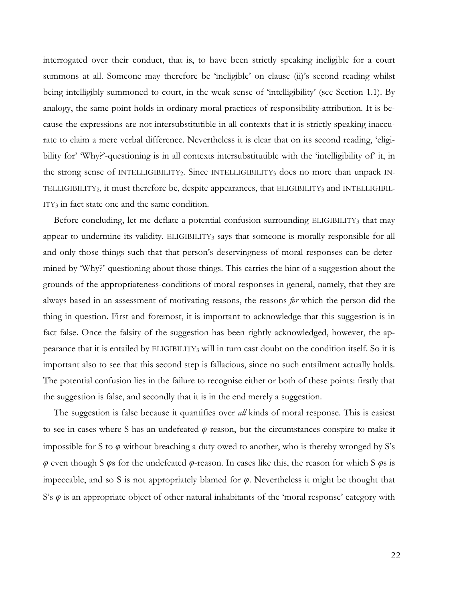interrogated over their conduct, that is, to have been strictly speaking ineligible for a court summons at all. Someone may therefore be 'ineligible' on clause (ii)'s second reading whilst being intelligibly summoned to court, in the weak sense of 'intelligibility' (see Section 1.1). By analogy, the same point holds in ordinary moral practices of responsibility-attribution. It is because the expressions are not intersubstitutible in all contexts that it is strictly speaking inaccurate to claim a mere verbal difference. Nevertheless it is clear that on its second reading, 'eligibility for' 'Why?'-questioning is in all contexts intersubstitutible with the 'intelligibility of' it, in the strong sense of INTELLIGIBILITY2. Since INTELLIGIBILITY3 does no more than unpack IN-TELLIGIBILITY2, it must therefore be, despite appearances, that ELIGIBILITY3 and INTELLIGIBIL-ITY3 in fact state one and the same condition.

Before concluding, let me deflate a potential confusion surrounding ELIGIBILITY3 that may appear to undermine its validity. ELIGIBILITY3 says that someone is morally responsible for all and only those things such that that person's deservingness of moral responses can be determined by 'Why?'-questioning about those things. This carries the hint of a suggestion about the grounds of the appropriateness-conditions of moral responses in general, namely, that they are always based in an assessment of motivating reasons, the reasons *for* which the person did the thing in question. First and foremost, it is important to acknowledge that this suggestion is in fact false. Once the falsity of the suggestion has been rightly acknowledged, however, the appearance that it is entailed by ELIGIBILITY3 will in turn cast doubt on the condition itself. So it is important also to see that this second step is fallacious, since no such entailment actually holds. The potential confusion lies in the failure to recognise either or both of these points: firstly that the suggestion is false, and secondly that it is in the end merely a suggestion.

The suggestion is false because it quantifies over *all* kinds of moral response. This is easiest to see in cases where S has an undefeated *φ*-reason, but the circumstances conspire to make it impossible for S to *φ* without breaching a duty owed to another, who is thereby wronged by S's *φ* even though S *φ*s for the undefeated *φ*-reason. In cases like this, the reason for which S *φ*s is impeccable, and so S is not appropriately blamed for *φ*. Nevertheless it might be thought that S's *φ* is an appropriate object of other natural inhabitants of the 'moral response' category with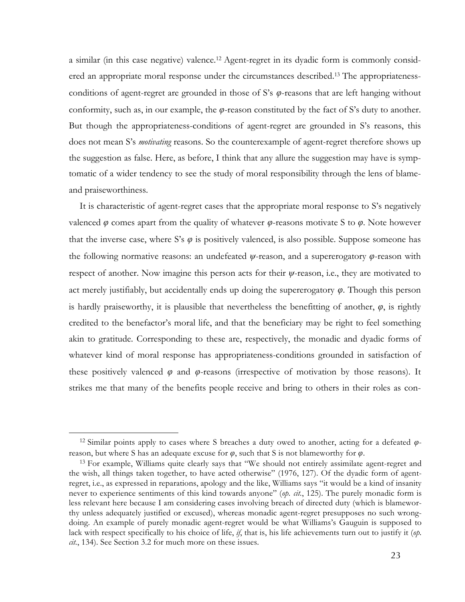a similar (in this case negative) valence.12 Agent-regret in its dyadic form is commonly considered an appropriate moral response under the circumstances described. <sup>13</sup> The appropriatenessconditions of agent-regret are grounded in those of S's *φ*-reasons that are left hanging without conformity, such as, in our example, the *φ*-reason constituted by the fact of S's duty to another. But though the appropriateness-conditions of agent-regret are grounded in S's reasons, this does not mean S's *motivating* reasons. So the counterexample of agent-regret therefore shows up the suggestion as false. Here, as before, I think that any allure the suggestion may have is symptomatic of a wider tendency to see the study of moral responsibility through the lens of blameand praiseworthiness.

It is characteristic of agent-regret cases that the appropriate moral response to S's negatively valenced *φ* comes apart from the quality of whatever *φ*-reasons motivate S to *φ*. Note however that the inverse case, where S's  $\varphi$  is positively valenced, is also possible. Suppose someone has the following normative reasons: an undefeated *ψ*-reason, and a supererogatory *φ*-reason with respect of another. Now imagine this person acts for their *ψ*-reason, i.e., they are motivated to act merely justifiably, but accidentally ends up doing the supererogatory *φ*. Though this person is hardly praiseworthy, it is plausible that nevertheless the benefitting of another,  $\varphi$ , is rightly credited to the benefactor's moral life, and that the beneficiary may be right to feel something akin to gratitude. Corresponding to these are, respectively, the monadic and dyadic forms of whatever kind of moral response has appropriateness-conditions grounded in satisfaction of these positively valenced  $\varphi$  and  $\varphi$ -reasons (irrespective of motivation by those reasons). It strikes me that many of the benefits people receive and bring to others in their roles as con-

<sup>12</sup> Similar points apply to cases where S breaches a duty owed to another, acting for a defeated *φ*reason, but where S has an adequate excuse for *φ*, such that S is not blameworthy for *φ*.

<sup>13</sup> For example, Williams quite clearly says that "We should not entirely assimilate agent-regret and the wish, all things taken together, to have acted otherwise" (1976, 127). Of the dyadic form of agentregret, i.e., as expressed in reparations, apology and the like, Williams says "it would be a kind of insanity never to experience sentiments of this kind towards anyone" (*op. cit.*, 125). The purely monadic form is less relevant here because I am considering cases involving breach of directed duty (which is blameworthy unless adequately justified or excused), whereas monadic agent-regret presupposes no such wrongdoing. An example of purely monadic agent-regret would be what Williams's Gauguin is supposed to lack with respect specifically to his choice of life, *if*, that is, his life achievements turn out to justify it (*op. cit.*, 134). See Section 3.2 for much more on these issues.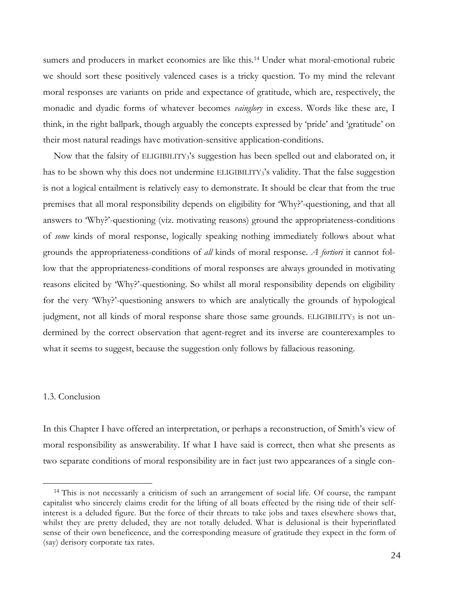sumers and producers in market economies are like this.14 Under what moral-emotional rubric we should sort these positively valenced cases is a tricky question. To my mind the relevant moral responses are variants on pride and expectance of gratitude, which are, respectively, the monadic and dyadic forms of whatever becomes *vainglory* in excess. Words like these are, I think, in the right ballpark, though arguably the concepts expressed by 'pride' and 'gratitude' on their most natural readings have motivation-sensitive application-conditions.

Now that the falsity of ELIGIBILITY3's suggestion has been spelled out and elaborated on, it has to be shown why this does not undermine ELIGIBILITY3's validity. That the false suggestion is not a logical entailment is relatively easy to demonstrate. It should be clear that from the true premises that all moral responsibility depends on eligibility for 'Why?'-questioning, and that all answers to 'Why?'-questioning (viz. motivating reasons) ground the appropriateness-conditions of *some* kinds of moral response, logically speaking nothing immediately follows about what grounds the appropriateness-conditions of *all* kinds of moral response. *A fortiori* it cannot follow that the appropriateness-conditions of moral responses are always grounded in motivating reasons elicited by 'Why?'-questioning. So whilst all moral responsibility depends on eligibility for the very 'Why?'-questioning answers to which are analytically the grounds of hypological judgment, not all kinds of moral response share those same grounds. ELIGIBILITY3 is not undermined by the correct observation that agent-regret and its inverse are counterexamples to what it seems to suggest, because the suggestion only follows by fallacious reasoning.

#### 1.3. Conclusion

 

In this Chapter I have offered an interpretation, or perhaps a reconstruction, of Smith's view of moral responsibility as answerability. If what I have said is correct, then what she presents as two separate conditions of moral responsibility are in fact just two appearances of a single con-

<sup>14</sup> This is not necessarily a criticism of such an arrangement of social life. Of course, the rampant capitalist who sincerely claims credit for the lifting of all boats effected by the rising tide of their selfinterest is a deluded figure. But the force of their threats to take jobs and taxes elsewhere shows that, whilst they are pretty deluded, they are not totally deluded. What is delusional is their hyperinflated sense of their own beneficence, and the corresponding measure of gratitude they expect in the form of (say) derisory corporate tax rates.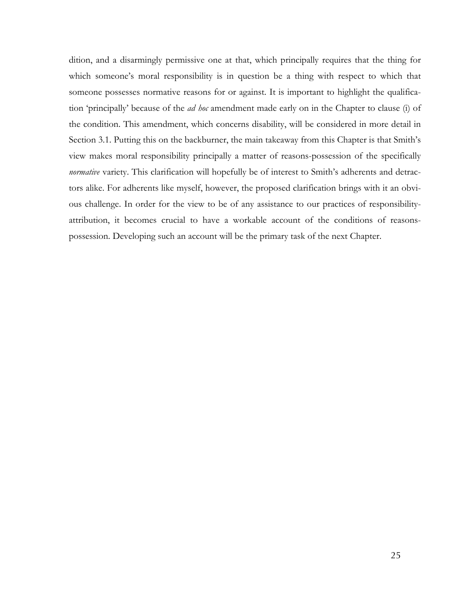dition, and a disarmingly permissive one at that, which principally requires that the thing for which someone's moral responsibility is in question be a thing with respect to which that someone possesses normative reasons for or against. It is important to highlight the qualification 'principally' because of the *ad hoc* amendment made early on in the Chapter to clause (i) of the condition. This amendment, which concerns disability, will be considered in more detail in Section 3.1. Putting this on the backburner, the main takeaway from this Chapter is that Smith's view makes moral responsibility principally a matter of reasons-possession of the specifically *normative variety*. This clarification will hopefully be of interest to Smith's adherents and detractors alike. For adherents like myself, however, the proposed clarification brings with it an obvious challenge. In order for the view to be of any assistance to our practices of responsibilityattribution, it becomes crucial to have a workable account of the conditions of reasonspossession. Developing such an account will be the primary task of the next Chapter.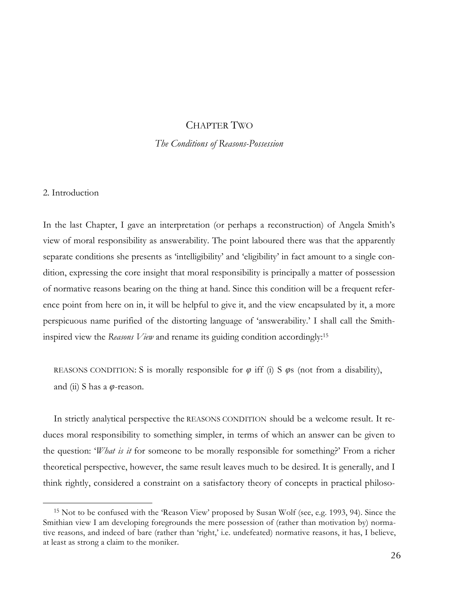# CHAPTER TWO

## *The Conditions of Reasons-Possession*

#### 2. Introduction

 

In the last Chapter, I gave an interpretation (or perhaps a reconstruction) of Angela Smith's view of moral responsibility as answerability. The point laboured there was that the apparently separate conditions she presents as 'intelligibility' and 'eligibility' in fact amount to a single condition, expressing the core insight that moral responsibility is principally a matter of possession of normative reasons bearing on the thing at hand. Since this condition will be a frequent reference point from here on in, it will be helpful to give it, and the view encapsulated by it, a more perspicuous name purified of the distorting language of 'answerability.' I shall call the Smithinspired view the *Reasons View* and rename its guiding condition accordingly: 15

REASONS CONDITION: S is morally responsible for  $\varphi$  iff (i) S  $\varphi$ s (not from a disability), and (ii) S has a *φ*-reason.

In strictly analytical perspective the REASONS CONDITION should be a welcome result. It reduces moral responsibility to something simpler, in terms of which an answer can be given to the question: '*What is it* for someone to be morally responsible for something?' From a richer theoretical perspective, however, the same result leaves much to be desired. It is generally, and I think rightly, considered a constraint on a satisfactory theory of concepts in practical philoso-

<sup>15</sup> Not to be confused with the 'Reason View' proposed by Susan Wolf (see, e.g. 1993, 94). Since the Smithian view I am developing foregrounds the mere possession of (rather than motivation by) normative reasons, and indeed of bare (rather than 'right,' i.e. undefeated) normative reasons, it has, I believe, at least as strong a claim to the moniker.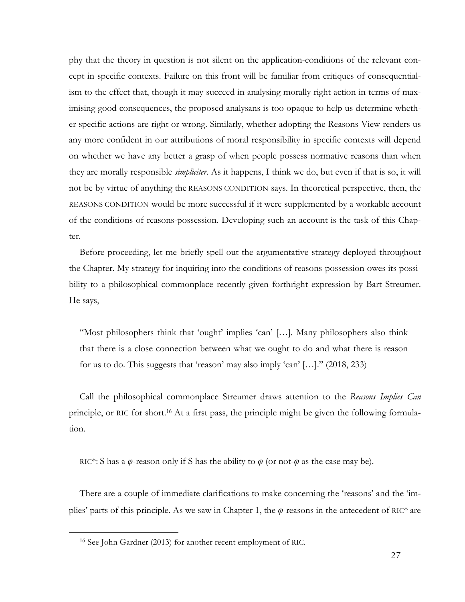phy that the theory in question is not silent on the application-conditions of the relevant concept in specific contexts. Failure on this front will be familiar from critiques of consequentialism to the effect that, though it may succeed in analysing morally right action in terms of maximising good consequences, the proposed analysans is too opaque to help us determine whether specific actions are right or wrong. Similarly, whether adopting the Reasons View renders us any more confident in our attributions of moral responsibility in specific contexts will depend on whether we have any better a grasp of when people possess normative reasons than when they are morally responsible *simpliciter*. As it happens, I think we do, but even if that is so, it will not be by virtue of anything the REASONS CONDITION says. In theoretical perspective, then, the REASONS CONDITION would be more successful if it were supplemented by a workable account of the conditions of reasons-possession. Developing such an account is the task of this Chapter.

Before proceeding, let me briefly spell out the argumentative strategy deployed throughout the Chapter. My strategy for inquiring into the conditions of reasons-possession owes its possibility to a philosophical commonplace recently given forthright expression by Bart Streumer. He says,

"Most philosophers think that 'ought' implies 'can' […]. Many philosophers also think that there is a close connection between what we ought to do and what there is reason for us to do. This suggests that 'reason' may also imply 'can'  $[\ldots]$ ." (2018, 233)

Call the philosophical commonplace Streumer draws attention to the *Reasons Implies Can*  principle, or RIC for short.16 At a first pass, the principle might be given the following formulation.

RIC<sup>\*</sup>: S has a  $\varphi$ -reason only if S has the ability to  $\varphi$  (or not- $\varphi$  as the case may be).

There are a couple of immediate clarifications to make concerning the 'reasons' and the 'implies' parts of this principle. As we saw in Chapter 1, the *φ*-reasons in the antecedent of RIC\* are

<sup>16</sup> See John Gardner (2013) for another recent employment of RIC.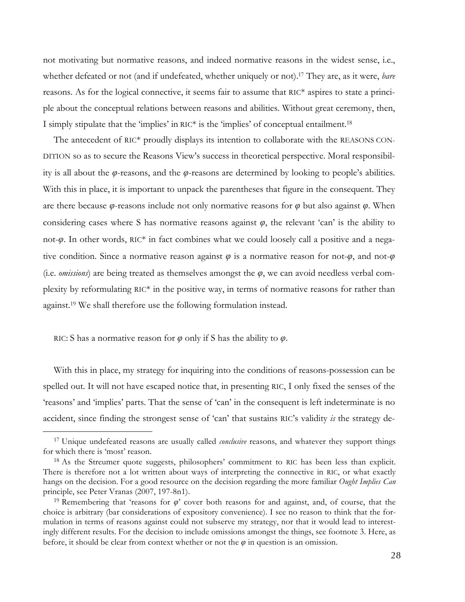not motivating but normative reasons, and indeed normative reasons in the widest sense, i.e., whether defeated or not (and if undefeated, whether uniquely or not).17 They are, as it were, *bare* reasons. As for the logical connective, it seems fair to assume that RIC\* aspires to state a principle about the conceptual relations between reasons and abilities. Without great ceremony, then, I simply stipulate that the 'implies' in RIC\* is the 'implies' of conceptual entailment.18

The antecedent of RIC\* proudly displays its intention to collaborate with the REASONS CON-DITION so as to secure the Reasons View's success in theoretical perspective. Moral responsibility is all about the *φ*-reasons, and the *φ*-reasons are determined by looking to people's abilities. With this in place, it is important to unpack the parentheses that figure in the consequent. They are there because *φ*-reasons include not only normative reasons for *φ* but also against *φ*. When considering cases where S has normative reasons against  $\varphi$ , the relevant 'can' is the ability to not-*φ*. In other words, RIC\* in fact combines what we could loosely call a positive and a negative condition. Since a normative reason against *φ* is a normative reason for not-*φ*, and not-*φ* (i.e. *omissions*) are being treated as themselves amongst the *φ*, we can avoid needless verbal complexity by reformulating  $RIC^*$  in the positive way, in terms of normative reasons for rather than against.19 We shall therefore use the following formulation instead.

RIC: S has a normative reason for *φ* only if S has the ability to *φ*.

 

With this in place, my strategy for inquiring into the conditions of reasons-possession can be spelled out. It will not have escaped notice that, in presenting RIC, I only fixed the senses of the 'reasons' and 'implies' parts. That the sense of 'can' in the consequent is left indeterminate is no accident, since finding the strongest sense of 'can' that sustains RIC's validity *is* the strategy de-

<sup>17</sup> Unique undefeated reasons are usually called *conclusive* reasons, and whatever they support things for which there is 'most' reason.

<sup>&</sup>lt;sup>18</sup> As the Streumer quote suggests, philosophers' commitment to RIC has been less than explicit. There is therefore not a lot written about ways of interpreting the connective in RIC, or what exactly hangs on the decision. For a good resource on the decision regarding the more familiar *Ought Implies Can* principle, see Peter Vranas (2007, 197-8n1).

<sup>19</sup> Remembering that 'reasons for *φ*' cover both reasons for and against, and, of course, that the choice is arbitrary (bar considerations of expository convenience). I see no reason to think that the formulation in terms of reasons against could not subserve my strategy, nor that it would lead to interestingly different results. For the decision to include omissions amongst the things, see footnote 3. Here, as before, it should be clear from context whether or not the  $\varphi$  in question is an omission.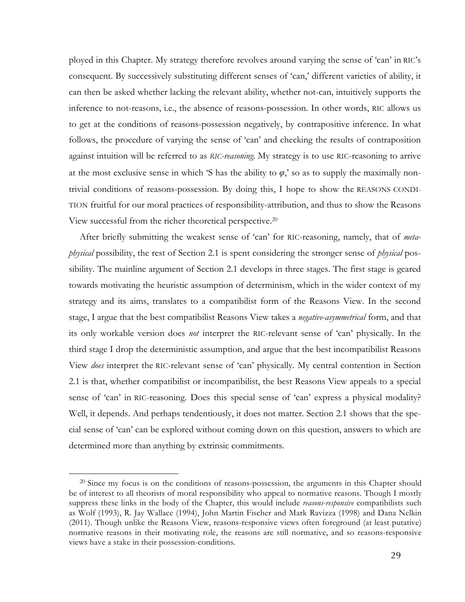ployed in this Chapter. My strategy therefore revolves around varying the sense of 'can' in RIC's consequent. By successively substituting different senses of 'can,' different varieties of ability, it can then be asked whether lacking the relevant ability, whether not-can, intuitively supports the inference to not-reasons, i.e., the absence of reasons-possession. In other words, RIC allows us to get at the conditions of reasons-possession negatively, by contrapositive inference. In what follows, the procedure of varying the sense of 'can' and checking the results of contraposition against intuition will be referred to as *RIC-reasoning*. My strategy is to use RIC-reasoning to arrive at the most exclusive sense in which 'S has the ability to  $\varphi$ ,' so as to supply the maximally nontrivial conditions of reasons-possession. By doing this, I hope to show the REASONS CONDI-TION fruitful for our moral practices of responsibility-attribution, and thus to show the Reasons View successful from the richer theoretical perspective.20

After briefly submitting the weakest sense of 'can' for RIC-reasoning, namely, that of *metaphysical* possibility, the rest of Section 2.1 is spent considering the stronger sense of *physical* possibility. The mainline argument of Section 2.1 develops in three stages. The first stage is geared towards motivating the heuristic assumption of determinism, which in the wider context of my strategy and its aims, translates to a compatibilist form of the Reasons View. In the second stage, I argue that the best compatibilist Reasons View takes a *negative-asymmetrical* form, and that its only workable version does *not* interpret the RIC-relevant sense of 'can' physically. In the third stage I drop the deterministic assumption, and argue that the best incompatibilist Reasons View *does* interpret the RIC-relevant sense of 'can' physically. My central contention in Section 2.1 is that, whether compatibilist or incompatibilist, the best Reasons View appeals to a special sense of 'can' in RIC-reasoning. Does this special sense of 'can' express a physical modality? Well, it depends. And perhaps tendentiously, it does not matter. Section 2.1 shows that the special sense of 'can' can be explored without coming down on this question, answers to which are determined more than anything by extrinsic commitments.

 $20$  Since my focus is on the conditions of reasons-possession, the arguments in this Chapter should be of interest to all theorists of moral responsibility who appeal to normative reasons. Though I mostly suppress these links in the body of the Chapter, this would include *reasons-responsive* compatibilists such as Wolf (1993), R. Jay Wallace (1994), John Martin Fischer and Mark Ravizza (1998) and Dana Nelkin (2011). Though unlike the Reasons View, reasons-responsive views often foreground (at least putative) normative reasons in their motivating role, the reasons are still normative, and so reasons-responsive views have a stake in their possession-conditions.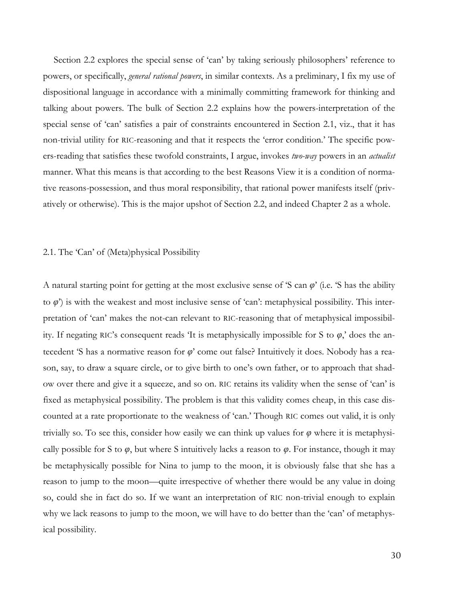Section 2.2 explores the special sense of 'can' by taking seriously philosophers' reference to powers, or specifically, *general rational powers*, in similar contexts. As a preliminary, I fix my use of dispositional language in accordance with a minimally committing framework for thinking and talking about powers. The bulk of Section 2.2 explains how the powers-interpretation of the special sense of 'can' satisfies a pair of constraints encountered in Section 2.1, viz., that it has non-trivial utility for RIC-reasoning and that it respects the 'error condition.' The specific powers-reading that satisfies these twofold constraints, I argue, invokes *two-way* powers in an *actualist* manner. What this means is that according to the best Reasons View it is a condition of normative reasons-possession, and thus moral responsibility, that rational power manifests itself (privatively or otherwise). This is the major upshot of Section 2.2, and indeed Chapter 2 as a whole.

#### 2.1. The 'Can' of (Meta)physical Possibility

A natural starting point for getting at the most exclusive sense of 'S can *φ*' (i.e. 'S has the ability to *φ*') is with the weakest and most inclusive sense of 'can': metaphysical possibility. This interpretation of 'can' makes the not-can relevant to RIC-reasoning that of metaphysical impossibility. If negating RIC's consequent reads 'It is metaphysically impossible for S to *φ*,' does the antecedent 'S has a normative reason for *φ*' come out false? Intuitively it does. Nobody has a reason, say, to draw a square circle, or to give birth to one's own father, or to approach that shadow over there and give it a squeeze, and so on. RIC retains its validity when the sense of 'can' is fixed as metaphysical possibility. The problem is that this validity comes cheap, in this case discounted at a rate proportionate to the weakness of 'can.' Though RIC comes out valid, it is only trivially so. To see this, consider how easily we can think up values for  $\varphi$  where it is metaphysically possible for S to  $\varphi$ , but where S intuitively lacks a reason to  $\varphi$ . For instance, though it may be metaphysically possible for Nina to jump to the moon, it is obviously false that she has a reason to jump to the moon—quite irrespective of whether there would be any value in doing so, could she in fact do so. If we want an interpretation of RIC non-trivial enough to explain why we lack reasons to jump to the moon, we will have to do better than the 'can' of metaphysical possibility.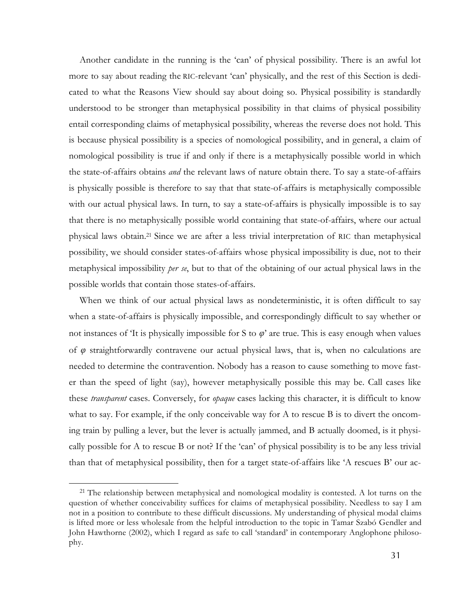Another candidate in the running is the 'can' of physical possibility. There is an awful lot more to say about reading the RIC-relevant 'can' physically, and the rest of this Section is dedicated to what the Reasons View should say about doing so. Physical possibility is standardly understood to be stronger than metaphysical possibility in that claims of physical possibility entail corresponding claims of metaphysical possibility, whereas the reverse does not hold. This is because physical possibility is a species of nomological possibility, and in general, a claim of nomological possibility is true if and only if there is a metaphysically possible world in which the state-of-affairs obtains *and* the relevant laws of nature obtain there. To say a state-of-affairs is physically possible is therefore to say that that state-of-affairs is metaphysically compossible with our actual physical laws. In turn, to say a state-of-affairs is physically impossible is to say that there is no metaphysically possible world containing that state-of-affairs, where our actual physical laws obtain. <sup>21</sup> Since we are after a less trivial interpretation of RIC than metaphysical possibility, we should consider states-of-affairs whose physical impossibility is due, not to their metaphysical impossibility *per se*, but to that of the obtaining of our actual physical laws in the possible worlds that contain those states-of-affairs.

When we think of our actual physical laws as nondeterministic, it is often difficult to say when a state-of-affairs is physically impossible, and correspondingly difficult to say whether or not instances of 'It is physically impossible for S to  $\varphi$ ' are true. This is easy enough when values of *φ* straightforwardly contravene our actual physical laws, that is, when no calculations are needed to determine the contravention. Nobody has a reason to cause something to move faster than the speed of light (say), however metaphysically possible this may be. Call cases like these *transparent* cases. Conversely, for *opaque* cases lacking this character, it is difficult to know what to say. For example, if the only conceivable way for A to rescue B is to divert the oncoming train by pulling a lever, but the lever is actually jammed, and B actually doomed, is it physically possible for A to rescue B or not? If the 'can' of physical possibility is to be any less trivial than that of metaphysical possibility, then for a target state-of-affairs like 'A rescues B' our ac-

<sup>&</sup>lt;sup>21</sup> The relationship between metaphysical and nomological modality is contested. A lot turns on the question of whether conceivability suffices for claims of metaphysical possibility. Needless to say I am not in a position to contribute to these difficult discussions. My understanding of physical modal claims is lifted more or less wholesale from the helpful introduction to the topic in Tamar Szabó Gendler and John Hawthorne (2002), which I regard as safe to call 'standard' in contemporary Anglophone philosophy.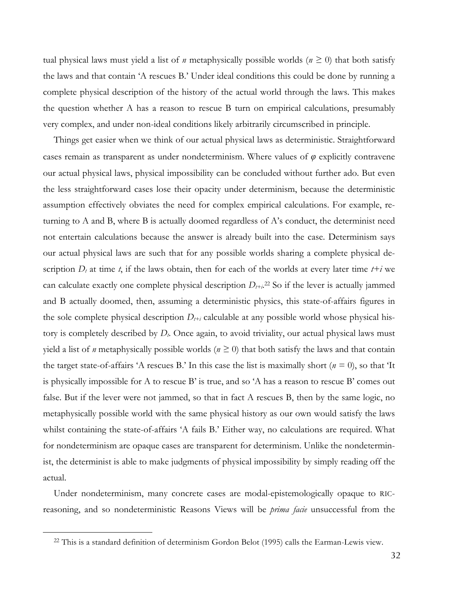tual physical laws must yield a list of *n* metaphysically possible worlds ( $n \ge 0$ ) that both satisfy the laws and that contain 'A rescues B.' Under ideal conditions this could be done by running a complete physical description of the history of the actual world through the laws. This makes the question whether A has a reason to rescue B turn on empirical calculations, presumably very complex, and under non-ideal conditions likely arbitrarily circumscribed in principle.

Things get easier when we think of our actual physical laws as deterministic. Straightforward cases remain as transparent as under nondeterminism. Where values of *φ* explicitly contravene our actual physical laws, physical impossibility can be concluded without further ado. But even the less straightforward cases lose their opacity under determinism, because the deterministic assumption effectively obviates the need for complex empirical calculations. For example, returning to A and B, where B is actually doomed regardless of A's conduct, the determinist need not entertain calculations because the answer is already built into the case. Determinism says our actual physical laws are such that for any possible worlds sharing a complete physical description  $D_t$  at time *t*, if the laws obtain, then for each of the worlds at every later time *t+i* we can calculate exactly one complete physical description  $D_{t+i}$ <sup>22</sup> So if the lever is actually jammed and B actually doomed, then, assuming a deterministic physics, this state-of-affairs figures in the sole complete physical description  $D_{t+i}$  calculable at any possible world whose physical history is completely described by *Dt*. Once again, to avoid triviality, our actual physical laws must yield a list of *n* metaphysically possible worlds ( $n \geq 0$ ) that both satisfy the laws and that contain the target state-of-affairs 'A rescues B.' In this case the list is maximally short ( $n = 0$ ), so that 'It is physically impossible for A to rescue B' is true, and so 'A has a reason to rescue B' comes out false. But if the lever were not jammed, so that in fact A rescues B, then by the same logic, no metaphysically possible world with the same physical history as our own would satisfy the laws whilst containing the state-of-affairs 'A fails B.' Either way, no calculations are required. What for nondeterminism are opaque cases are transparent for determinism. Unlike the nondeterminist, the determinist is able to make judgments of physical impossibility by simply reading off the actual.

Under nondeterminism, many concrete cases are modal-epistemologically opaque to RICreasoning, and so nondeterministic Reasons Views will be *prima facie* unsuccessful from the

<sup>&</sup>lt;sup>22</sup> This is a standard definition of determinism Gordon Belot (1995) calls the Earman-Lewis view.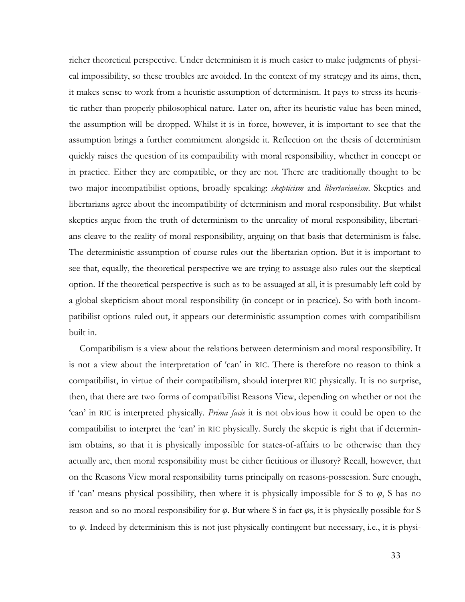richer theoretical perspective. Under determinism it is much easier to make judgments of physical impossibility, so these troubles are avoided. In the context of my strategy and its aims, then, it makes sense to work from a heuristic assumption of determinism. It pays to stress its heuristic rather than properly philosophical nature. Later on, after its heuristic value has been mined, the assumption will be dropped. Whilst it is in force, however, it is important to see that the assumption brings a further commitment alongside it. Reflection on the thesis of determinism quickly raises the question of its compatibility with moral responsibility, whether in concept or in practice. Either they are compatible, or they are not. There are traditionally thought to be two major incompatibilist options, broadly speaking: *skepticism* and *libertarianism*. Skeptics and libertarians agree about the incompatibility of determinism and moral responsibility. But whilst skeptics argue from the truth of determinism to the unreality of moral responsibility, libertarians cleave to the reality of moral responsibility, arguing on that basis that determinism is false. The deterministic assumption of course rules out the libertarian option. But it is important to see that, equally, the theoretical perspective we are trying to assuage also rules out the skeptical option. If the theoretical perspective is such as to be assuaged at all, it is presumably left cold by a global skepticism about moral responsibility (in concept or in practice). So with both incompatibilist options ruled out, it appears our deterministic assumption comes with compatibilism built in.

Compatibilism is a view about the relations between determinism and moral responsibility. It is not a view about the interpretation of 'can' in RIC. There is therefore no reason to think a compatibilist, in virtue of their compatibilism, should interpret RIC physically. It is no surprise, then, that there are two forms of compatibilist Reasons View, depending on whether or not the 'can' in RIC is interpreted physically. *Prima facie* it is not obvious how it could be open to the compatibilist to interpret the 'can' in RIC physically. Surely the skeptic is right that if determinism obtains, so that it is physically impossible for states-of-affairs to be otherwise than they actually are, then moral responsibility must be either fictitious or illusory? Recall, however, that on the Reasons View moral responsibility turns principally on reasons-possession. Sure enough, if 'can' means physical possibility, then where it is physically impossible for S to  $\varphi$ , S has no reason and so no moral responsibility for *φ*. But where S in fact *φ*s, it is physically possible for S to *φ*. Indeed by determinism this is not just physically contingent but necessary, i.e., it is physi-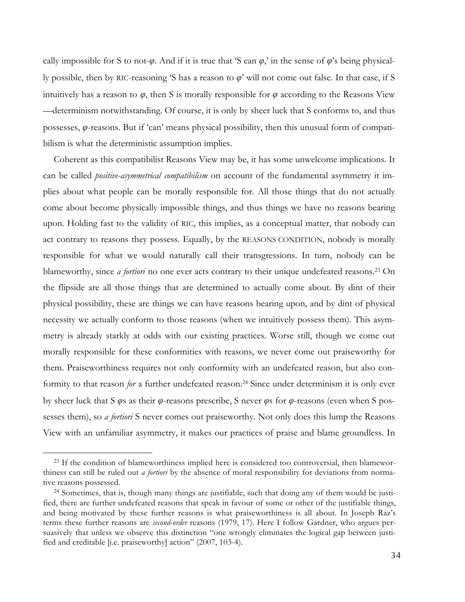cally impossible for S to not- $\varphi$ . And if it is true that 'S can  $\varphi$ ,' in the sense of  $\varphi$ 's being physically possible, then by RIC-reasoning 'S has a reason to *φ*' will not come out false. In that case, if S intuitively has a reason to  $\varphi$ , then S is morally responsible for  $\varphi$  according to the Reasons View —determinism notwithstanding. Of course, it is only by sheer luck that S conforms to, and thus possesses, *φ*-reasons. But if 'can' means physical possibility, then this unusual form of compatibilism is what the deterministic assumption implies.

Coherent as this compatibilist Reasons View may be, it has some unwelcome implications. It can be called *positive-asymmetrical compatibilism* on account of the fundamental asymmetry it implies about what people can be morally responsible for. All those things that do not actually come about become physically impossible things, and thus things we have no reasons bearing upon. Holding fast to the validity of RIC, this implies, as a conceptual matter, that nobody can act contrary to reasons they possess. Equally, by the REASONS CONDITION, nobody is morally responsible for what we would naturally call their transgressions. In turn, nobody can be blameworthy, since *a fortiori* no one ever acts contrary to their unique undefeated reasons.<sup>23</sup> On the flipside are all those things that are determined to actually come about. By dint of their physical possibility, these are things we can have reasons bearing upon, and by dint of physical necessity we actually conform to those reasons (when we intuitively possess them). This asymmetry is already starkly at odds with our existing practices. Worse still, though we come out morally responsible for these conformities with reasons, we never come out praiseworthy for them. Praiseworthiness requires not only conformity with an undefeated reason, but also conformity to that reason *for* a further undefeated reason.<sup>24</sup> Since under determinism it is only ever by sheer luck that S *φ*s as their *φ*-reasons prescribe, S never *φ*s for *φ*-reasons (even when S possesses them), so *a fortiori* S never comes out praiseworthy. Not only does this lump the Reasons View with an unfamiliar asymmetry, it makes our practices of praise and blame groundless. In

<sup>&</sup>lt;sup>23</sup> If the condition of blameworthiness implied here is considered too controversial, then blameworthiness can still be ruled out *a fortiori* by the absence of moral responsibility for deviations from normative reasons possessed.

<sup>24</sup> Sometimes, that is, though many things are justifiable, such that doing any of them would be justified, there are further undefeated reasons that speak in favour of some or other of the justifiable things, and being motivated by these further reasons is what praiseworthiness is all about. In Joseph Raz's terms these further reasons are *second-order* reasons (1979, 17). Here I follow Gardner, who argues persuasively that unless we observe this distinction "one wrongly eliminates the logical gap between justified and creditable [i.e. praiseworthy] action" (2007, 103-4).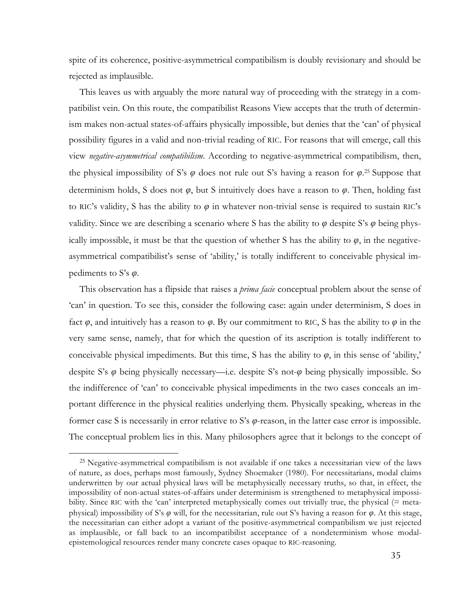spite of its coherence, positive-asymmetrical compatibilism is doubly revisionary and should be rejected as implausible.

This leaves us with arguably the more natural way of proceeding with the strategy in a compatibilist vein. On this route, the compatibilist Reasons View accepts that the truth of determinism makes non-actual states-of-affairs physically impossible, but denies that the 'can' of physical possibility figures in a valid and non-trivial reading of RIC. For reasons that will emerge, call this view *negative-asymmetrical compatibilism*. According to negative-asymmetrical compatibilism, then, the physical impossibility of S's *φ* does not rule out S's having a reason for *φ*. <sup>25</sup> Suppose that determinism holds, S does not *φ*, but S intuitively does have a reason to *φ*. Then, holding fast to RIC's validity, S has the ability to *φ* in whatever non-trivial sense is required to sustain RIC's validity. Since we are describing a scenario where S has the ability to *φ* despite S's *φ* being physically impossible, it must be that the question of whether S has the ability to  $\varphi$ , in the negativeasymmetrical compatibilist's sense of 'ability,' is totally indifferent to conceivable physical impediments to S's *φ*.

This observation has a flipside that raises a *prima facie* conceptual problem about the sense of 'can' in question. To see this, consider the following case: again under determinism, S does in fact  $\varphi$ , and intuitively has a reason to  $\varphi$ . By our commitment to RIC, S has the ability to  $\varphi$  in the very same sense, namely, that for which the question of its ascription is totally indifferent to conceivable physical impediments. But this time, S has the ability to  $\varphi$ , in this sense of 'ability,' despite S's *φ* being physically necessary—i.e. despite S's not-*φ* being physically impossible. So the indifference of 'can' to conceivable physical impediments in the two cases conceals an important difference in the physical realities underlying them. Physically speaking, whereas in the former case S is necessarily in error relative to S's *φ*-reason, in the latter case error is impossible. The conceptual problem lies in this. Many philosophers agree that it belongs to the concept of

<sup>&</sup>lt;sup>25</sup> Negative-asymmetrical compatibilism is not available if one takes a necessitarian view of the laws of nature, as does, perhaps most famously, Sydney Shoemaker (1980). For necessitarians, modal claims underwritten by our actual physical laws will be metaphysically necessary truths, so that, in effect, the impossibility of non-actual states-of-affairs under determinism is strengthened to metaphysical impossibility. Since RIC with the 'can' interpreted metaphysically comes out trivially true, the physical (= metaphysical) impossibility of S's *φ* will, for the necessitarian, rule out S's having a reason for *φ*. At this stage, the necessitarian can either adopt a variant of the positive-asymmetrical compatibilism we just rejected as implausible, or fall back to an incompatibilist acceptance of a nondeterminism whose modalepistemological resources render many concrete cases opaque to RIC-reasoning.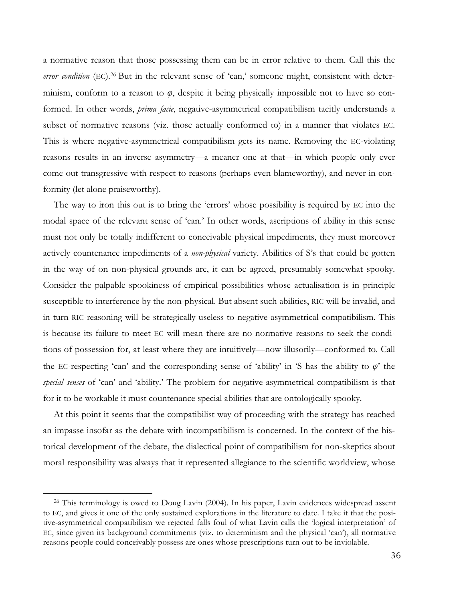a normative reason that those possessing them can be in error relative to them. Call this the error condition (EC).<sup>26</sup> But in the relevant sense of 'can,' someone might, consistent with determinism, conform to a reason to *φ*, despite it being physically impossible not to have so conformed. In other words, *prima facie*, negative-asymmetrical compatibilism tacitly understands a subset of normative reasons (viz. those actually conformed to) in a manner that violates EC. This is where negative-asymmetrical compatibilism gets its name. Removing the EC-violating reasons results in an inverse asymmetry—a meaner one at that—in which people only ever come out transgressive with respect to reasons (perhaps even blameworthy), and never in conformity (let alone praiseworthy).

The way to iron this out is to bring the 'errors' whose possibility is required by EC into the modal space of the relevant sense of 'can.' In other words, ascriptions of ability in this sense must not only be totally indifferent to conceivable physical impediments, they must moreover actively countenance impediments of a *non-physical* variety. Abilities of S's that could be gotten in the way of on non-physical grounds are, it can be agreed, presumably somewhat spooky. Consider the palpable spookiness of empirical possibilities whose actualisation is in principle susceptible to interference by the non-physical. But absent such abilities, RIC will be invalid, and in turn RIC-reasoning will be strategically useless to negative-asymmetrical compatibilism. This is because its failure to meet EC will mean there are no normative reasons to seek the conditions of possession for, at least where they are intuitively—now illusorily—conformed to. Call the EC-respecting 'can' and the corresponding sense of 'ability' in 'S has the ability to  $\varphi$ ' the *special senses* of 'can' and 'ability.' The problem for negative-asymmetrical compatibilism is that for it to be workable it must countenance special abilities that are ontologically spooky.

At this point it seems that the compatibilist way of proceeding with the strategy has reached an impasse insofar as the debate with incompatibilism is concerned. In the context of the historical development of the debate, the dialectical point of compatibilism for non-skeptics about moral responsibility was always that it represented allegiance to the scientific worldview, whose

<sup>&</sup>lt;sup>26</sup> This terminology is owed to Doug Lavin (2004). In his paper, Lavin evidences widespread assent to EC, and gives it one of the only sustained explorations in the literature to date. I take it that the positive-asymmetrical compatibilism we rejected falls foul of what Lavin calls the 'logical interpretation' of EC, since given its background commitments (viz. to determinism and the physical 'can'), all normative reasons people could conceivably possess are ones whose prescriptions turn out to be inviolable.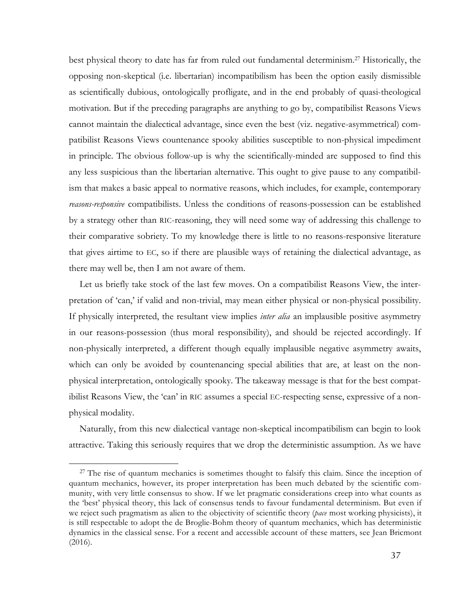best physical theory to date has far from ruled out fundamental determinism.27 Historically, the opposing non-skeptical (i.e. libertarian) incompatibilism has been the option easily dismissible as scientifically dubious, ontologically profligate, and in the end probably of quasi-theological motivation. But if the preceding paragraphs are anything to go by, compatibilist Reasons Views cannot maintain the dialectical advantage, since even the best (viz. negative-asymmetrical) compatibilist Reasons Views countenance spooky abilities susceptible to non-physical impediment in principle. The obvious follow-up is why the scientifically-minded are supposed to find this any less suspicious than the libertarian alternative. This ought to give pause to any compatibilism that makes a basic appeal to normative reasons, which includes, for example, contemporary *reasons-responsive* compatibilists. Unless the conditions of reasons-possession can be established by a strategy other than RIC-reasoning, they will need some way of addressing this challenge to their comparative sobriety. To my knowledge there is little to no reasons-responsive literature that gives airtime to EC, so if there are plausible ways of retaining the dialectical advantage, as there may well be, then I am not aware of them.

Let us briefly take stock of the last few moves. On a compatibilist Reasons View, the interpretation of 'can,' if valid and non-trivial, may mean either physical or non-physical possibility. If physically interpreted, the resultant view implies *inter alia* an implausible positive asymmetry in our reasons-possession (thus moral responsibility), and should be rejected accordingly. If non-physically interpreted, a different though equally implausible negative asymmetry awaits, which can only be avoided by countenancing special abilities that are, at least on the nonphysical interpretation, ontologically spooky. The takeaway message is that for the best compatibilist Reasons View, the 'can' in RIC assumes a special EC-respecting sense, expressive of a nonphysical modality.

Naturally, from this new dialectical vantage non-skeptical incompatibilism can begin to look attractive. Taking this seriously requires that we drop the deterministic assumption. As we have

<sup>&</sup>lt;sup>27</sup> The rise of quantum mechanics is sometimes thought to falsify this claim. Since the inception of quantum mechanics, however, its proper interpretation has been much debated by the scientific community, with very little consensus to show. If we let pragmatic considerations creep into what counts as the 'best' physical theory, this lack of consensus tends to favour fundamental determinism. But even if we reject such pragmatism as alien to the objectivity of scientific theory (*pace* most working physicists), it is still respectable to adopt the de Broglie-Bohm theory of quantum mechanics, which has deterministic dynamics in the classical sense. For a recent and accessible account of these matters, see Jean Bricmont (2016).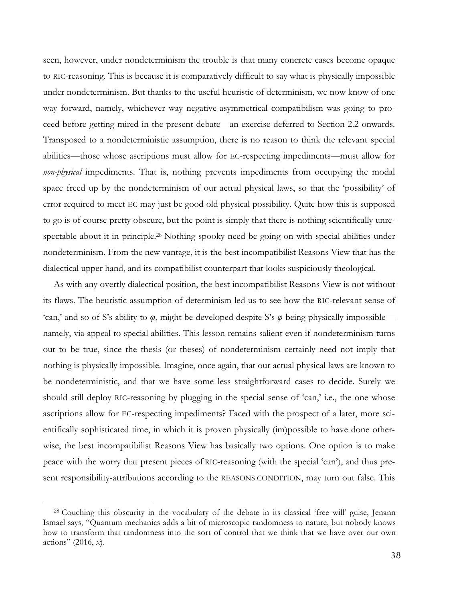seen, however, under nondeterminism the trouble is that many concrete cases become opaque to RIC-reasoning. This is because it is comparatively difficult to say what is physically impossible under nondeterminism. But thanks to the useful heuristic of determinism, we now know of one way forward, namely, whichever way negative-asymmetrical compatibilism was going to proceed before getting mired in the present debate—an exercise deferred to Section 2.2 onwards. Transposed to a nondeterministic assumption, there is no reason to think the relevant special abilities—those whose ascriptions must allow for EC-respecting impediments—must allow for *non-physical* impediments. That is, nothing prevents impediments from occupying the modal space freed up by the nondeterminism of our actual physical laws, so that the 'possibility' of error required to meet EC may just be good old physical possibility. Quite how this is supposed to go is of course pretty obscure, but the point is simply that there is nothing scientifically unrespectable about it in principle.<sup>28</sup> Nothing spooky need be going on with special abilities under nondeterminism. From the new vantage, it is the best incompatibilist Reasons View that has the dialectical upper hand, and its compatibilist counterpart that looks suspiciously theological.

As with any overtly dialectical position, the best incompatibilist Reasons View is not without its flaws. The heuristic assumption of determinism led us to see how the RIC-relevant sense of 'can,' and so of S's ability to *φ*, might be developed despite S's *φ* being physically impossible namely, via appeal to special abilities. This lesson remains salient even if nondeterminism turns out to be true, since the thesis (or theses) of nondeterminism certainly need not imply that nothing is physically impossible. Imagine, once again, that our actual physical laws are known to be nondeterministic, and that we have some less straightforward cases to decide. Surely we should still deploy RIC-reasoning by plugging in the special sense of 'can,' i.e., the one whose ascriptions allow for EC-respecting impediments? Faced with the prospect of a later, more scientifically sophisticated time, in which it is proven physically (im)possible to have done otherwise, the best incompatibilist Reasons View has basically two options. One option is to make peace with the worry that present pieces of RIC-reasoning (with the special 'can'), and thus present responsibility-attributions according to the REASONS CONDITION, may turn out false. This

<sup>28</sup> Couching this obscurity in the vocabulary of the debate in its classical 'free will' guise, Jenann Ismael says, "Quantum mechanics adds a bit of microscopic randomness to nature, but nobody knows how to transform that randomness into the sort of control that we think that we have over our own actions" (2016, *x*).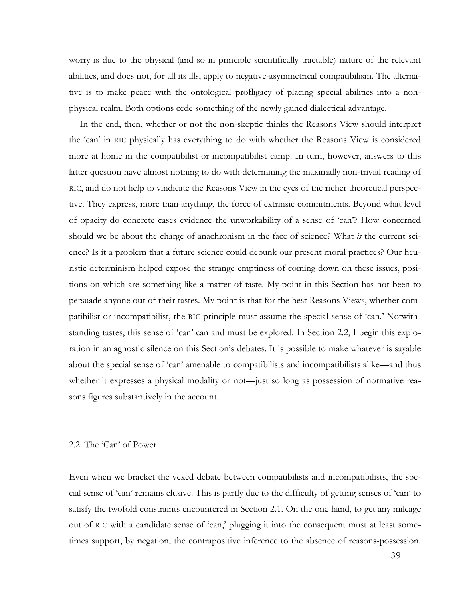worry is due to the physical (and so in principle scientifically tractable) nature of the relevant abilities, and does not, for all its ills, apply to negative-asymmetrical compatibilism. The alternative is to make peace with the ontological profligacy of placing special abilities into a nonphysical realm. Both options cede something of the newly gained dialectical advantage.

In the end, then, whether or not the non-skeptic thinks the Reasons View should interpret the 'can' in RIC physically has everything to do with whether the Reasons View is considered more at home in the compatibilist or incompatibilist camp. In turn, however, answers to this latter question have almost nothing to do with determining the maximally non-trivial reading of RIC, and do not help to vindicate the Reasons View in the eyes of the richer theoretical perspective. They express, more than anything, the force of extrinsic commitments. Beyond what level of opacity do concrete cases evidence the unworkability of a sense of 'can'? How concerned should we be about the charge of anachronism in the face of science? What *is* the current science? Is it a problem that a future science could debunk our present moral practices? Our heuristic determinism helped expose the strange emptiness of coming down on these issues, positions on which are something like a matter of taste. My point in this Section has not been to persuade anyone out of their tastes. My point is that for the best Reasons Views, whether compatibilist or incompatibilist, the RIC principle must assume the special sense of 'can.' Notwithstanding tastes, this sense of 'can' can and must be explored. In Section 2.2, I begin this exploration in an agnostic silence on this Section's debates. It is possible to make whatever is sayable about the special sense of 'can' amenable to compatibilists and incompatibilists alike—and thus whether it expresses a physical modality or not—just so long as possession of normative reasons figures substantively in the account.

### 2.2. The 'Can' of Power

Even when we bracket the vexed debate between compatibilists and incompatibilists, the special sense of 'can' remains elusive. This is partly due to the difficulty of getting senses of 'can' to satisfy the twofold constraints encountered in Section 2.1. On the one hand, to get any mileage out of RIC with a candidate sense of 'can,' plugging it into the consequent must at least sometimes support, by negation, the contrapositive inference to the absence of reasons-possession.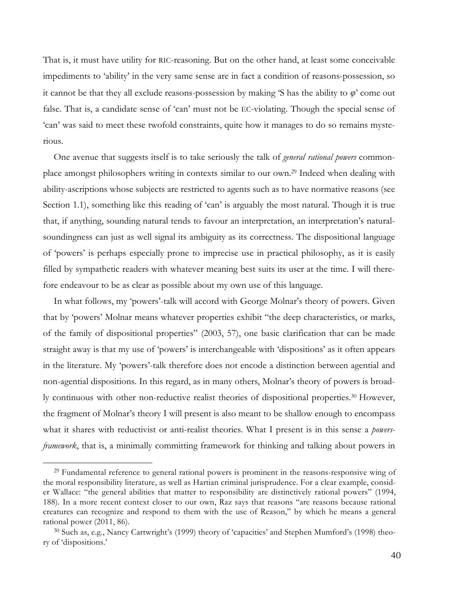That is, it must have utility for RIC-reasoning. But on the other hand, at least some conceivable impediments to 'ability' in the very same sense are in fact a condition of reasons-possession, so it cannot be that they all exclude reasons-possession by making 'S has the ability to *φ*' come out false. That is, a candidate sense of 'can' must not be EC-violating. Though the special sense of 'can' was said to meet these twofold constraints, quite how it manages to do so remains mysterious.

One avenue that suggests itself is to take seriously the talk of *general rational powers* commonplace amongst philosophers writing in contexts similar to our own. <sup>29</sup> Indeed when dealing with ability-ascriptions whose subjects are restricted to agents such as to have normative reasons (see Section 1.1), something like this reading of 'can' is arguably the most natural. Though it is true that, if anything, sounding natural tends to favour an interpretation, an interpretation's naturalsoundingness can just as well signal its ambiguity as its correctness. The dispositional language of 'powers' is perhaps especially prone to imprecise use in practical philosophy, as it is easily filled by sympathetic readers with whatever meaning best suits its user at the time. I will therefore endeavour to be as clear as possible about my own use of this language.

In what follows, my 'powers'-talk will accord with George Molnar's theory of powers. Given that by 'powers' Molnar means whatever properties exhibit "the deep characteristics, or marks, of the family of dispositional properties" (2003, 57), one basic clarification that can be made straight away is that my use of 'powers' is interchangeable with 'dispositions' as it often appears in the literature. My 'powers'-talk therefore does not encode a distinction between agential and non-agential dispositions. In this regard, as in many others, Molnar's theory of powers is broadly continuous with other non-reductive realist theories of dispositional properties.30 However, the fragment of Molnar's theory I will present is also meant to be shallow enough to encompass what it shares with reductivist or anti-realist theories. What I present is in this sense a *powersframework*, that is, a minimally committing framework for thinking and talking about powers in

<sup>&</sup>lt;sup>29</sup> Fundamental reference to general rational powers is prominent in the reasons-responsive wing of the moral responsibility literature, as well as Hartian criminal jurisprudence. For a clear example, consider Wallace: "the general abilities that matter to responsibility are distinctively rational powers" (1994, 188). In a more recent context closer to our own, Raz says that reasons "are reasons because rational creatures can recognize and respond to them with the use of Reason," by which he means a general rational power (2011, 86).

<sup>30</sup> Such as, e.g., Nancy Cartwright's (1999) theory of 'capacities' and Stephen Mumford's (1998) theory of 'dispositions.'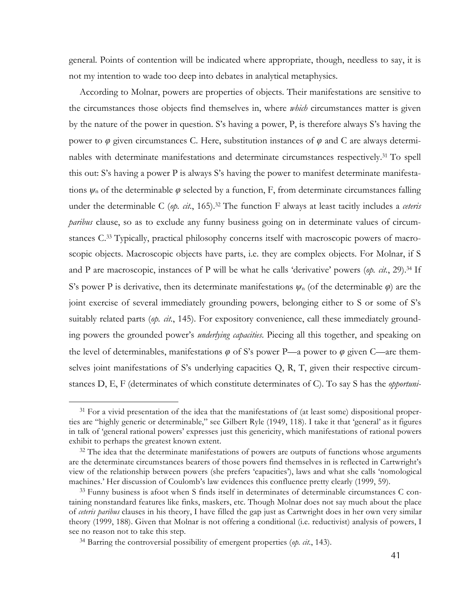general. Points of contention will be indicated where appropriate, though, needless to say, it is not my intention to wade too deep into debates in analytical metaphysics.

According to Molnar, powers are properties of objects. Their manifestations are sensitive to the circumstances those objects find themselves in, where *which* circumstances matter is given by the nature of the power in question. S's having a power, P, is therefore always S's having the power to *φ* given circumstances C. Here, substitution instances of *φ* and C are always determinables with determinate manifestations and determinate circumstances respectively.31 To spell this out: S's having a power P is always S's having the power to manifest determinate manifestations  $\psi_n$  of the determinable  $\varphi$  selected by a function, F, from determinate circumstances falling under the determinable C (*op. cit.*, 165).<sup>32</sup> The function F always at least tacitly includes a *ceteris paribus* clause, so as to exclude any funny business going on in determinate values of circumstances C.33 Typically, practical philosophy concerns itself with macroscopic powers of macroscopic objects. Macroscopic objects have parts, i.e. they are complex objects. For Molnar, if S and P are macroscopic, instances of P will be what he calls 'derivative' powers (*op. cit.*, 29). <sup>34</sup> If S's power P is derivative, then its determinate manifestations *ψ*<sup>n</sup> (of the determinable *φ*) are the joint exercise of several immediately grounding powers, belonging either to S or some of S's suitably related parts (*op. cit.*, 145). For expository convenience, call these immediately grounding powers the grounded power's *underlying capacities*. Piecing all this together, and speaking on the level of determinables, manifestations *φ* of S's power P—a power to *φ* given C—are themselves joint manifestations of S's underlying capacities Q, R, T, given their respective circumstances D, E, F (determinates of which constitute determinates of C). To say S has the *opportuni-*

<sup>&</sup>lt;sup>31</sup> For a vivid presentation of the idea that the manifestations of (at least some) dispositional properties are "highly generic or determinable," see Gilbert Ryle (1949, 118). I take it that 'general' as it figures in talk of 'general rational powers' expresses just this genericity, which manifestations of rational powers exhibit to perhaps the greatest known extent.

<sup>&</sup>lt;sup>32</sup> The idea that the determinate manifestations of powers are outputs of functions whose arguments are the determinate circumstances bearers of those powers find themselves in is reflected in Cartwright's view of the relationship between powers (she prefers 'capacities'), laws and what she calls 'nomological machines.' Her discussion of Coulomb's law evidences this confluence pretty clearly (1999, 59).

<sup>&</sup>lt;sup>33</sup> Funny business is afoot when S finds itself in determinates of determinable circumstances C containing nonstandard features like finks, maskers, etc. Though Molnar does not say much about the place of *ceteris paribus* clauses in his theory, I have filled the gap just as Cartwright does in her own very similar theory (1999, 188). Given that Molnar is not offering a conditional (i.e. reductivist) analysis of powers, I see no reason not to take this step.

<sup>34</sup> Barring the controversial possibility of emergent properties (*op. cit.*, 143).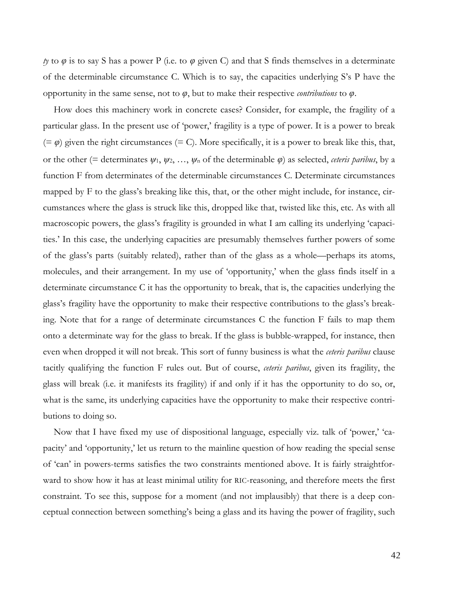*ty* to  $\varphi$  is to say S has a power P (i.e. to  $\varphi$  given C) and that S finds themselves in a determinate of the determinable circumstance C. Which is to say, the capacities underlying S's P have the opportunity in the same sense, not to *φ*, but to make their respective *contributions* to *φ*.

How does this machinery work in concrete cases? Consider, for example, the fragility of a particular glass. In the present use of 'power,' fragility is a type of power. It is a power to break  $(= \varphi)$  given the right circumstances  $(= C)$ . More specifically, it is a power to break like this, that, or the other (= determinates  $\psi_1, \psi_2, ..., \psi_n$  of the determinable  $\varphi$ ) as selected, *ceteris paribus*, by a function F from determinates of the determinable circumstances C. Determinate circumstances mapped by F to the glass's breaking like this, that, or the other might include, for instance, circumstances where the glass is struck like this, dropped like that, twisted like this, etc. As with all macroscopic powers, the glass's fragility is grounded in what I am calling its underlying 'capacities.' In this case, the underlying capacities are presumably themselves further powers of some of the glass's parts (suitably related), rather than of the glass as a whole—perhaps its atoms, molecules, and their arrangement. In my use of 'opportunity,' when the glass finds itself in a determinate circumstance C it has the opportunity to break, that is, the capacities underlying the glass's fragility have the opportunity to make their respective contributions to the glass's breaking. Note that for a range of determinate circumstances C the function F fails to map them onto a determinate way for the glass to break. If the glass is bubble-wrapped, for instance, then even when dropped it will not break. This sort of funny business is what the *ceteris paribus* clause tacitly qualifying the function F rules out. But of course, *ceteris paribus*, given its fragility, the glass will break (i.e. it manifests its fragility) if and only if it has the opportunity to do so, or, what is the same, its underlying capacities have the opportunity to make their respective contributions to doing so.

Now that I have fixed my use of dispositional language, especially viz. talk of 'power,' 'capacity' and 'opportunity,' let us return to the mainline question of how reading the special sense of 'can' in powers-terms satisfies the two constraints mentioned above. It is fairly straightforward to show how it has at least minimal utility for RIC-reasoning, and therefore meets the first constraint. To see this, suppose for a moment (and not implausibly) that there is a deep conceptual connection between something's being a glass and its having the power of fragility, such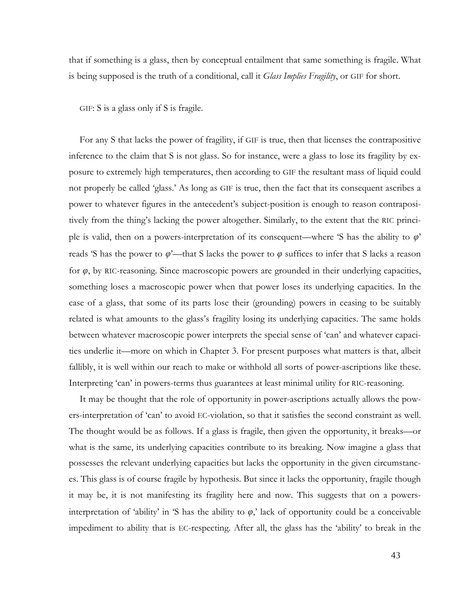that if something is a glass, then by conceptual entailment that same something is fragile. What is being supposed is the truth of a conditional, call it *Glass Implies Fragility*, or GIF for short.

GIF: S is a glass only if S is fragile.

For any S that lacks the power of fragility, if GIF is true, then that licenses the contrapositive inference to the claim that S is not glass. So for instance, were a glass to lose its fragility by exposure to extremely high temperatures, then according to GIF the resultant mass of liquid could not properly be called 'glass.' As long as GIF is true, then the fact that its consequent ascribes a power to whatever figures in the antecedent's subject-position is enough to reason contrapositively from the thing's lacking the power altogether. Similarly, to the extent that the RIC principle is valid, then on a powers-interpretation of its consequent—where 'S has the ability to *φ*' reads 'S has the power to  $\varphi$ '—that S lacks the power to  $\varphi$  suffices to infer that S lacks a reason for *φ*, by RIC-reasoning. Since macroscopic powers are grounded in their underlying capacities, something loses a macroscopic power when that power loses its underlying capacities. In the case of a glass, that some of its parts lose their (grounding) powers in ceasing to be suitably related is what amounts to the glass's fragility losing its underlying capacities. The same holds between whatever macroscopic power interprets the special sense of 'can' and whatever capacities underlie it—more on which in Chapter 3. For present purposes what matters is that, albeit fallibly, it is well within our reach to make or withhold all sorts of power-ascriptions like these. Interpreting 'can' in powers-terms thus guarantees at least minimal utility for RIC-reasoning.

It may be thought that the role of opportunity in power-ascriptions actually allows the powers-interpretation of 'can' to avoid EC-violation, so that it satisfies the second constraint as well. The thought would be as follows. If a glass is fragile, then given the opportunity, it breaks—or what is the same, its underlying capacities contribute to its breaking. Now imagine a glass that possesses the relevant underlying capacities but lacks the opportunity in the given circumstances. This glass is of course fragile by hypothesis. But since it lacks the opportunity, fragile though it may be, it is not manifesting its fragility here and now. This suggests that on a powersinterpretation of 'ability' in 'S has the ability to  $\varphi$ ,' lack of opportunity could be a conceivable impediment to ability that is EC-respecting. After all, the glass has the 'ability' to break in the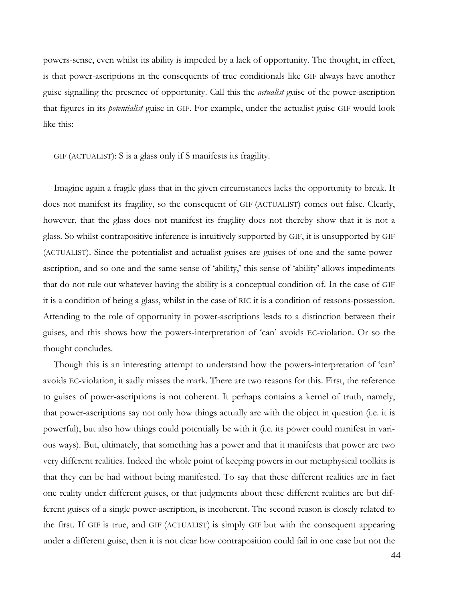powers-sense, even whilst its ability is impeded by a lack of opportunity. The thought, in effect, is that power-ascriptions in the consequents of true conditionals like GIF always have another guise signalling the presence of opportunity. Call this the *actualist* guise of the power-ascription that figures in its *potentialist* guise in GIF. For example, under the actualist guise GIF would look like this:

GIF (ACTUALIST): S is a glass only if S manifests its fragility.

Imagine again a fragile glass that in the given circumstances lacks the opportunity to break. It does not manifest its fragility, so the consequent of GIF (ACTUALIST) comes out false. Clearly, however, that the glass does not manifest its fragility does not thereby show that it is not a glass. So whilst contrapositive inference is intuitively supported by GIF, it is unsupported by GIF (ACTUALIST). Since the potentialist and actualist guises are guises of one and the same powerascription, and so one and the same sense of 'ability,' this sense of 'ability' allows impediments that do not rule out whatever having the ability is a conceptual condition of. In the case of GIF it is a condition of being a glass, whilst in the case of RIC it is a condition of reasons-possession. Attending to the role of opportunity in power-ascriptions leads to a distinction between their guises, and this shows how the powers-interpretation of 'can' avoids EC-violation. Or so the thought concludes.

Though this is an interesting attempt to understand how the powers-interpretation of 'can' avoids EC-violation, it sadly misses the mark. There are two reasons for this. First, the reference to guises of power-ascriptions is not coherent. It perhaps contains a kernel of truth, namely, that power-ascriptions say not only how things actually are with the object in question (i.e. it is powerful), but also how things could potentially be with it (i.e. its power could manifest in various ways). But, ultimately, that something has a power and that it manifests that power are two very different realities. Indeed the whole point of keeping powers in our metaphysical toolkits is that they can be had without being manifested. To say that these different realities are in fact one reality under different guises, or that judgments about these different realities are but different guises of a single power-ascription, is incoherent. The second reason is closely related to the first. If GIF is true, and GIF (ACTUALIST) is simply GIF but with the consequent appearing under a different guise, then it is not clear how contraposition could fail in one case but not the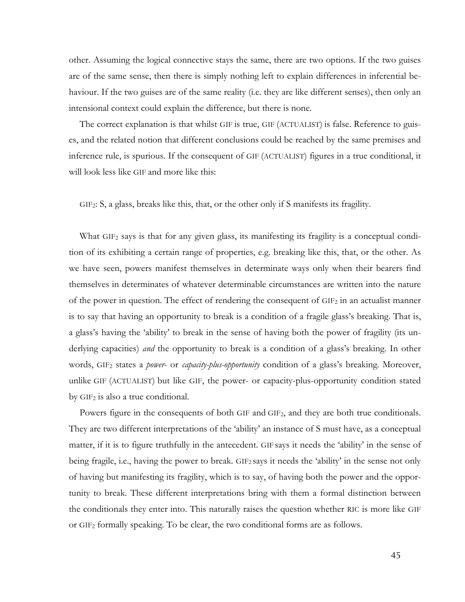other. Assuming the logical connective stays the same, there are two options. If the two guises are of the same sense, then there is simply nothing left to explain differences in inferential behaviour. If the two guises are of the same reality (i.e. they are like different senses), then only an intensional context could explain the difference, but there is none.

The correct explanation is that whilst GIF is true, GIF (ACTUALIST) is false. Reference to guises, and the related notion that different conclusions could be reached by the same premises and inference rule, is spurious. If the consequent of GIF (ACTUALIST) figures in a true conditional, it will look less like GIF and more like this:

GIF2: S, a glass, breaks like this, that, or the other only if S manifests its fragility.

What GIF<sub>2</sub> says is that for any given glass, its manifesting its fragility is a conceptual condition of its exhibiting a certain range of properties, e.g. breaking like this, that, or the other. As we have seen, powers manifest themselves in determinate ways only when their bearers find themselves in determinates of whatever determinable circumstances are written into the nature of the power in question. The effect of rendering the consequent of GIF2 in an actualist manner is to say that having an opportunity to break is a condition of a fragile glass's breaking. That is, a glass's having the 'ability' to break in the sense of having both the power of fragility (its underlying capacities) *and* the opportunity to break is a condition of a glass's breaking. In other words, GIF2 states a *power-* or *capacity-plus-opportunity* condition of a glass's breaking. Moreover, unlike GIF (ACTUALIST) but like GIF, the power- or capacity-plus-opportunity condition stated by GIF2 is also a true conditional.

Powers figure in the consequents of both GIF and GIF2, and they are both true conditionals. They are two different interpretations of the 'ability' an instance of S must have, as a conceptual matter, if it is to figure truthfully in the antecedent. GIF says it needs the 'ability' in the sense of being fragile, i.e., having the power to break. GIF2 says it needs the 'ability' in the sense not only of having but manifesting its fragility, which is to say, of having both the power and the opportunity to break. These different interpretations bring with them a formal distinction between the conditionals they enter into. This naturally raises the question whether RIC is more like GIF or GIF2 formally speaking. To be clear, the two conditional forms are as follows.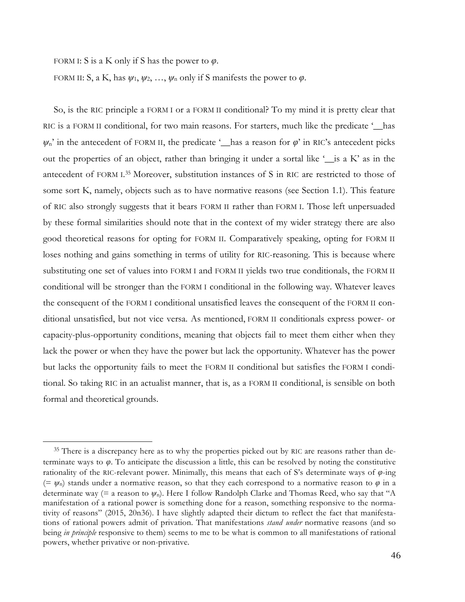FORM I: S is a K only if S has the power to  $\varphi$ .

 

FORM II: S, a K, has  $\psi_1, \psi_2, ..., \psi_n$  only if S manifests the power to  $\varphi$ .

So, is the RIC principle a FORM I or a FORM II conditional? To my mind it is pretty clear that RIC is a FORM II conditional, for two main reasons. For starters, much like the predicate '\_\_has  $\psi_n$ <sup>2</sup> in the antecedent of FORM II, the predicate '\_has a reason for  $\varphi$ <sup>2</sup> in RIC's antecedent picks out the properties of an object, rather than bringing it under a sortal like  $\frac{\ }{}$  is a K' as in the antecedent of FORM I. <sup>35</sup> Moreover, substitution instances of S in RIC are restricted to those of some sort K, namely, objects such as to have normative reasons (see Section 1.1). This feature of RIC also strongly suggests that it bears FORM II rather than FORM I. Those left unpersuaded by these formal similarities should note that in the context of my wider strategy there are also good theoretical reasons for opting for FORM II. Comparatively speaking, opting for FORM II loses nothing and gains something in terms of utility for RIC-reasoning. This is because where substituting one set of values into FORM I and FORM II yields two true conditionals, the FORM II conditional will be stronger than the FORM I conditional in the following way. Whatever leaves the consequent of the FORM I conditional unsatisfied leaves the consequent of the FORM II conditional unsatisfied, but not vice versa. As mentioned, FORM II conditionals express power- or capacity-plus-opportunity conditions, meaning that objects fail to meet them either when they lack the power or when they have the power but lack the opportunity. Whatever has the power but lacks the opportunity fails to meet the FORM II conditional but satisfies the FORM I conditional. So taking RIC in an actualist manner, that is, as a FORM II conditional, is sensible on both formal and theoretical grounds.

<sup>&</sup>lt;sup>35</sup> There is a discrepancy here as to why the properties picked out by RIC are reasons rather than determinate ways to *φ*. To anticipate the discussion a little, this can be resolved by noting the constitutive rationality of the RIC-relevant power. Minimally, this means that each of S's determinate ways of  $\varphi$ -ing  $(= \psi_n)$  stands under a normative reason, so that they each correspond to a normative reason to  $\varphi$  in a determinate way (= a reason to  $\psi_n$ ). Here I follow Randolph Clarke and Thomas Reed, who say that "A manifestation of a rational power is something done for a reason, something responsive to the normativity of reasons" (2015, 20n36). I have slightly adapted their dictum to reflect the fact that manifestations of rational powers admit of privation. That manifestations *stand under* normative reasons (and so being *in principle* responsive to them) seems to me to be what is common to all manifestations of rational powers, whether privative or non-privative.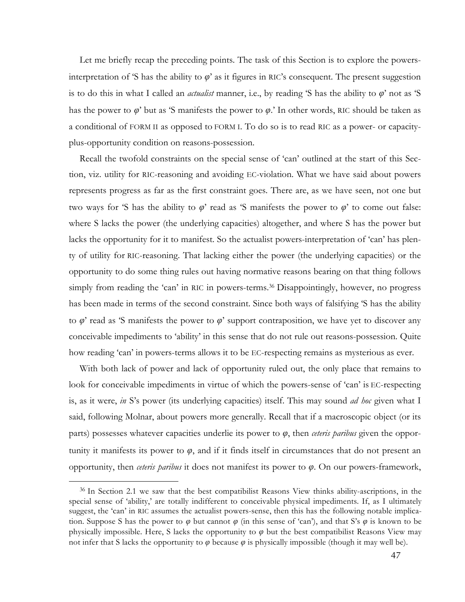Let me briefly recap the preceding points. The task of this Section is to explore the powersinterpretation of 'S has the ability to  $\varphi$ ' as it figures in RIC's consequent. The present suggestion is to do this in what I called an *actualist* manner, i.e., by reading 'S has the ability to *φ*' not as 'S has the power to *φ*' but as 'S manifests the power to *φ*.' In other words, RIC should be taken as a conditional of FORM II as opposed to FORM I. To do so is to read RIC as a power- or capacityplus-opportunity condition on reasons-possession.

Recall the twofold constraints on the special sense of 'can' outlined at the start of this Section, viz. utility for RIC-reasoning and avoiding EC-violation. What we have said about powers represents progress as far as the first constraint goes. There are, as we have seen, not one but two ways for 'S has the ability to  $\varphi$ ' read as 'S manifests the power to  $\varphi$ ' to come out false: where S lacks the power (the underlying capacities) altogether, and where S has the power but lacks the opportunity for it to manifest. So the actualist powers-interpretation of 'can' has plenty of utility for RIC-reasoning. That lacking either the power (the underlying capacities) or the opportunity to do some thing rules out having normative reasons bearing on that thing follows simply from reading the 'can' in RIC in powers-terms.<sup>36</sup> Disappointingly, however, no progress has been made in terms of the second constraint. Since both ways of falsifying 'S has the ability to  $\varphi$ ' read as 'S manifests the power to  $\varphi$ ' support contraposition, we have yet to discover any conceivable impediments to 'ability' in this sense that do not rule out reasons-possession. Quite how reading 'can' in powers-terms allows it to be EC-respecting remains as mysterious as ever.

With both lack of power and lack of opportunity ruled out, the only place that remains to look for conceivable impediments in virtue of which the powers-sense of 'can' is EC-respecting is, as it were, *in* S's power (its underlying capacities) itself. This may sound *ad hoc* given what I said, following Molnar, about powers more generally. Recall that if a macroscopic object (or its parts) possesses whatever capacities underlie its power to *φ*, then *ceteris paribus* given the opportunity it manifests its power to *φ*, and if it finds itself in circumstances that do not present an opportunity, then *ceteris paribus* it does not manifest its power to *φ*. On our powers-framework,

<sup>36</sup> In Section 2.1 we saw that the best compatibilist Reasons View thinks ability-ascriptions, in the special sense of 'ability,' are totally indifferent to conceivable physical impediments. If, as I ultimately suggest, the 'can' in RIC assumes the actualist powers-sense, then this has the following notable implication. Suppose S has the power to *φ* but cannot *φ* (in this sense of 'can'), and that S's *φ* is known to be physically impossible. Here, S lacks the opportunity to  $\varphi$  but the best compatibilist Reasons View may not infer that S lacks the opportunity to  $\varphi$  because  $\varphi$  is physically impossible (though it may well be).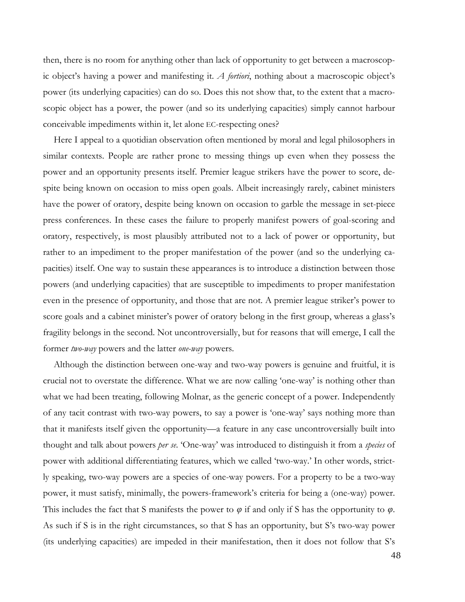then, there is no room for anything other than lack of opportunity to get between a macroscopic object's having a power and manifesting it. *A fortiori*, nothing about a macroscopic object's power (its underlying capacities) can do so. Does this not show that, to the extent that a macroscopic object has a power, the power (and so its underlying capacities) simply cannot harbour conceivable impediments within it, let alone EC-respecting ones?

Here I appeal to a quotidian observation often mentioned by moral and legal philosophers in similar contexts. People are rather prone to messing things up even when they possess the power and an opportunity presents itself. Premier league strikers have the power to score, despite being known on occasion to miss open goals. Albeit increasingly rarely, cabinet ministers have the power of oratory, despite being known on occasion to garble the message in set-piece press conferences. In these cases the failure to properly manifest powers of goal-scoring and oratory, respectively, is most plausibly attributed not to a lack of power or opportunity, but rather to an impediment to the proper manifestation of the power (and so the underlying capacities) itself. One way to sustain these appearances is to introduce a distinction between those powers (and underlying capacities) that are susceptible to impediments to proper manifestation even in the presence of opportunity, and those that are not. A premier league striker's power to score goals and a cabinet minister's power of oratory belong in the first group, whereas a glass's fragility belongs in the second. Not uncontroversially, but for reasons that will emerge, I call the former *two-way* powers and the latter *one-way* powers.

Although the distinction between one-way and two-way powers is genuine and fruitful, it is crucial not to overstate the difference. What we are now calling 'one-way' is nothing other than what we had been treating, following Molnar, as the generic concept of a power. Independently of any tacit contrast with two-way powers, to say a power is 'one-way' says nothing more than that it manifests itself given the opportunity—a feature in any case uncontroversially built into thought and talk about powers *per se*. 'One-way' was introduced to distinguish it from a *species* of power with additional differentiating features, which we called 'two-way.' In other words, strictly speaking, two-way powers are a species of one-way powers. For a property to be a two-way power, it must satisfy, minimally, the powers-framework's criteria for being a (one-way) power. This includes the fact that S manifests the power to  $\varphi$  if and only if S has the opportunity to  $\varphi$ . As such if S is in the right circumstances, so that S has an opportunity, but S's two-way power (its underlying capacities) are impeded in their manifestation, then it does not follow that S's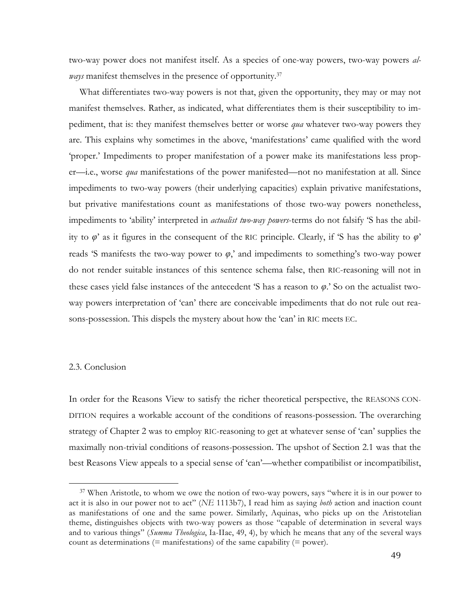two-way power does not manifest itself. As a species of one-way powers, two-way powers *always* manifest themselves in the presence of opportunity.<sup>37</sup>

What differentiates two-way powers is not that, given the opportunity, they may or may not manifest themselves. Rather, as indicated, what differentiates them is their susceptibility to impediment, that is: they manifest themselves better or worse *qua* whatever two-way powers they are. This explains why sometimes in the above, 'manifestations' came qualified with the word 'proper.' Impediments to proper manifestation of a power make its manifestations less proper—i.e., worse *qua* manifestations of the power manifested—not no manifestation at all. Since impediments to two-way powers (their underlying capacities) explain privative manifestations, but privative manifestations count as manifestations of those two-way powers nonetheless, impediments to 'ability' interpreted in *actualist two-way powers*-terms do not falsify 'S has the ability to *φ*' as it figures in the consequent of the RIC principle. Clearly, if 'S has the ability to *φ*' reads 'S manifests the two-way power to  $\varphi$ ,' and impediments to something's two-way power do not render suitable instances of this sentence schema false, then RIC-reasoning will not in these cases yield false instances of the antecedent 'S has a reason to *φ*.' So on the actualist twoway powers interpretation of 'can' there are conceivable impediments that do not rule out reasons-possession. This dispels the mystery about how the 'can' in RIC meets EC.

#### 2.3. Conclusion

 

In order for the Reasons View to satisfy the richer theoretical perspective, the REASONS CON-DITION requires a workable account of the conditions of reasons-possession. The overarching strategy of Chapter 2 was to employ RIC-reasoning to get at whatever sense of 'can' supplies the maximally non-trivial conditions of reasons-possession. The upshot of Section 2.1 was that the best Reasons View appeals to a special sense of 'can'—whether compatibilist or incompatibilist,

<sup>&</sup>lt;sup>37</sup> When Aristotle, to whom we owe the notion of two-way powers, says "where it is in our power to act it is also in our power not to act" (*NE* 1113b7), I read him as saying *both* action and inaction count as manifestations of one and the same power. Similarly, Aquinas, who picks up on the Aristotelian theme, distinguishes objects with two-way powers as those "capable of determination in several ways and to various things" (*Summa Theologica*, Ia-IIae, 49, 4), by which he means that any of the several ways count as determinations ( $=$  manifestations) of the same capability ( $=$  power).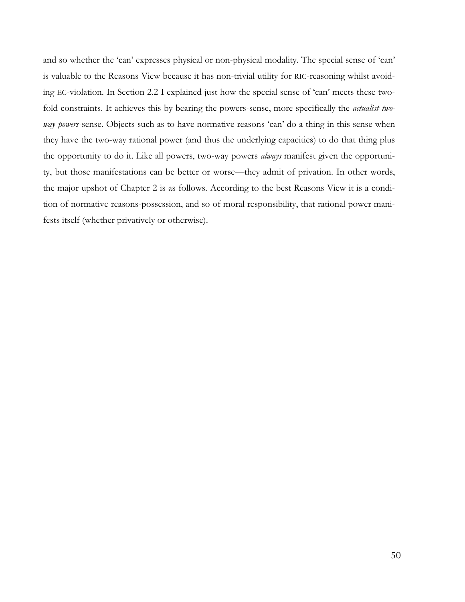and so whether the 'can' expresses physical or non-physical modality. The special sense of 'can' is valuable to the Reasons View because it has non-trivial utility for RIC-reasoning whilst avoiding EC-violation. In Section 2.2 I explained just how the special sense of 'can' meets these twofold constraints. It achieves this by bearing the powers-sense, more specifically the *actualist twoway powers*-sense. Objects such as to have normative reasons 'can' do a thing in this sense when they have the two-way rational power (and thus the underlying capacities) to do that thing plus the opportunity to do it. Like all powers, two-way powers *always* manifest given the opportunity, but those manifestations can be better or worse—they admit of privation. In other words, the major upshot of Chapter 2 is as follows. According to the best Reasons View it is a condition of normative reasons-possession, and so of moral responsibility, that rational power manifests itself (whether privatively or otherwise).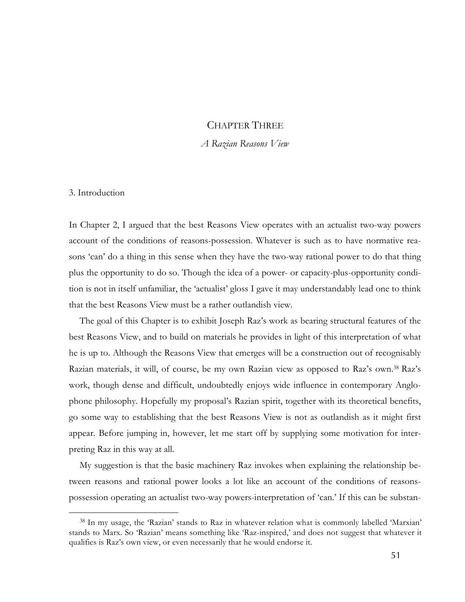# CHAPTER THREE

## *A Razian Reasons View*

## 3. Introduction

 

In Chapter 2, I argued that the best Reasons View operates with an actualist two-way powers account of the conditions of reasons-possession. Whatever is such as to have normative reasons 'can' do a thing in this sense when they have the two-way rational power to do that thing plus the opportunity to do so. Though the idea of a power- or capacity-plus-opportunity condition is not in itself unfamiliar, the 'actualist' gloss I gave it may understandably lead one to think that the best Reasons View must be a rather outlandish view.

The goal of this Chapter is to exhibit Joseph Raz's work as bearing structural features of the best Reasons View, and to build on materials he provides in light of this interpretation of what he is up to. Although the Reasons View that emerges will be a construction out of recognisably Razian materials, it will, of course, be my own Razian view as opposed to Raz's own. <sup>38</sup> Raz's work, though dense and difficult, undoubtedly enjoys wide influence in contemporary Anglophone philosophy. Hopefully my proposal's Razian spirit, together with its theoretical benefits, go some way to establishing that the best Reasons View is not as outlandish as it might first appear. Before jumping in, however, let me start off by supplying some motivation for interpreting Raz in this way at all.

My suggestion is that the basic machinery Raz invokes when explaining the relationship between reasons and rational power looks a lot like an account of the conditions of reasonspossession operating an actualist two-way powers-interpretation of 'can.' If this can be substan-

<sup>38</sup> In my usage, the 'Razian' stands to Raz in whatever relation what is commonly labelled 'Marxian' stands to Marx. So 'Razian' means something like 'Raz-inspired,' and does not suggest that whatever it qualifies is Raz's own view, or even necessarily that he would endorse it.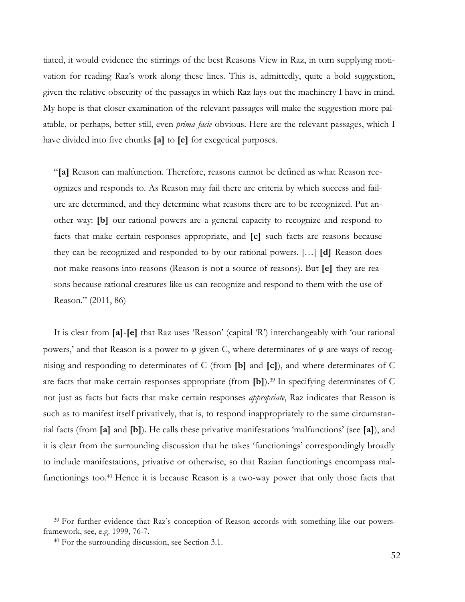tiated, it would evidence the stirrings of the best Reasons View in Raz, in turn supplying motivation for reading Raz's work along these lines. This is, admittedly, quite a bold suggestion, given the relative obscurity of the passages in which Raz lays out the machinery I have in mind. My hope is that closer examination of the relevant passages will make the suggestion more palatable, or perhaps, better still, even *prima facie* obvious. Here are the relevant passages, which I have divided into five chunks **[a]** to **[e]** for exegetical purposes.

"**[a]** Reason can malfunction. Therefore, reasons cannot be defined as what Reason recognizes and responds to. As Reason may fail there are criteria by which success and failure are determined, and they determine what reasons there are to be recognized. Put another way: **[b]** our rational powers are a general capacity to recognize and respond to facts that make certain responses appropriate, and **[c]** such facts are reasons because they can be recognized and responded to by our rational powers. […] **[d]** Reason does not make reasons into reasons (Reason is not a source of reasons). But **[e]** they are reasons because rational creatures like us can recognize and respond to them with the use of Reason." (2011, 86)

It is clear from **[a]**-**[e]** that Raz uses 'Reason' (capital 'R') interchangeably with 'our rational powers,' and that Reason is a power to *φ* given C, where determinates of *φ* are ways of recognising and responding to determinates of C (from **[b]** and **[c]**), and where determinates of C are facts that make certain responses appropriate (from **[b]**).39 In specifying determinates of C not just as facts but facts that make certain responses *appropriate*, Raz indicates that Reason is such as to manifest itself privatively, that is, to respond inappropriately to the same circumstantial facts (from **[a]** and **[b]**). He calls these privative manifestations 'malfunctions' (see **[a]**), and it is clear from the surrounding discussion that he takes 'functionings' correspondingly broadly to include manifestations, privative or otherwise, so that Razian functionings encompass malfunctionings too.<sup>40</sup> Hence it is because Reason is a two-way power that only those facts that

<sup>&</sup>lt;sup>39</sup> For further evidence that Raz's conception of Reason accords with something like our powersframework, see, e.g. 1999, 76-7.

<sup>40</sup> For the surrounding discussion, see Section 3.1.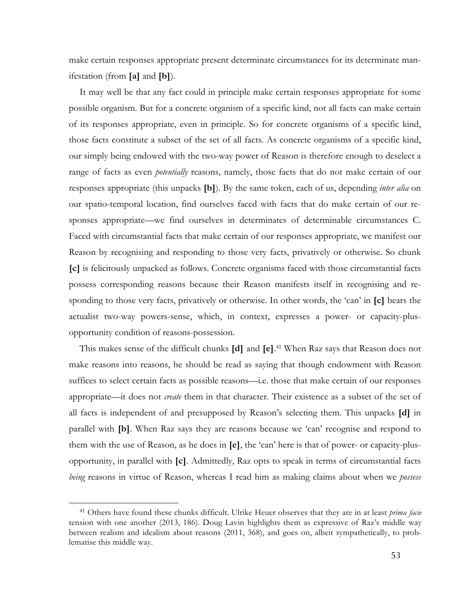make certain responses appropriate present determinate circumstances for its determinate manifestation (from **[a]** and **[b]**).

It may well be that any fact could in principle make certain responses appropriate for some possible organism. But for a concrete organism of a specific kind, not all facts can make certain of its responses appropriate, even in principle. So for concrete organisms of a specific kind, those facts constitute a subset of the set of all facts. As concrete organisms of a specific kind, our simply being endowed with the two-way power of Reason is therefore enough to deselect a range of facts as even *potentially* reasons, namely, those facts that do not make certain of our responses appropriate (this unpacks **[b]**). By the same token, each of us, depending *inter alia* on our spatio-temporal location, find ourselves faced with facts that do make certain of our responses appropriate—we find ourselves in determinates of determinable circumstances C. Faced with circumstantial facts that make certain of our responses appropriate, we manifest our Reason by recognising and responding to those very facts, privatively or otherwise. So chunk **[c]** is felicitously unpacked as follows. Concrete organisms faced with those circumstantial facts possess corresponding reasons because their Reason manifests itself in recognising and responding to those very facts, privatively or otherwise. In other words, the 'can' in **[c]** bears the actualist two-way powers-sense, which, in context, expresses a power- or capacity-plusopportunity condition of reasons-possession.

This makes sense of the difficult chunks **[d]** and **[e]**. <sup>41</sup> When Raz says that Reason does not make reasons into reasons, he should be read as saying that though endowment with Reason suffices to select certain facts as possible reasons—i.e. those that make certain of our responses appropriate—it does not *create* them in that character. Their existence as a subset of the set of all facts is independent of and presupposed by Reason's selecting them. This unpacks **[d]** in parallel with **[b]**. When Raz says they are reasons because we 'can' recognise and respond to them with the use of Reason, as he does in **[e]**, the 'can' here is that of power- or capacity-plusopportunity, in parallel with **[c]**. Admittedly, Raz opts to speak in terms of circumstantial facts *being* reasons in virtue of Reason, whereas I read him as making claims about when we *possess*

<sup>41</sup> Others have found these chunks difficult. Ulrike Heuer observes that they are in at least *prima facie* tension with one another (2013, 186). Doug Lavin highlights them as expressive of Raz's middle way between realism and idealism about reasons (2011, 368), and goes on, albeit sympathetically, to problematise this middle way.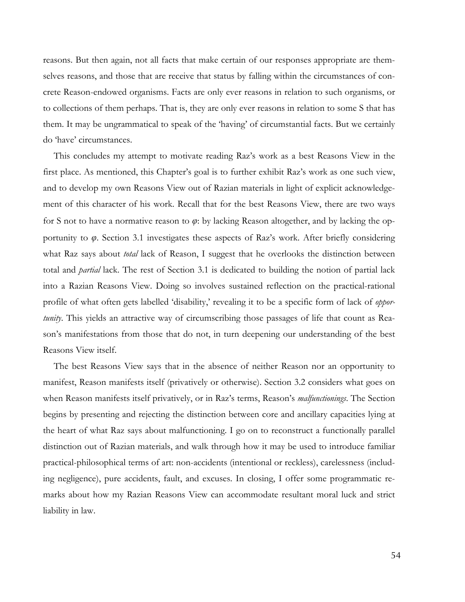reasons. But then again, not all facts that make certain of our responses appropriate are themselves reasons, and those that are receive that status by falling within the circumstances of concrete Reason-endowed organisms. Facts are only ever reasons in relation to such organisms, or to collections of them perhaps. That is, they are only ever reasons in relation to some S that has them. It may be ungrammatical to speak of the 'having' of circumstantial facts. But we certainly do 'have' circumstances.

This concludes my attempt to motivate reading Raz's work as a best Reasons View in the first place. As mentioned, this Chapter's goal is to further exhibit Raz's work as one such view, and to develop my own Reasons View out of Razian materials in light of explicit acknowledgement of this character of his work. Recall that for the best Reasons View, there are two ways for S not to have a normative reason to *φ*: by lacking Reason altogether, and by lacking the opportunity to *φ*. Section 3.1 investigates these aspects of Raz's work. After briefly considering what Raz says about *total* lack of Reason, I suggest that he overlooks the distinction between total and *partial* lack. The rest of Section 3.1 is dedicated to building the notion of partial lack into a Razian Reasons View. Doing so involves sustained reflection on the practical-rational profile of what often gets labelled 'disability,' revealing it to be a specific form of lack of *opportunity*. This yields an attractive way of circumscribing those passages of life that count as Reason's manifestations from those that do not, in turn deepening our understanding of the best Reasons View itself.

The best Reasons View says that in the absence of neither Reason nor an opportunity to manifest, Reason manifests itself (privatively or otherwise). Section 3.2 considers what goes on when Reason manifests itself privatively, or in Raz's terms, Reason's *malfunctionings*. The Section begins by presenting and rejecting the distinction between core and ancillary capacities lying at the heart of what Raz says about malfunctioning. I go on to reconstruct a functionally parallel distinction out of Razian materials, and walk through how it may be used to introduce familiar practical-philosophical terms of art: non-accidents (intentional or reckless), carelessness (including negligence), pure accidents, fault, and excuses. In closing, I offer some programmatic remarks about how my Razian Reasons View can accommodate resultant moral luck and strict liability in law.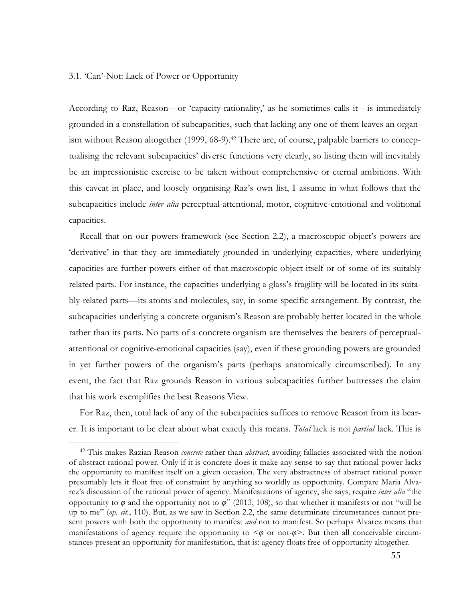### 3.1. 'Can'-Not: Lack of Power or Opportunity

 

According to Raz, Reason—or 'capacity-rationality,' as he sometimes calls it—is immediately grounded in a constellation of subcapacities, such that lacking any one of them leaves an organism without Reason altogether (1999, 68-9).<sup>42</sup> There are, of course, palpable barriers to conceptualising the relevant subcapacities' diverse functions very clearly, so listing them will inevitably be an impressionistic exercise to be taken without comprehensive or eternal ambitions. With this caveat in place, and loosely organising Raz's own list, I assume in what follows that the subcapacities include *inter alia* perceptual-attentional, motor, cognitive-emotional and volitional capacities.

Recall that on our powers-framework (see Section 2.2), a macroscopic object's powers are 'derivative' in that they are immediately grounded in underlying capacities, where underlying capacities are further powers either of that macroscopic object itself or of some of its suitably related parts. For instance, the capacities underlying a glass's fragility will be located in its suitably related parts—its atoms and molecules, say, in some specific arrangement. By contrast, the subcapacities underlying a concrete organism's Reason are probably better located in the whole rather than its parts. No parts of a concrete organism are themselves the bearers of perceptualattentional or cognitive-emotional capacities (say), even if these grounding powers are grounded in yet further powers of the organism's parts (perhaps anatomically circumscribed). In any event, the fact that Raz grounds Reason in various subcapacities further buttresses the claim that his work exemplifies the best Reasons View.

For Raz, then, total lack of any of the subcapacities suffices to remove Reason from its bearer. It is important to be clear about what exactly this means. *Total* lack is not *partial* lack. This is

<sup>42</sup> This makes Razian Reason *concrete* rather than *abstract*, avoiding fallacies associated with the notion of abstract rational power. Only if it is concrete does it make any sense to say that rational power lacks the opportunity to manifest itself on a given occasion. The very abstractness of abstract rational power presumably lets it float free of constraint by anything so worldly as opportunity. Compare Maria Alvarez's discussion of the rational power of agency. Manifestations of agency, she says, require *inter alia* "the opportunity to  $\varphi$  and the opportunity not to  $\varphi$ " (2013, 108), so that whether it manifests or not "will be up to me" (*op. cit.*, 110). But, as we saw in Section 2.2, the same determinate circumstances cannot present powers with both the opportunity to manifest *and* not to manifest. So perhaps Alvarez means that manifestations of agency require the opportunity to  $\leq \varphi$  or not- $\varphi$ . But then all conceivable circumstances present an opportunity for manifestation, that is: agency floats free of opportunity altogether.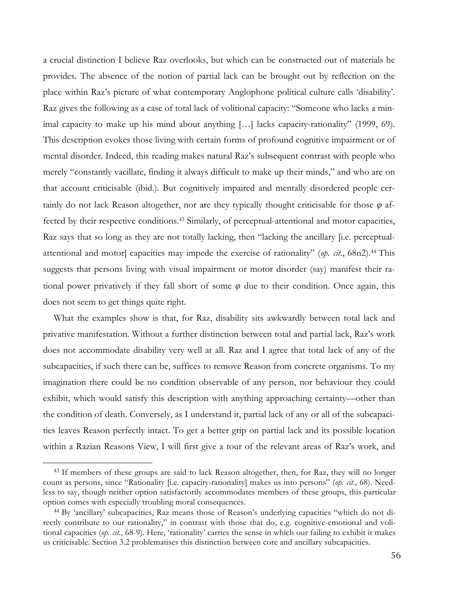a crucial distinction I believe Raz overlooks, but which can be constructed out of materials he provides. The absence of the notion of partial lack can be brought out by reflection on the place within Raz's picture of what contemporary Anglophone political culture calls 'disability'. Raz gives the following as a case of total lack of volitional capacity: "Someone who lacks a minimal capacity to make up his mind about anything […] lacks capacity-rationality" (1999, 69). This description evokes those living with certain forms of profound cognitive impairment or of mental disorder. Indeed, this reading makes natural Raz's subsequent contrast with people who merely "constantly vacillate, finding it always difficult to make up their minds," and who are on that account criticisable (ibid.). But cognitively impaired and mentally disordered people certainly do not lack Reason altogether, nor are they typically thought criticisable for those *φ* affected by their respective conditions.<sup>43</sup> Similarly, of perceptual-attentional and motor capacities, Raz says that so long as they are not totally lacking, then "lacking the ancillary [i.e. perceptualattentional and motor] capacities may impede the exercise of rationality" (*op. cit.*, 68n2).44 This suggests that persons living with visual impairment or motor disorder (say) manifest their rational power privatively if they fall short of some  $\varphi$  due to their condition. Once again, this does not seem to get things quite right.

What the examples show is that, for Raz, disability sits awkwardly between total lack and privative manifestation. Without a further distinction between total and partial lack, Raz's work does not accommodate disability very well at all. Raz and I agree that total lack of any of the subcapacities, if such there can be, suffices to remove Reason from concrete organisms. To my imagination there could be no condition observable of any person, nor behaviour they could exhibit, which would satisfy this description with anything approaching certainty—other than the condition of death. Conversely, as I understand it, partial lack of any or all of the subcapacities leaves Reason perfectly intact. To get a better grip on partial lack and its possible location within a Razian Reasons View, I will first give a tour of the relevant areas of Raz's work, and

<sup>&</sup>lt;sup>43</sup> If members of these groups are said to lack Reason altogether, then, for Raz, they will no longer count as persons, since "Rationality [i.e. capacity-rationality] makes us into persons" (*op. cit.*, 68). Needless to say, though neither option satisfactorily accommodates members of these groups, this particular option comes with especially troubling moral consequences.

<sup>44</sup> By 'ancillary' subcapacities, Raz means those of Reason's underlying capacities "which do not directly contribute to our rationality," in contrast with those that do, e.g. cognitive-emotional and volitional capacities (*op. cit.*, 68-9). Here, 'rationality' carries the sense in which our failing to exhibit it makes us criticisable. Section 3.2 problematises this distinction between core and ancillary subcapacities.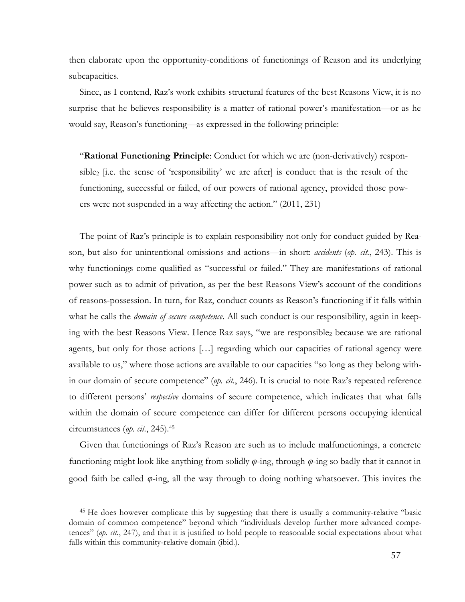then elaborate upon the opportunity-conditions of functionings of Reason and its underlying subcapacities.

Since, as I contend, Raz's work exhibits structural features of the best Reasons View, it is no surprise that he believes responsibility is a matter of rational power's manifestation—or as he would say, Reason's functioning—as expressed in the following principle:

"**Rational Functioning Principle**: Conduct for which we are (non-derivatively) responsible<sub>2</sub> [i.e. the sense of 'responsibility' we are after] is conduct that is the result of the functioning, successful or failed, of our powers of rational agency, provided those powers were not suspended in a way affecting the action." (2011, 231)

The point of Raz's principle is to explain responsibility not only for conduct guided by Reason, but also for unintentional omissions and actions—in short: *accidents* (*op. cit.*, 243). This is why functionings come qualified as "successful or failed." They are manifestations of rational power such as to admit of privation, as per the best Reasons View's account of the conditions of reasons-possession. In turn, for Raz, conduct counts as Reason's functioning if it falls within what he calls the *domain of secure competence*. All such conduct is our responsibility, again in keeping with the best Reasons View. Hence Raz says, "we are responsible<sub>2</sub> because we are rational agents, but only for those actions […] regarding which our capacities of rational agency were available to us," where those actions are available to our capacities "so long as they belong within our domain of secure competence" (*op. cit.*, 246). It is crucial to note Raz's repeated reference to different persons' *respective* domains of secure competence, which indicates that what falls within the domain of secure competence can differ for different persons occupying identical circumstances (*op. cit.*, 245).45

Given that functionings of Raz's Reason are such as to include malfunctionings, a concrete functioning might look like anything from solidly *φ*-ing, through *φ*-ing so badly that it cannot in good faith be called *φ*-ing, all the way through to doing nothing whatsoever. This invites the

<sup>45</sup> He does however complicate this by suggesting that there is usually a community-relative "basic domain of common competence" beyond which "individuals develop further more advanced competences" (*op. cit.*, 247), and that it is justified to hold people to reasonable social expectations about what falls within this community-relative domain (ibid.).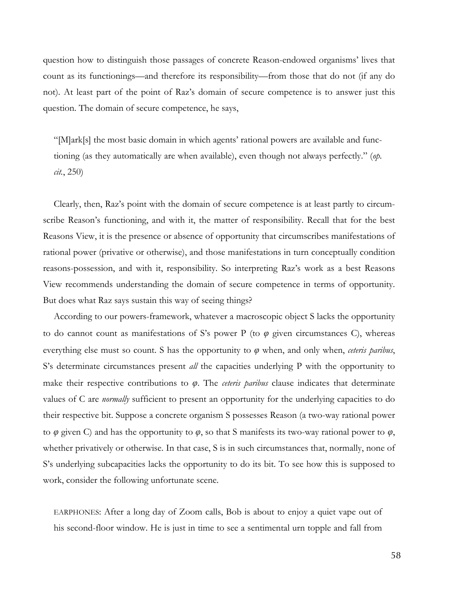question how to distinguish those passages of concrete Reason-endowed organisms' lives that count as its functionings—and therefore its responsibility—from those that do not (if any do not). At least part of the point of Raz's domain of secure competence is to answer just this question. The domain of secure competence, he says,

"[M]ark[s] the most basic domain in which agents' rational powers are available and functioning (as they automatically are when available), even though not always perfectly." (*op. cit.*, 250)

Clearly, then, Raz's point with the domain of secure competence is at least partly to circumscribe Reason's functioning, and with it, the matter of responsibility. Recall that for the best Reasons View, it is the presence or absence of opportunity that circumscribes manifestations of rational power (privative or otherwise), and those manifestations in turn conceptually condition reasons-possession, and with it, responsibility. So interpreting Raz's work as a best Reasons View recommends understanding the domain of secure competence in terms of opportunity. But does what Raz says sustain this way of seeing things?

According to our powers-framework, whatever a macroscopic object S lacks the opportunity to do cannot count as manifestations of S's power P (to *φ* given circumstances C), whereas everything else must so count. S has the opportunity to *φ* when, and only when, *ceteris paribus*, S's determinate circumstances present *all* the capacities underlying P with the opportunity to make their respective contributions to *φ*. The *ceteris paribus* clause indicates that determinate values of C are *normally* sufficient to present an opportunity for the underlying capacities to do their respective bit. Suppose a concrete organism S possesses Reason (a two-way rational power to  $\varphi$  given C) and has the opportunity to  $\varphi$ , so that S manifests its two-way rational power to  $\varphi$ , whether privatively or otherwise. In that case, S is in such circumstances that, normally, none of S's underlying subcapacities lacks the opportunity to do its bit. To see how this is supposed to work, consider the following unfortunate scene.

EARPHONES: After a long day of Zoom calls, Bob is about to enjoy a quiet vape out of his second-floor window. He is just in time to see a sentimental urn topple and fall from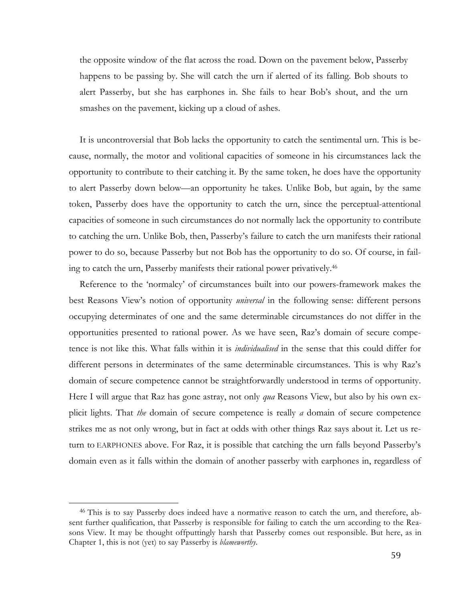the opposite window of the flat across the road. Down on the pavement below, Passerby happens to be passing by. She will catch the urn if alerted of its falling. Bob shouts to alert Passerby, but she has earphones in. She fails to hear Bob's shout, and the urn smashes on the pavement, kicking up a cloud of ashes.

It is uncontroversial that Bob lacks the opportunity to catch the sentimental urn. This is because, normally, the motor and volitional capacities of someone in his circumstances lack the opportunity to contribute to their catching it. By the same token, he does have the opportunity to alert Passerby down below—an opportunity he takes. Unlike Bob, but again, by the same token, Passerby does have the opportunity to catch the urn, since the perceptual-attentional capacities of someone in such circumstances do not normally lack the opportunity to contribute to catching the urn. Unlike Bob, then, Passerby's failure to catch the urn manifests their rational power to do so, because Passerby but not Bob has the opportunity to do so. Of course, in failing to catch the urn, Passerby manifests their rational power privatively.46

Reference to the 'normalcy' of circumstances built into our powers-framework makes the best Reasons View's notion of opportunity *universal* in the following sense: different persons occupying determinates of one and the same determinable circumstances do not differ in the opportunities presented to rational power. As we have seen, Raz's domain of secure competence is not like this. What falls within it is *individualised* in the sense that this could differ for different persons in determinates of the same determinable circumstances. This is why Raz's domain of secure competence cannot be straightforwardly understood in terms of opportunity. Here I will argue that Raz has gone astray, not only *qua* Reasons View, but also by his own explicit lights. That *the* domain of secure competence is really *a* domain of secure competence strikes me as not only wrong, but in fact at odds with other things Raz says about it. Let us return to EARPHONES above. For Raz, it is possible that catching the urn falls beyond Passerby's domain even as it falls within the domain of another passerby with earphones in, regardless of

<sup>46</sup> This is to say Passerby does indeed have a normative reason to catch the urn, and therefore, absent further qualification, that Passerby is responsible for failing to catch the urn according to the Reasons View. It may be thought offputtingly harsh that Passerby comes out responsible. But here, as in Chapter 1, this is not (yet) to say Passerby is *blameworthy*.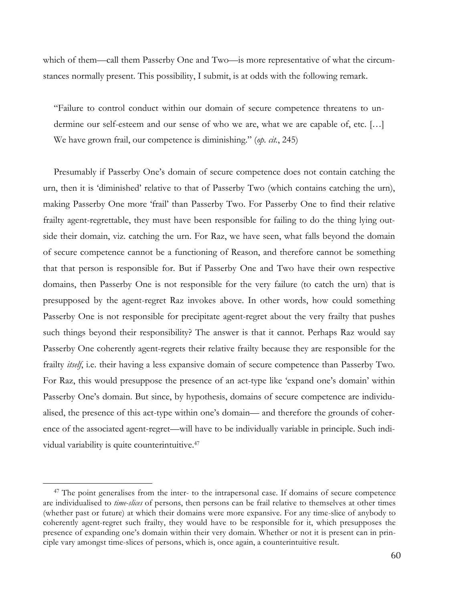which of them—call them Passerby One and Two—is more representative of what the circumstances normally present. This possibility, I submit, is at odds with the following remark.

"Failure to control conduct within our domain of secure competence threatens to undermine our self-esteem and our sense of who we are, what we are capable of, etc. […] We have grown frail, our competence is diminishing." (*op. cit.*, 245)

Presumably if Passerby One's domain of secure competence does not contain catching the urn, then it is 'diminished' relative to that of Passerby Two (which contains catching the urn), making Passerby One more 'frail' than Passerby Two. For Passerby One to find their relative frailty agent-regrettable, they must have been responsible for failing to do the thing lying outside their domain, viz. catching the urn. For Raz, we have seen, what falls beyond the domain of secure competence cannot be a functioning of Reason, and therefore cannot be something that that person is responsible for. But if Passerby One and Two have their own respective domains, then Passerby One is not responsible for the very failure (to catch the urn) that is presupposed by the agent-regret Raz invokes above. In other words, how could something Passerby One is not responsible for precipitate agent-regret about the very frailty that pushes such things beyond their responsibility? The answer is that it cannot. Perhaps Raz would say Passerby One coherently agent-regrets their relative frailty because they are responsible for the frailty *itself*, i.e. their having a less expansive domain of secure competence than Passerby Two. For Raz, this would presuppose the presence of an act-type like 'expand one's domain' within Passerby One's domain. But since, by hypothesis, domains of secure competence are individualised, the presence of this act-type within one's domain— and therefore the grounds of coherence of the associated agent-regret—will have to be individually variable in principle. Such individual variability is quite counterintuitive.47

<sup>&</sup>lt;sup>47</sup> The point generalises from the inter- to the intrapersonal case. If domains of secure competence are individualised to *time-slices* of persons, then persons can be frail relative to themselves at other times (whether past or future) at which their domains were more expansive. For any time-slice of anybody to coherently agent-regret such frailty, they would have to be responsible for it, which presupposes the presence of expanding one's domain within their very domain. Whether or not it is present can in principle vary amongst time-slices of persons, which is, once again, a counterintuitive result.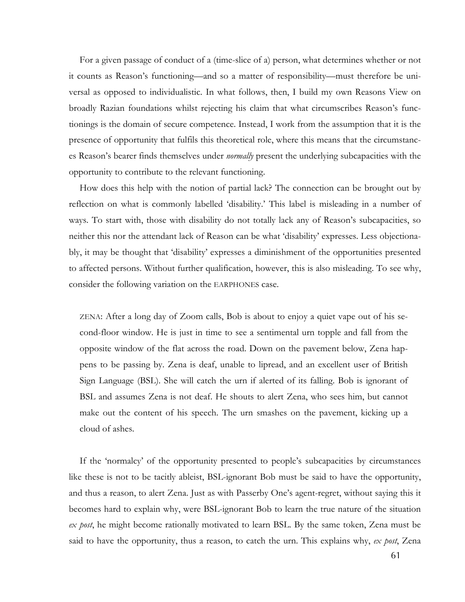For a given passage of conduct of a (time-slice of a) person, what determines whether or not it counts as Reason's functioning—and so a matter of responsibility—must therefore be universal as opposed to individualistic. In what follows, then, I build my own Reasons View on broadly Razian foundations whilst rejecting his claim that what circumscribes Reason's functionings is the domain of secure competence. Instead, I work from the assumption that it is the presence of opportunity that fulfils this theoretical role, where this means that the circumstances Reason's bearer finds themselves under *normally* present the underlying subcapacities with the opportunity to contribute to the relevant functioning.

How does this help with the notion of partial lack? The connection can be brought out by reflection on what is commonly labelled 'disability.' This label is misleading in a number of ways. To start with, those with disability do not totally lack any of Reason's subcapacities, so neither this nor the attendant lack of Reason can be what 'disability' expresses. Less objectionably, it may be thought that 'disability' expresses a diminishment of the opportunities presented to affected persons. Without further qualification, however, this is also misleading. To see why, consider the following variation on the EARPHONES case.

ZENA: After a long day of Zoom calls, Bob is about to enjoy a quiet vape out of his second-floor window. He is just in time to see a sentimental urn topple and fall from the opposite window of the flat across the road. Down on the pavement below, Zena happens to be passing by. Zena is deaf, unable to lipread, and an excellent user of British Sign Language (BSL). She will catch the urn if alerted of its falling. Bob is ignorant of BSL and assumes Zena is not deaf. He shouts to alert Zena, who sees him, but cannot make out the content of his speech. The urn smashes on the pavement, kicking up a cloud of ashes.

If the 'normalcy' of the opportunity presented to people's subcapacities by circumstances like these is not to be tacitly ableist, BSL-ignorant Bob must be said to have the opportunity, and thus a reason, to alert Zena. Just as with Passerby One's agent-regret, without saying this it becomes hard to explain why, were BSL-ignorant Bob to learn the true nature of the situation *ex post*, he might become rationally motivated to learn BSL. By the same token, Zena must be said to have the opportunity, thus a reason, to catch the urn. This explains why, *ex post*, Zena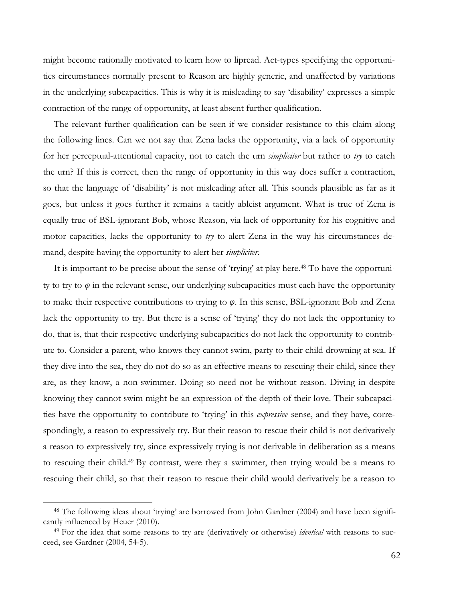might become rationally motivated to learn how to lipread. Act-types specifying the opportunities circumstances normally present to Reason are highly generic, and unaffected by variations in the underlying subcapacities. This is why it is misleading to say 'disability' expresses a simple contraction of the range of opportunity, at least absent further qualification.

The relevant further qualification can be seen if we consider resistance to this claim along the following lines. Can we not say that Zena lacks the opportunity, via a lack of opportunity for her perceptual-attentional capacity, not to catch the urn *simpliciter* but rather to *try* to catch the urn? If this is correct, then the range of opportunity in this way does suffer a contraction, so that the language of 'disability' is not misleading after all. This sounds plausible as far as it goes, but unless it goes further it remains a tacitly ableist argument. What is true of Zena is equally true of BSL-ignorant Bob, whose Reason, via lack of opportunity for his cognitive and motor capacities, lacks the opportunity to *try* to alert Zena in the way his circumstances demand, despite having the opportunity to alert her *simpliciter*.

It is important to be precise about the sense of 'trying' at play here.<sup>48</sup> To have the opportunity to try to  $\varphi$  in the relevant sense, our underlying subcapacities must each have the opportunity to make their respective contributions to trying to *φ*. In this sense, BSL-ignorant Bob and Zena lack the opportunity to try. But there is a sense of 'trying' they do not lack the opportunity to do, that is, that their respective underlying subcapacities do not lack the opportunity to contribute to. Consider a parent, who knows they cannot swim, party to their child drowning at sea. If they dive into the sea, they do not do so as an effective means to rescuing their child, since they are, as they know, a non-swimmer. Doing so need not be without reason. Diving in despite knowing they cannot swim might be an expression of the depth of their love. Their subcapacities have the opportunity to contribute to 'trying' in this *expressive* sense, and they have, correspondingly, a reason to expressively try. But their reason to rescue their child is not derivatively a reason to expressively try, since expressively trying is not derivable in deliberation as a means to rescuing their child.49 By contrast, were they a swimmer, then trying would be a means to rescuing their child, so that their reason to rescue their child would derivatively be a reason to

<sup>48</sup> The following ideas about 'trying' are borrowed from John Gardner (2004) and have been significantly influenced by Heuer (2010).

<sup>49</sup> For the idea that some reasons to try are (derivatively or otherwise) *identical* with reasons to succeed, see Gardner (2004, 54-5).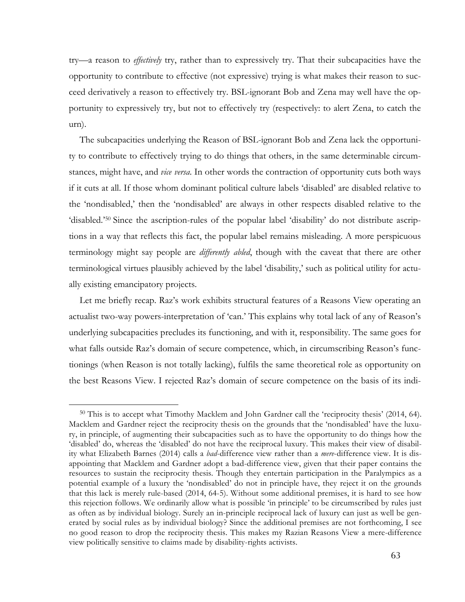try—a reason to *effectively* try, rather than to expressively try. That their subcapacities have the opportunity to contribute to effective (not expressive) trying is what makes their reason to succeed derivatively a reason to effectively try. BSL-ignorant Bob and Zena may well have the opportunity to expressively try, but not to effectively try (respectively: to alert Zena, to catch the urn).

The subcapacities underlying the Reason of BSL-ignorant Bob and Zena lack the opportunity to contribute to effectively trying to do things that others, in the same determinable circumstances, might have, and *vice versa*. In other words the contraction of opportunity cuts both ways if it cuts at all. If those whom dominant political culture labels 'disabled' are disabled relative to the 'nondisabled,' then the 'nondisabled' are always in other respects disabled relative to the 'disabled.'50 Since the ascription-rules of the popular label 'disability' do not distribute ascriptions in a way that reflects this fact, the popular label remains misleading. A more perspicuous terminology might say people are *differently abled*, though with the caveat that there are other terminological virtues plausibly achieved by the label 'disability,' such as political utility for actually existing emancipatory projects.

Let me briefly recap. Raz's work exhibits structural features of a Reasons View operating an actualist two-way powers-interpretation of 'can.' This explains why total lack of any of Reason's underlying subcapacities precludes its functioning, and with it, responsibility. The same goes for what falls outside Raz's domain of secure competence, which, in circumscribing Reason's functionings (when Reason is not totally lacking), fulfils the same theoretical role as opportunity on the best Reasons View. I rejected Raz's domain of secure competence on the basis of its indi-

<sup>50</sup> This is to accept what Timothy Macklem and John Gardner call the 'reciprocity thesis' (2014, 64). Macklem and Gardner reject the reciprocity thesis on the grounds that the 'nondisabled' have the luxury, in principle, of augmenting their subcapacities such as to have the opportunity to do things how the 'disabled' do, whereas the 'disabled' do not have the reciprocal luxury. This makes their view of disability what Elizabeth Barnes (2014) calls a *bad*-difference view rather than a *mere*-difference view. It is disappointing that Macklem and Gardner adopt a bad-difference view, given that their paper contains the resources to sustain the reciprocity thesis. Though they entertain participation in the Paralympics as a potential example of a luxury the 'nondisabled' do not in principle have, they reject it on the grounds that this lack is merely rule-based (2014, 64-5). Without some additional premises, it is hard to see how this rejection follows. We ordinarily allow what is possible 'in principle' to be circumscribed by rules just as often as by individual biology. Surely an in-principle reciprocal lack of luxury can just as well be generated by social rules as by individual biology? Since the additional premises are not forthcoming, I see no good reason to drop the reciprocity thesis. This makes my Razian Reasons View a mere-difference view politically sensitive to claims made by disability-rights activists.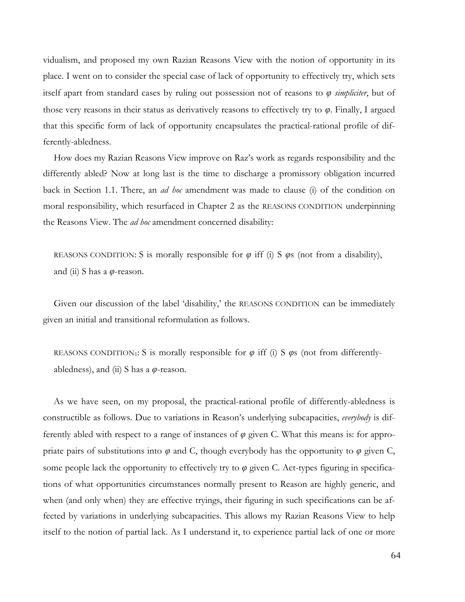vidualism, and proposed my own Razian Reasons View with the notion of opportunity in its place. I went on to consider the special case of lack of opportunity to effectively try, which sets itself apart from standard cases by ruling out possession not of reasons to *φ simpliciter*, but of those very reasons in their status as derivatively reasons to effectively try to *φ*. Finally, I argued that this specific form of lack of opportunity encapsulates the practical-rational profile of differently-abledness.

How does my Razian Reasons View improve on Raz's work as regards responsibility and the differently abled? Now at long last is the time to discharge a promissory obligation incurred back in Section 1.1. There, an *ad hoc* amendment was made to clause (i) of the condition on moral responsibility, which resurfaced in Chapter 2 as the REASONS CONDITION underpinning the Reasons View. The *ad hoc* amendment concerned disability:

REASONS CONDITION: S is morally responsible for  $\varphi$  iff (i) S  $\varphi$ s (not from a disability), and (ii) S has a *φ*-reason.

Given our discussion of the label 'disability,' the REASONS CONDITION can be immediately given an initial and transitional reformulation as follows.

REASONS CONDITION1: S is morally responsible for *φ* iff (i) S *φ*s (not from differentlyabledness), and (ii) S has a *φ*-reason.

As we have seen, on my proposal, the practical-rational profile of differently-abledness is constructible as follows. Due to variations in Reason's underlying subcapacities, *everybody* is differently abled with respect to a range of instances of *φ* given C. What this means is: for appropriate pairs of substitutions into *φ* and C, though everybody has the opportunity to *φ* given C, some people lack the opportunity to effectively try to  $\varphi$  given C. Act-types figuring in specifications of what opportunities circumstances normally present to Reason are highly generic, and when (and only when) they are effective tryings, their figuring in such specifications can be affected by variations in underlying subcapacities. This allows my Razian Reasons View to help itself to the notion of partial lack. As I understand it, to experience partial lack of one or more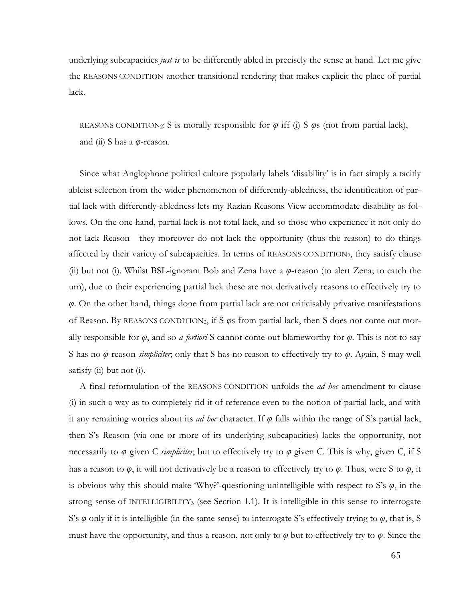underlying subcapacities *just is* to be differently abled in precisely the sense at hand. Let me give the REASONS CONDITION another transitional rendering that makes explicit the place of partial lack.

REASONS CONDITION<sub>2</sub>: S is morally responsible for  $\varphi$  iff (i) S  $\varphi$ s (not from partial lack), and (ii) S has a *φ*-reason.

Since what Anglophone political culture popularly labels 'disability' is in fact simply a tacitly ableist selection from the wider phenomenon of differently-abledness, the identification of partial lack with differently-abledness lets my Razian Reasons View accommodate disability as follows. On the one hand, partial lack is not total lack, and so those who experience it not only do not lack Reason—they moreover do not lack the opportunity (thus the reason) to do things affected by their variety of subcapacities. In terms of REASONS CONDITION2, they satisfy clause (ii) but not (i). Whilst BSL-ignorant Bob and Zena have a *φ*-reason (to alert Zena; to catch the urn), due to their experiencing partial lack these are not derivatively reasons to effectively try to *φ*. On the other hand, things done from partial lack are not criticisably privative manifestations of Reason. By REASONS CONDITION2, if S *φ*s from partial lack, then S does not come out morally responsible for *φ*, and so *a fortiori* S cannot come out blameworthy for *φ*. This is not to say S has no *φ*-reason *simpliciter*; only that S has no reason to effectively try to *φ*. Again, S may well satisfy (ii) but not (i).

A final reformulation of the REASONS CONDITION unfolds the *ad hoc* amendment to clause (i) in such a way as to completely rid it of reference even to the notion of partial lack, and with it any remaining worries about its *ad hoc* character. If *φ* falls within the range of S's partial lack, then S's Reason (via one or more of its underlying subcapacities) lacks the opportunity, not necessarily to *φ* given C *simpliciter*, but to effectively try to *φ* given C. This is why, given C, if S has a reason to *φ*, it will not derivatively be a reason to effectively try to *φ*. Thus, were S to *φ*, it is obvious why this should make 'Why?'-questioning unintelligible with respect to S's  $\varphi$ , in the strong sense of INTELLIGIBILITY3 (see Section 1.1). It is intelligible in this sense to interrogate S's *φ* only if it is intelligible (in the same sense) to interrogate S's effectively trying to *φ*, that is, S must have the opportunity, and thus a reason, not only to *φ* but to effectively try to *φ*. Since the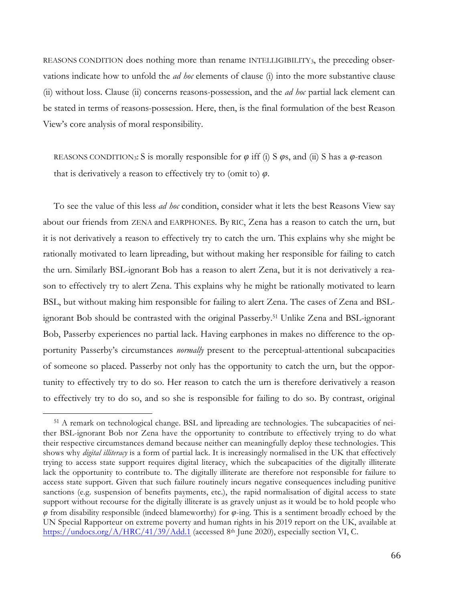REASONS CONDITION does nothing more than rename INTELLIGIBILITY3, the preceding observations indicate how to unfold the *ad hoc* elements of clause (i) into the more substantive clause (ii) without loss. Clause (ii) concerns reasons-possession, and the *ad hoc* partial lack element can be stated in terms of reasons-possession. Here, then, is the final formulation of the best Reason View's core analysis of moral responsibility.

REASONS CONDITION3: S is morally responsible for *φ* iff (i) S *φ*s, and (ii) S has a *φ*-reason that is derivatively a reason to effectively try to (omit to) *φ*.

To see the value of this less *ad hoc* condition, consider what it lets the best Reasons View say about our friends from ZENA and EARPHONES. By RIC, Zena has a reason to catch the urn, but it is not derivatively a reason to effectively try to catch the urn. This explains why she might be rationally motivated to learn lipreading, but without making her responsible for failing to catch the urn. Similarly BSL-ignorant Bob has a reason to alert Zena, but it is not derivatively a reason to effectively try to alert Zena. This explains why he might be rationally motivated to learn BSL, but without making him responsible for failing to alert Zena. The cases of Zena and BSLignorant Bob should be contrasted with the original Passerby.51 Unlike Zena and BSL-ignorant Bob, Passerby experiences no partial lack. Having earphones in makes no difference to the opportunity Passerby's circumstances *normally* present to the perceptual-attentional subcapacities of someone so placed. Passerby not only has the opportunity to catch the urn, but the opportunity to effectively try to do so. Her reason to catch the urn is therefore derivatively a reason to effectively try to do so, and so she is responsible for failing to do so. By contrast, original

<sup>51</sup> A remark on technological change. BSL and lipreading are technologies. The subcapacities of neither BSL-ignorant Bob nor Zena have the opportunity to contribute to effectively trying to do what their respective circumstances demand because neither can meaningfully deploy these technologies. This shows why *digital illiteracy* is a form of partial lack. It is increasingly normalised in the UK that effectively trying to access state support requires digital literacy, which the subcapacities of the digitally illiterate lack the opportunity to contribute to. The digitally illiterate are therefore not responsible for failure to access state support. Given that such failure routinely incurs negative consequences including punitive sanctions (e.g. suspension of benefits payments, etc.), the rapid normalisation of digital access to state support without recourse for the digitally illiterate is as gravely unjust as it would be to hold people who *φ* from disability responsible (indeed blameworthy) for *φ*-ing. This is a sentiment broadly echoed by the UN Special Rapporteur on extreme poverty and human rights in his 2019 report on the UK, available at https://undocs.org/A/HRC/41/39/Add.1 (accessed 8<sup>th</sup> June 2020), especially section VI, C.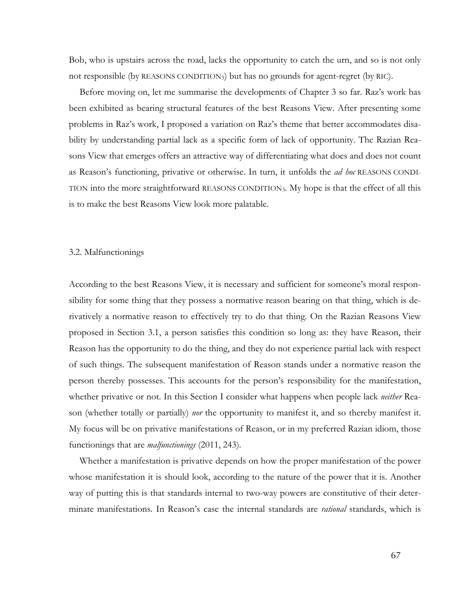Bob, who is upstairs across the road, lacks the opportunity to catch the urn, and so is not only not responsible (by REASONS CONDITION3) but has no grounds for agent-regret (by RIC).

Before moving on, let me summarise the developments of Chapter 3 so far. Raz's work has been exhibited as bearing structural features of the best Reasons View. After presenting some problems in Raz's work, I proposed a variation on Raz's theme that better accommodates disability by understanding partial lack as a specific form of lack of opportunity. The Razian Reasons View that emerges offers an attractive way of differentiating what does and does not count as Reason's functioning, privative or otherwise. In turn, it unfolds the *ad hoc* REASONS CONDI-TION into the more straightforward REASONS CONDITION3. My hope is that the effect of all this is to make the best Reasons View look more palatable.

#### 3.2. Malfunctionings

According to the best Reasons View, it is necessary and sufficient for someone's moral responsibility for some thing that they possess a normative reason bearing on that thing, which is derivatively a normative reason to effectively try to do that thing. On the Razian Reasons View proposed in Section 3.1, a person satisfies this condition so long as: they have Reason, their Reason has the opportunity to do the thing, and they do not experience partial lack with respect of such things. The subsequent manifestation of Reason stands under a normative reason the person thereby possesses. This accounts for the person's responsibility for the manifestation, whether privative or not. In this Section I consider what happens when people lack *neither* Reason (whether totally or partially) *nor* the opportunity to manifest it, and so thereby manifest it. My focus will be on privative manifestations of Reason, or in my preferred Razian idiom, those functionings that are *malfunctionings* (2011, 243).

Whether a manifestation is privative depends on how the proper manifestation of the power whose manifestation it is should look, according to the nature of the power that it is. Another way of putting this is that standards internal to two-way powers are constitutive of their determinate manifestations. In Reason's case the internal standards are *rational* standards, which is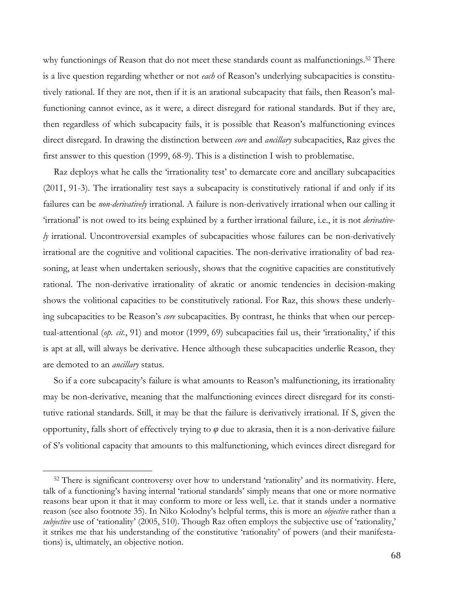why functionings of Reason that do not meet these standards count as malfunctionings.<sup>52</sup> There is a live question regarding whether or not *each* of Reason's underlying subcapacities is constitutively rational. If they are not, then if it is an arational subcapacity that fails, then Reason's malfunctioning cannot evince, as it were, a direct disregard for rational standards. But if they are, then regardless of which subcapacity fails, it is possible that Reason's malfunctioning evinces direct disregard. In drawing the distinction between *core* and *ancillary* subcapacities, Raz gives the first answer to this question (1999, 68-9). This is a distinction I wish to problematise.

Raz deploys what he calls the 'irrationality test' to demarcate core and ancillary subcapacities (2011, 91-3). The irrationality test says a subcapacity is constitutively rational if and only if its failures can be *non-derivatively* irrational. A failure is non-derivatively irrational when our calling it 'irrational' is not owed to its being explained by a further irrational failure, i.e., it is not *derivatively* irrational. Uncontroversial examples of subcapacities whose failures can be non-derivatively irrational are the cognitive and volitional capacities. The non-derivative irrationality of bad reasoning, at least when undertaken seriously, shows that the cognitive capacities are constitutively rational. The non-derivative irrationality of akratic or anomic tendencies in decision-making shows the volitional capacities to be constitutively rational. For Raz, this shows these underlying subcapacities to be Reason's *core* subcapacities. By contrast, he thinks that when our perceptual-attentional (*op. cit.*, 91) and motor (1999, 69) subcapacities fail us, their 'irrationality,' if this is apt at all, will always be derivative. Hence although these subcapacities underlie Reason, they are demoted to an *ancillary* status.

So if a core subcapacity's failure is what amounts to Reason's malfunctioning, its irrationality may be non-derivative, meaning that the malfunctioning evinces direct disregard for its constitutive rational standards. Still, it may be that the failure is derivatively irrational. If S, given the opportunity, falls short of effectively trying to  $\varphi$  due to akrasia, then it is a non-derivative failure of S's volitional capacity that amounts to this malfunctioning, which evinces direct disregard for

<sup>&</sup>lt;sup>52</sup> There is significant controversy over how to understand 'rationality' and its normativity. Here, talk of a functioning's having internal 'rational standards' simply means that one or more normative reasons bear upon it that it may conform to more or less well, i.e. that it stands under a normative reason (see also footnote 35). In Niko Kolodny's helpful terms, this is more an *objective* rather than a *subjective* use of 'rationality' (2005, 510). Though Raz often employs the subjective use of 'rationality,' it strikes me that his understanding of the constitutive 'rationality' of powers (and their manifestations) is, ultimately, an objective notion.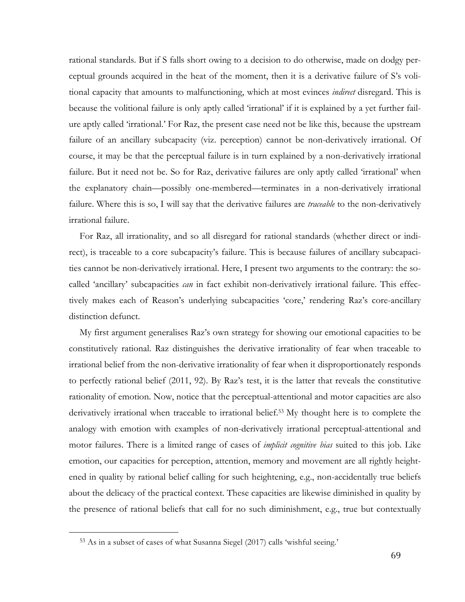rational standards. But if S falls short owing to a decision to do otherwise, made on dodgy perceptual grounds acquired in the heat of the moment, then it is a derivative failure of S's volitional capacity that amounts to malfunctioning, which at most evinces *indirect* disregard. This is because the volitional failure is only aptly called 'irrational' if it is explained by a yet further failure aptly called 'irrational.' For Raz, the present case need not be like this, because the upstream failure of an ancillary subcapacity (viz. perception) cannot be non-derivatively irrational. Of course, it may be that the perceptual failure is in turn explained by a non-derivatively irrational failure. But it need not be. So for Raz, derivative failures are only aptly called 'irrational' when the explanatory chain—possibly one-membered—terminates in a non-derivatively irrational failure. Where this is so, I will say that the derivative failures are *traceable* to the non-derivatively irrational failure.

For Raz, all irrationality, and so all disregard for rational standards (whether direct or indirect), is traceable to a core subcapacity's failure. This is because failures of ancillary subcapacities cannot be non-derivatively irrational. Here, I present two arguments to the contrary: the socalled 'ancillary' subcapacities *can* in fact exhibit non-derivatively irrational failure. This effectively makes each of Reason's underlying subcapacities 'core,' rendering Raz's core-ancillary distinction defunct.

My first argument generalises Raz's own strategy for showing our emotional capacities to be constitutively rational. Raz distinguishes the derivative irrationality of fear when traceable to irrational belief from the non-derivative irrationality of fear when it disproportionately responds to perfectly rational belief (2011, 92). By Raz's test, it is the latter that reveals the constitutive rationality of emotion. Now, notice that the perceptual-attentional and motor capacities are also derivatively irrational when traceable to irrational belief.53 My thought here is to complete the analogy with emotion with examples of non-derivatively irrational perceptual-attentional and motor failures. There is a limited range of cases of *implicit cognitive bias* suited to this job. Like emotion, our capacities for perception, attention, memory and movement are all rightly heightened in quality by rational belief calling for such heightening, e.g., non-accidentally true beliefs about the delicacy of the practical context. These capacities are likewise diminished in quality by the presence of rational beliefs that call for no such diminishment, e.g., true but contextually

<sup>53</sup> As in a subset of cases of what Susanna Siegel (2017) calls 'wishful seeing.'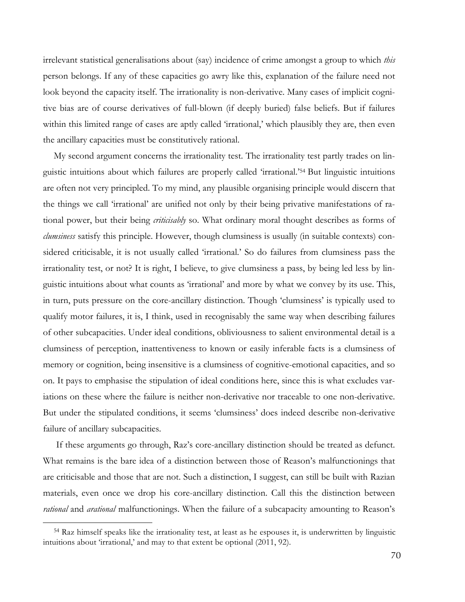irrelevant statistical generalisations about (say) incidence of crime amongst a group to which *this* person belongs. If any of these capacities go awry like this, explanation of the failure need not look beyond the capacity itself. The irrationality is non-derivative. Many cases of implicit cognitive bias are of course derivatives of full-blown (if deeply buried) false beliefs. But if failures within this limited range of cases are aptly called 'irrational,' which plausibly they are, then even the ancillary capacities must be constitutively rational.

My second argument concerns the irrationality test. The irrationality test partly trades on linguistic intuitions about which failures are properly called 'irrational.' <sup>54</sup> But linguistic intuitions are often not very principled. To my mind, any plausible organising principle would discern that the things we call 'irrational' are unified not only by their being privative manifestations of rational power, but their being *criticisably* so. What ordinary moral thought describes as forms of *clumsiness* satisfy this principle. However, though clumsiness is usually (in suitable contexts) considered criticisable, it is not usually called 'irrational.' So do failures from clumsiness pass the irrationality test, or not? It is right, I believe, to give clumsiness a pass, by being led less by linguistic intuitions about what counts as 'irrational' and more by what we convey by its use. This, in turn, puts pressure on the core-ancillary distinction. Though 'clumsiness' is typically used to qualify motor failures, it is, I think, used in recognisably the same way when describing failures of other subcapacities. Under ideal conditions, obliviousness to salient environmental detail is a clumsiness of perception, inattentiveness to known or easily inferable facts is a clumsiness of memory or cognition, being insensitive is a clumsiness of cognitive-emotional capacities, and so on. It pays to emphasise the stipulation of ideal conditions here, since this is what excludes variations on these where the failure is neither non-derivative nor traceable to one non-derivative. But under the stipulated conditions, it seems 'clumsiness' does indeed describe non-derivative failure of ancillary subcapacities.

If these arguments go through, Raz's core-ancillary distinction should be treated as defunct. What remains is the bare idea of a distinction between those of Reason's malfunctionings that are criticisable and those that are not. Such a distinction, I suggest, can still be built with Razian materials, even once we drop his core-ancillary distinction. Call this the distinction between *rational* and *arational* malfunctionings. When the failure of a subcapacity amounting to Reason's

<sup>54</sup> Raz himself speaks like the irrationality test, at least as he espouses it, is underwritten by linguistic intuitions about 'irrational,' and may to that extent be optional (2011, 92).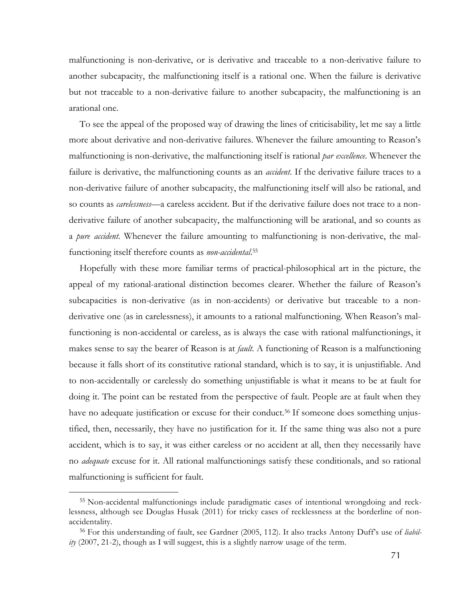malfunctioning is non-derivative, or is derivative and traceable to a non-derivative failure to another subcapacity, the malfunctioning itself is a rational one. When the failure is derivative but not traceable to a non-derivative failure to another subcapacity, the malfunctioning is an arational one.

To see the appeal of the proposed way of drawing the lines of criticisability, let me say a little more about derivative and non-derivative failures. Whenever the failure amounting to Reason's malfunctioning is non-derivative, the malfunctioning itself is rational *par excellence*. Whenever the failure is derivative, the malfunctioning counts as an *accident*. If the derivative failure traces to a non-derivative failure of another subcapacity, the malfunctioning itself will also be rational, and so counts as *carelessness*—a careless accident. But if the derivative failure does not trace to a nonderivative failure of another subcapacity, the malfunctioning will be arational, and so counts as a *pure accident*. Whenever the failure amounting to malfunctioning is non-derivative, the malfunctioning itself therefore counts as *non-accidental*. 55

Hopefully with these more familiar terms of practical-philosophical art in the picture, the appeal of my rational-arational distinction becomes clearer. Whether the failure of Reason's subcapacities is non-derivative (as in non-accidents) or derivative but traceable to a nonderivative one (as in carelessness), it amounts to a rational malfunctioning. When Reason's malfunctioning is non-accidental or careless, as is always the case with rational malfunctionings, it makes sense to say the bearer of Reason is at *fault*. A functioning of Reason is a malfunctioning because it falls short of its constitutive rational standard, which is to say, it is unjustifiable. And to non-accidentally or carelessly do something unjustifiable is what it means to be at fault for doing it. The point can be restated from the perspective of fault. People are at fault when they have no adequate justification or excuse for their conduct.<sup>56</sup> If someone does something unjustified, then, necessarily, they have no justification for it. If the same thing was also not a pure accident, which is to say, it was either careless or no accident at all, then they necessarily have no *adequate* excuse for it. All rational malfunctionings satisfy these conditionals, and so rational malfunctioning is sufficient for fault.

<sup>55</sup> Non-accidental malfunctionings include paradigmatic cases of intentional wrongdoing and recklessness, although see Douglas Husak (2011) for tricky cases of recklessness at the borderline of nonaccidentality.

<sup>&</sup>lt;sup>56</sup> For this understanding of fault, see Gardner (2005, 112). It also tracks Antony Duff's use of *liability* (2007, 21-2), though as I will suggest, this is a slightly narrow usage of the term.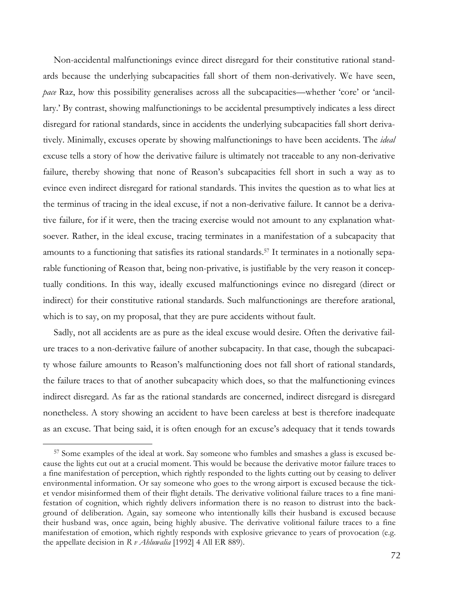Non-accidental malfunctionings evince direct disregard for their constitutive rational standards because the underlying subcapacities fall short of them non-derivatively. We have seen, *pace* Raz, how this possibility generalises across all the subcapacities—whether 'core' or 'ancillary.' By contrast, showing malfunctionings to be accidental presumptively indicates a less direct disregard for rational standards, since in accidents the underlying subcapacities fall short derivatively. Minimally, excuses operate by showing malfunctionings to have been accidents. The *ideal* excuse tells a story of how the derivative failure is ultimately not traceable to any non-derivative failure, thereby showing that none of Reason's subcapacities fell short in such a way as to evince even indirect disregard for rational standards. This invites the question as to what lies at the terminus of tracing in the ideal excuse, if not a non-derivative failure. It cannot be a derivative failure, for if it were, then the tracing exercise would not amount to any explanation whatsoever. Rather, in the ideal excuse, tracing terminates in a manifestation of a subcapacity that amounts to a functioning that satisfies its rational standards.57 It terminates in a notionally separable functioning of Reason that, being non-privative, is justifiable by the very reason it conceptually conditions. In this way, ideally excused malfunctionings evince no disregard (direct or indirect) for their constitutive rational standards. Such malfunctionings are therefore arational, which is to say, on my proposal, that they are pure accidents without fault.

Sadly, not all accidents are as pure as the ideal excuse would desire. Often the derivative failure traces to a non-derivative failure of another subcapacity. In that case, though the subcapacity whose failure amounts to Reason's malfunctioning does not fall short of rational standards, the failure traces to that of another subcapacity which does, so that the malfunctioning evinces indirect disregard. As far as the rational standards are concerned, indirect disregard is disregard nonetheless. A story showing an accident to have been careless at best is therefore inadequate as an excuse. That being said, it is often enough for an excuse's adequacy that it tends towards

<sup>57</sup> Some examples of the ideal at work. Say someone who fumbles and smashes a glass is excused because the lights cut out at a crucial moment. This would be because the derivative motor failure traces to a fine manifestation of perception, which rightly responded to the lights cutting out by ceasing to deliver environmental information. Or say someone who goes to the wrong airport is excused because the ticket vendor misinformed them of their flight details. The derivative volitional failure traces to a fine manifestation of cognition, which rightly delivers information there is no reason to distrust into the background of deliberation. Again, say someone who intentionally kills their husband is excused because their husband was, once again, being highly abusive. The derivative volitional failure traces to a fine manifestation of emotion, which rightly responds with explosive grievance to years of provocation (e.g. the appellate decision in *R v Ahluwalia* [1992] 4 All ER 889).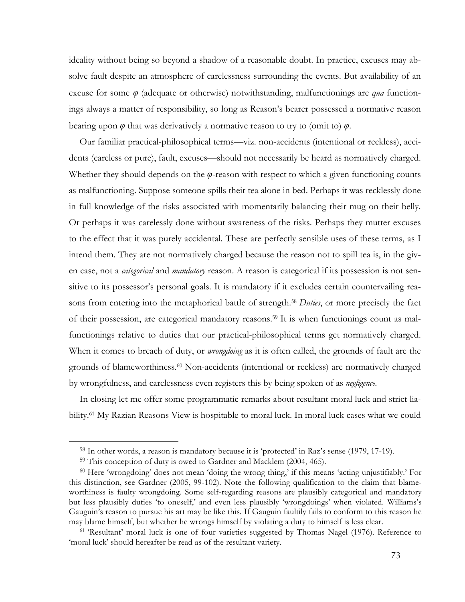ideality without being so beyond a shadow of a reasonable doubt. In practice, excuses may absolve fault despite an atmosphere of carelessness surrounding the events. But availability of an excuse for some *φ* (adequate or otherwise) notwithstanding, malfunctionings are *qua* functionings always a matter of responsibility, so long as Reason's bearer possessed a normative reason bearing upon  $\varphi$  that was derivatively a normative reason to try to (omit to)  $\varphi$ .

Our familiar practical-philosophical terms—viz. non-accidents (intentional or reckless), accidents (careless or pure), fault, excuses—should not necessarily be heard as normatively charged. Whether they should depends on the *φ*-reason with respect to which a given functioning counts as malfunctioning. Suppose someone spills their tea alone in bed. Perhaps it was recklessly done in full knowledge of the risks associated with momentarily balancing their mug on their belly. Or perhaps it was carelessly done without awareness of the risks. Perhaps they mutter excuses to the effect that it was purely accidental. These are perfectly sensible uses of these terms, as I intend them. They are not normatively charged because the reason not to spill tea is, in the given case, not a *categorical* and *mandatory* reason. A reason is categorical if its possession is not sensitive to its possessor's personal goals. It is mandatory if it excludes certain countervailing reasons from entering into the metaphorical battle of strength. <sup>58</sup> *Duties*, or more precisely the fact of their possession, are categorical mandatory reasons.59 It is when functionings count as malfunctionings relative to duties that our practical-philosophical terms get normatively charged. When it comes to breach of duty, or *wrongdoing* as it is often called, the grounds of fault are the grounds of blameworthiness.60 Non-accidents (intentional or reckless) are normatively charged by wrongfulness, and carelessness even registers this by being spoken of as *negligence*.

In closing let me offer some programmatic remarks about resultant moral luck and strict liability.<sup>61</sup> My Razian Reasons View is hospitable to moral luck. In moral luck cases what we could

 

<sup>58</sup> In other words, a reason is mandatory because it is 'protected' in Raz's sense (1979, 17-19).

<sup>59</sup> This conception of duty is owed to Gardner and Macklem (2004, 465).

<sup>60</sup> Here 'wrongdoing' does not mean 'doing the wrong thing,' if this means 'acting unjustifiably.' For this distinction, see Gardner (2005, 99-102). Note the following qualification to the claim that blameworthiness is faulty wrongdoing. Some self-regarding reasons are plausibly categorical and mandatory but less plausibly duties 'to oneself,' and even less plausibly 'wrongdoings' when violated. Williams's Gauguin's reason to pursue his art may be like this. If Gauguin faultily fails to conform to this reason he may blame himself, but whether he wrongs himself by violating a duty to himself is less clear.

<sup>61</sup> 'Resultant' moral luck is one of four varieties suggested by Thomas Nagel (1976). Reference to 'moral luck' should hereafter be read as of the resultant variety.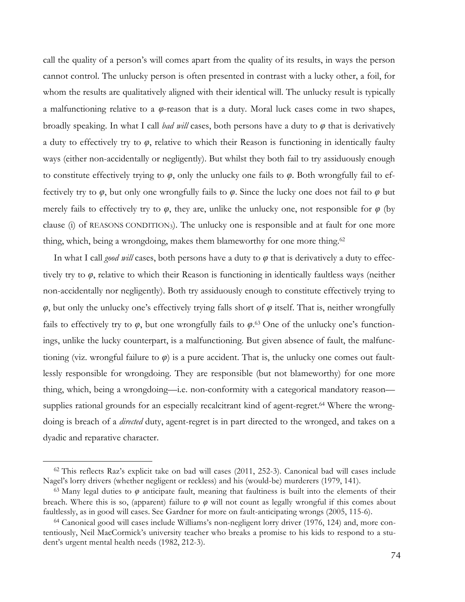call the quality of a person's will comes apart from the quality of its results, in ways the person cannot control. The unlucky person is often presented in contrast with a lucky other, a foil, for whom the results are qualitatively aligned with their identical will. The unlucky result is typically a malfunctioning relative to a *φ*-reason that is a duty. Moral luck cases come in two shapes, broadly speaking. In what I call *bad will* cases, both persons have a duty to *φ* that is derivatively a duty to effectively try to *φ*, relative to which their Reason is functioning in identically faulty ways (either non-accidentally or negligently). But whilst they both fail to try assiduously enough to constitute effectively trying to *φ*, only the unlucky one fails to *φ*. Both wrongfully fail to effectively try to *φ*, but only one wrongfully fails to *φ*. Since the lucky one does not fail to *φ* but merely fails to effectively try to  $\varphi$ , they are, unlike the unlucky one, not responsible for  $\varphi$  (by clause (i) of REASONS CONDITION3). The unlucky one is responsible and at fault for one more thing, which, being a wrongdoing, makes them blameworthy for one more thing.<sup>62</sup>

In what I call *good will* cases, both persons have a duty to *φ* that is derivatively a duty to effectively try to *φ*, relative to which their Reason is functioning in identically faultless ways (neither non-accidentally nor negligently). Both try assiduously enough to constitute effectively trying to  $\varphi$ , but only the unlucky one's effectively trying falls short of  $\varphi$  itself. That is, neither wrongfully fails to effectively try to  $\varphi$ , but one wrongfully fails to  $\varphi$ .<sup>63</sup> One of the unlucky one's functionings, unlike the lucky counterpart, is a malfunctioning. But given absence of fault, the malfunctioning (viz. wrongful failure to *φ*) is a pure accident. That is, the unlucky one comes out faultlessly responsible for wrongdoing. They are responsible (but not blameworthy) for one more thing, which, being a wrongdoing—i.e. non-conformity with a categorical mandatory reason supplies rational grounds for an especially recalcitrant kind of agent-regret.<sup>64</sup> Where the wrongdoing is breach of a *directed* duty, agent-regret is in part directed to the wronged, and takes on a dyadic and reparative character.

 

<sup>62</sup> This reflects Raz's explicit take on bad will cases (2011, 252-3). Canonical bad will cases include Nagel's lorry drivers (whether negligent or reckless) and his (would-be) murderers (1979, 141).

<sup>&</sup>lt;sup>63</sup> Many legal duties to  $\varphi$  anticipate fault, meaning that faultiness is built into the elements of their breach. Where this is so, (apparent) failure to *φ* will not count as legally wrongful if this comes about faultlessly, as in good will cases. See Gardner for more on fault-anticipating wrongs (2005, 115-6).

<sup>64</sup> Canonical good will cases include Williams's non-negligent lorry driver (1976, 124) and, more contentiously, Neil MacCormick's university teacher who breaks a promise to his kids to respond to a student's urgent mental health needs (1982, 212-3).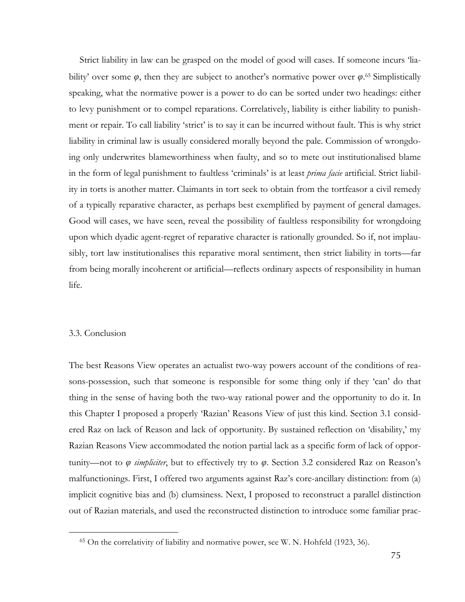Strict liability in law can be grasped on the model of good will cases. If someone incurs 'liability' over some  $\varphi$ , then they are subject to another's normative power over  $\varphi$ .<sup>65</sup> Simplistically speaking, what the normative power is a power to do can be sorted under two headings: either to levy punishment or to compel reparations. Correlatively, liability is either liability to punishment or repair. To call liability 'strict' is to say it can be incurred without fault. This is why strict liability in criminal law is usually considered morally beyond the pale. Commission of wrongdoing only underwrites blameworthiness when faulty, and so to mete out institutionalised blame in the form of legal punishment to faultless 'criminals' is at least *prima facie* artificial. Strict liability in torts is another matter. Claimants in tort seek to obtain from the tortfeasor a civil remedy of a typically reparative character, as perhaps best exemplified by payment of general damages. Good will cases, we have seen, reveal the possibility of faultless responsibility for wrongdoing upon which dyadic agent-regret of reparative character is rationally grounded. So if, not implausibly, tort law institutionalises this reparative moral sentiment, then strict liability in torts—far from being morally incoherent or artificial—reflects ordinary aspects of responsibility in human life.

## 3.3. Conclusion

 

The best Reasons View operates an actualist two-way powers account of the conditions of reasons-possession, such that someone is responsible for some thing only if they 'can' do that thing in the sense of having both the two-way rational power and the opportunity to do it. In this Chapter I proposed a properly 'Razian' Reasons View of just this kind. Section 3.1 considered Raz on lack of Reason and lack of opportunity. By sustained reflection on 'disability,' my Razian Reasons View accommodated the notion partial lack as a specific form of lack of opportunity—not to *φ simpliciter*, but to effectively try to *φ*. Section 3.2 considered Raz on Reason's malfunctionings. First, I offered two arguments against Raz's core-ancillary distinction: from (a) implicit cognitive bias and (b) clumsiness. Next, I proposed to reconstruct a parallel distinction out of Razian materials, and used the reconstructed distinction to introduce some familiar prac-

<sup>65</sup> On the correlativity of liability and normative power, see W. N. Hohfeld (1923, 36).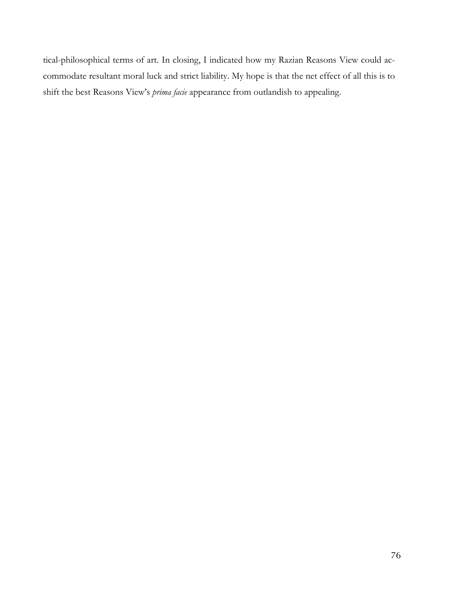tical-philosophical terms of art. In closing, I indicated how my Razian Reasons View could accommodate resultant moral luck and strict liability. My hope is that the net effect of all this is to shift the best Reasons View's *prima facie* appearance from outlandish to appealing.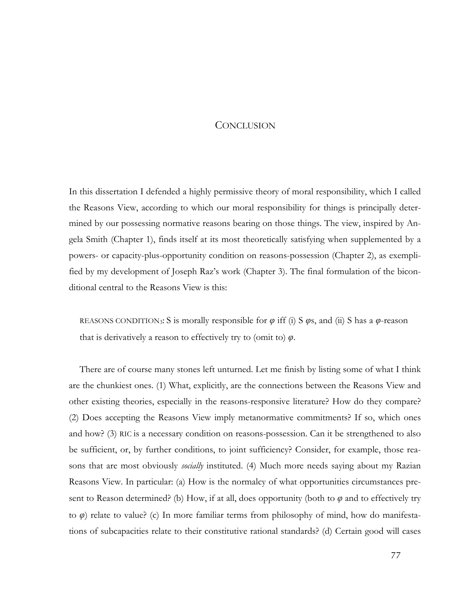## **CONCLUSION**

In this dissertation I defended a highly permissive theory of moral responsibility, which I called the Reasons View, according to which our moral responsibility for things is principally determined by our possessing normative reasons bearing on those things. The view, inspired by Angela Smith (Chapter 1), finds itself at its most theoretically satisfying when supplemented by a powers- or capacity-plus-opportunity condition on reasons-possession (Chapter 2), as exemplified by my development of Joseph Raz's work (Chapter 3). The final formulation of the biconditional central to the Reasons View is this:

REASONS CONDITION3: S is morally responsible for *φ* iff (i) S *φ*s, and (ii) S has a *φ*-reason that is derivatively a reason to effectively try to (omit to) *φ*.

There are of course many stones left unturned. Let me finish by listing some of what I think are the chunkiest ones. (1) What, explicitly, are the connections between the Reasons View and other existing theories, especially in the reasons-responsive literature? How do they compare? (2) Does accepting the Reasons View imply metanormative commitments? If so, which ones and how? (3) RIC is a necessary condition on reasons-possession. Can it be strengthened to also be sufficient, or, by further conditions, to joint sufficiency? Consider, for example, those reasons that are most obviously *socially* instituted. (4) Much more needs saying about my Razian Reasons View. In particular: (a) How is the normalcy of what opportunities circumstances present to Reason determined? (b) How, if at all, does opportunity (both to *φ* and to effectively try to *φ*) relate to value? (c) In more familiar terms from philosophy of mind, how do manifestations of subcapacities relate to their constitutive rational standards? (d) Certain good will cases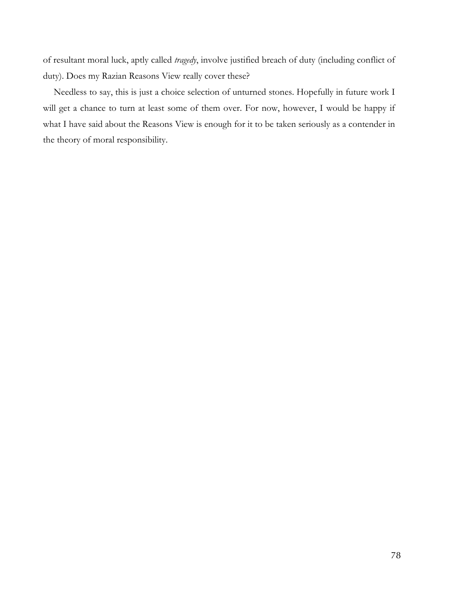of resultant moral luck, aptly called *tragedy*, involve justified breach of duty (including conflict of duty). Does my Razian Reasons View really cover these?

Needless to say, this is just a choice selection of unturned stones. Hopefully in future work I will get a chance to turn at least some of them over. For now, however, I would be happy if what I have said about the Reasons View is enough for it to be taken seriously as a contender in the theory of moral responsibility.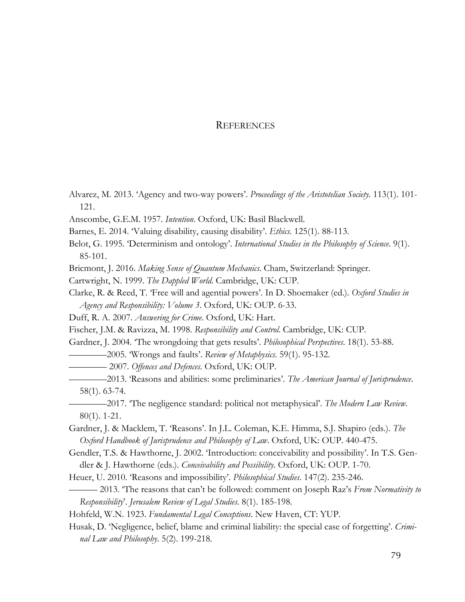## **REFERENCES**

- Alvarez, M. 2013. 'Agency and two-way powers'. *Proceedings of the Aristotelian Society*. 113(1). 101- 121.
- Anscombe, G.E.M. 1957. *Intention*. Oxford, UK: Basil Blackwell.
- Barnes, E. 2014. 'Valuing disability, causing disability'. *Ethics*. 125(1). 88-113.
- Belot, G. 1995. 'Determinism and ontology'. *International Studies in the Philosophy of Science*. 9(1). 85-101.
- Bricmont, J. 2016. *Making Sense of Quantum Mechanics*. Cham, Switzerland: Springer.
- Cartwright, N. 1999. *The Dappled World*. Cambridge, UK: CUP.
- Clarke, R. & Reed, T. 'Free will and agential powers'. In D. Shoemaker (ed.). *Oxford Studies in Agency and Responsibility: Volume 3*. Oxford, UK: OUP. 6-33.
- Duff, R. A. 2007. *Answering for Crime*. Oxford, UK: Hart.
- Fischer, J.M. & Ravizza, M. 1998. *Responsibility and Control*. Cambridge, UK: CUP.
- Gardner, J. 2004. 'The wrongdoing that gets results'. *Philosophical Perspectives*. 18(1). 53-88.
	- ————2005. 'Wrongs and faults'. *Review of Metaphysics*. 59(1). 95-132.
- ———— 2007. *Offences and Defences.* Oxford, UK: OUP.
- ————2013. 'Reasons and abilities: some preliminaries'. *The American Journal of Jurisprudence*. 58(1). 63-74.
- ————2017. 'The negligence standard: political not metaphysical'. *The Modern Law Review*. 80(1). 1-21.
- Gardner, J. & Macklem, T. 'Reasons'. In J.L. Coleman, K.E. Himma, S.J. Shapiro (eds.). *The Oxford Handbook of Jurisprudence and Philosophy of Law*. Oxford, UK: OUP. 440-475.
- Gendler, T.S. & Hawthorne, J. 2002. 'Introduction: conceivability and possibility'. In T.S. Gendler & J. Hawthorne (eds.). *Conceivability and Possibility*. Oxford, UK: OUP. 1-70.
- Heuer, U. 2010. 'Reasons and impossibility'. *Philosophical Studies*. 147(2). 235-246.
- ——— 2013. 'The reasons that can't be followed: comment on Joseph Raz's *From Normativity to Responsibility*'. *Jerusalem Review of Legal Studies*. 8(1). 185-198.
- Hohfeld, W.N. 1923. *Fundamental Legal Conceptions*. New Haven, CT: YUP.
- Husak, D. 'Negligence, belief, blame and criminal liability: the special case of forgetting'. *Criminal Law and Philosophy*. 5(2). 199-218.